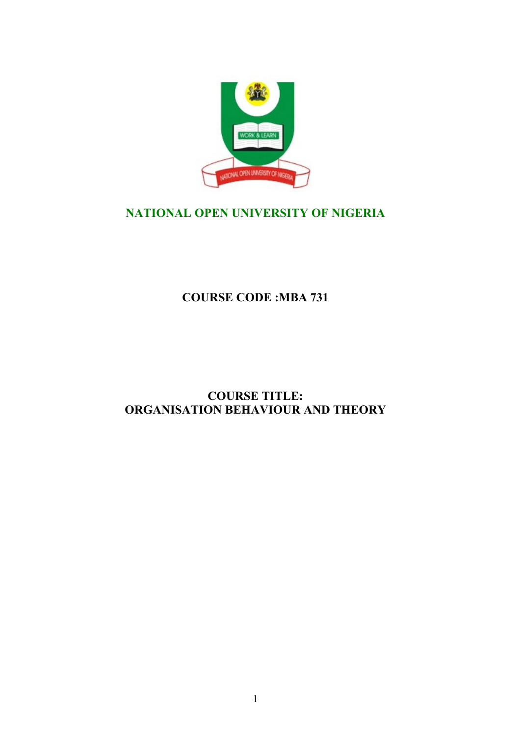

# **NATIONAL OPEN UNIVERSITY OF NIGERIA**

**COURSE CODE :MBA 731**

# **COURSE TITLE: ORGANISATION BEHAVIOUR AND THEORY**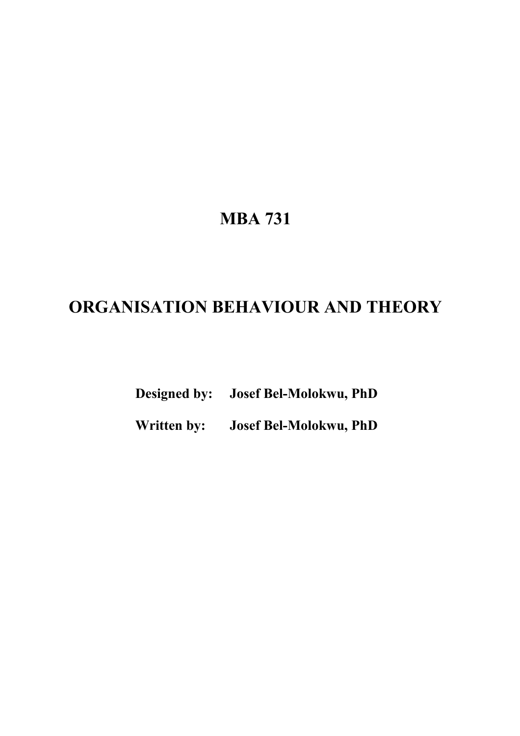# **MBA 731**

# **ORGANISATION BEHAVIOUR AND THEORY**

**Designed by: Josef Bel-Molokwu, PhD**

**Written by: Josef Bel-Molokwu, PhD**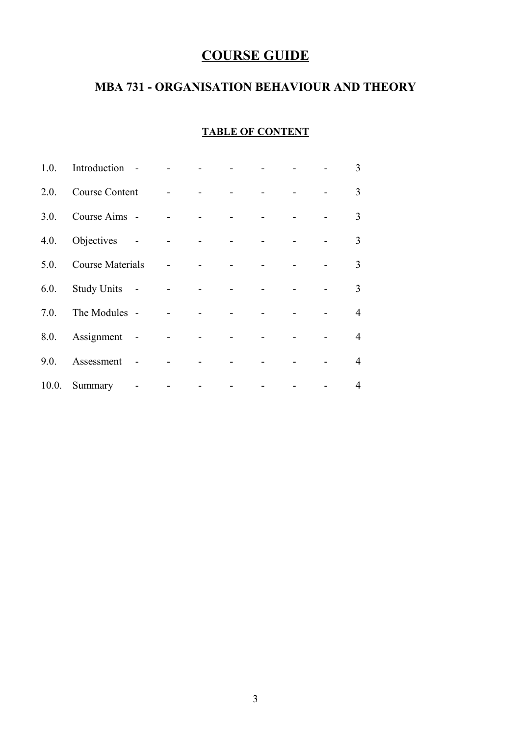# **COURSE GUIDE**

# **MBA 731 - ORGANISATION BEHAVIOUR AND THEORY**

### **TABLE OF CONTENT**

| 1.0.  | Introduction            |                          |  |                |  | 3              |
|-------|-------------------------|--------------------------|--|----------------|--|----------------|
| 2.0.  | <b>Course Content</b>   |                          |  |                |  | 3              |
| 3.0.  | Course Aims -           |                          |  |                |  | 3              |
|       | 4.0. Objectives         |                          |  | $\blacksquare$ |  | $\overline{3}$ |
| 5.0.  | <b>Course Materials</b> |                          |  |                |  | 3              |
| 6.0.  | Study Units -           |                          |  |                |  | 3              |
| 7.0.  | The Modules -           |                          |  |                |  | $\overline{4}$ |
|       | 8.0. Assignment -       |                          |  |                |  | $\overline{4}$ |
| 9.0.  | Assessment              |                          |  |                |  | $\overline{4}$ |
| 10.0. | Summary                 | $\overline{\phantom{a}}$ |  |                |  | $\overline{4}$ |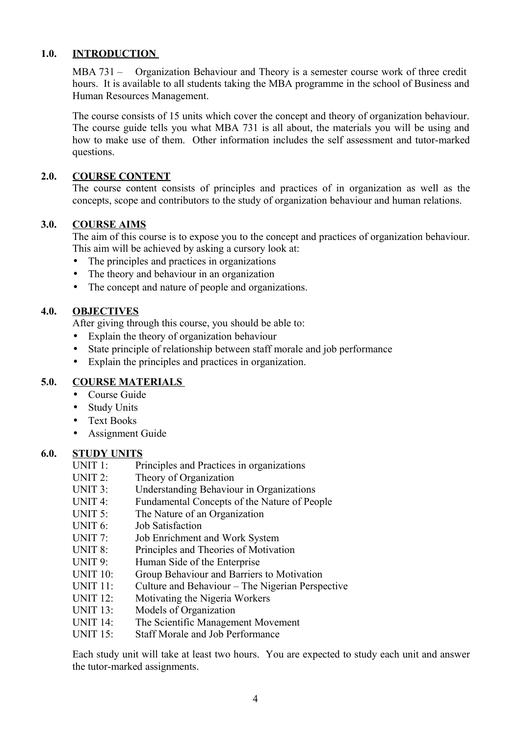### **1.0. INTRODUCTION**

MBA 731 – Organization Behaviour and Theory is a semester course work of three credit hours. It is available to all students taking the MBA programme in the school of Business and Human Resources Management.

The course consists of 15 units which cover the concept and theory of organization behaviour. The course guide tells you what MBA 731 is all about, the materials you will be using and how to make use of them. Other information includes the self assessment and tutor-marked questions.

#### **2.0. COURSE CONTENT**

The course content consists of principles and practices of in organization as well as the concepts, scope and contributors to the study of organization behaviour and human relations.

#### **3.0. COURSE AIMS**

The aim of this course is to expose you to the concept and practices of organization behaviour. This aim will be achieved by asking a cursory look at:

- The principles and practices in organizations
- The theory and behaviour in an organization
- The concept and nature of people and organizations.

#### **4.0. OBJECTIVES**

After giving through this course, you should be able to:

- Explain the theory of organization behaviour
- State principle of relationship between staff morale and job performance
- Explain the principles and practices in organization.

#### **5.0. COURSE MATERIALS**

- Course Guide
- Study Units
- Text Books
- Assignment Guide

#### **6.0. STUDY UNITS**

- UNIT 1: Principles and Practices in organizations
- UNIT 2: Theory of Organization
- UNIT 3: Understanding Behaviour in Organizations
- UNIT 4: Fundamental Concepts of the Nature of People
- UNIT 5: The Nature of an Organization
- UNIT 6: Job Satisfaction
- UNIT 7: Job Enrichment and Work System
- UNIT 8: Principles and Theories of Motivation
- UNIT 9: Human Side of the Enterprise
- UNIT 10: Group Behaviour and Barriers to Motivation
- UNIT 11: Culture and Behaviour The Nigerian Perspective
- UNIT 12: Motivating the Nigeria Workers
- UNIT 13: Models of Organization
- UNIT 14: The Scientific Management Movement
- UNIT 15: Staff Morale and Job Performance

Each study unit will take at least two hours. You are expected to study each unit and answer the tutor-marked assignments.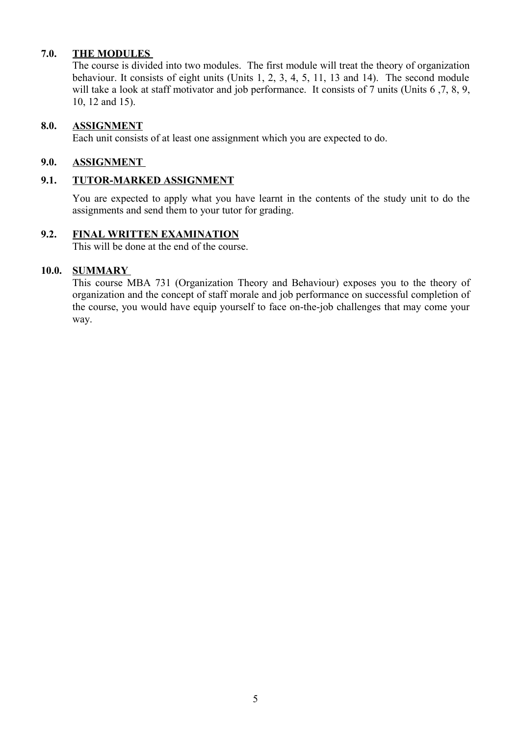### **7.0. THE MODULES**

The course is divided into two modules. The first module will treat the theory of organization behaviour. It consists of eight units (Units 1, 2, 3, 4, 5, 11, 13 and 14). The second module will take a look at staff motivator and job performance. It consists of 7 units (Units 6,7, 8, 9, 10, 12 and 15).

#### **8.0. ASSIGNMENT**

Each unit consists of at least one assignment which you are expected to do.

#### **9.0. ASSIGNMENT**

#### **9.1. TUTOR-MARKED ASSIGNMENT**

You are expected to apply what you have learnt in the contents of the study unit to do the assignments and send them to your tutor for grading.

#### **9.2. FINAL WRITTEN EXAMINATION**

This will be done at the end of the course.

#### **10.0. SUMMARY**

This course MBA 731 (Organization Theory and Behaviour) exposes you to the theory of organization and the concept of staff morale and job performance on successful completion of the course, you would have equip yourself to face on-the-job challenges that may come your way.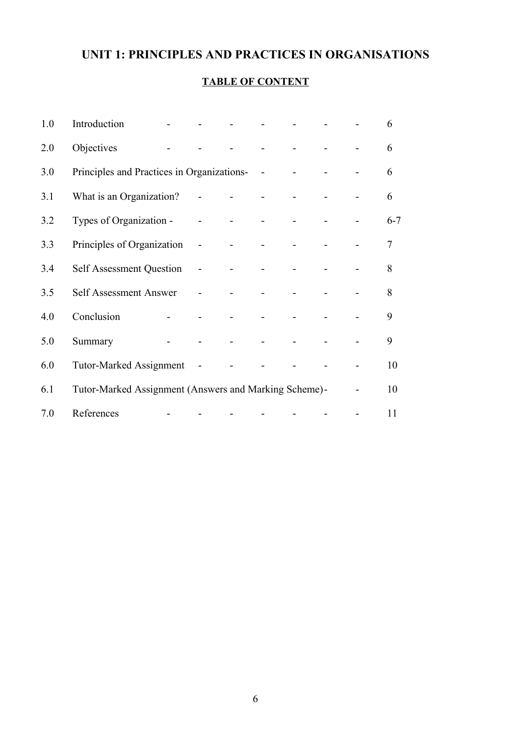# **UNIT 1: PRINCIPLES AND PRACTICES IN ORGANISATIONS**

## **TABLE OF CONTENT**

| 1.0 | Introduction                                          |                     |                     |              |            | $\mathbf{L}$ |  | 6       |
|-----|-------------------------------------------------------|---------------------|---------------------|--------------|------------|--------------|--|---------|
| 2.0 | Objectives                                            |                     |                     |              |            |              |  | 6       |
| 3.0 | Principles and Practices in Organizations-            |                     |                     |              | $\sim$ $-$ |              |  | 6       |
| 3.1 | What is an Organization?                              |                     | $\omega_{\rm{max}}$ | $\sim 100$   |            |              |  | 6       |
| 3.2 | Types of Organization -                               |                     | $\overline{a}$      | $\mathbf{r}$ |            |              |  | $6 - 7$ |
| 3.3 | Principles of Organization                            |                     | $\overline{a}$      | $\sim$       |            |              |  | 7       |
| 3.4 | <b>Self Assessment Question</b>                       |                     | $\overline{a}$      |              |            |              |  | 8       |
| 3.5 | Self Assessment Answer                                |                     | $\overline{a}$      |              |            |              |  | 8       |
| 4.0 | Conclusion                                            | $\omega_{\rm{max}}$ |                     |              |            |              |  | 9       |
| 5.0 | Summary                                               | $\bar{\phantom{a}}$ |                     |              |            |              |  | 9       |
| 6.0 | <b>Tutor-Marked Assignment</b>                        |                     | $\sim$              |              |            |              |  | 10      |
| 6.1 | Tutor-Marked Assignment (Answers and Marking Scheme)- |                     |                     |              |            |              |  | 10      |
| 7.0 | References                                            | $\overline{a}$      |                     |              |            |              |  | 11      |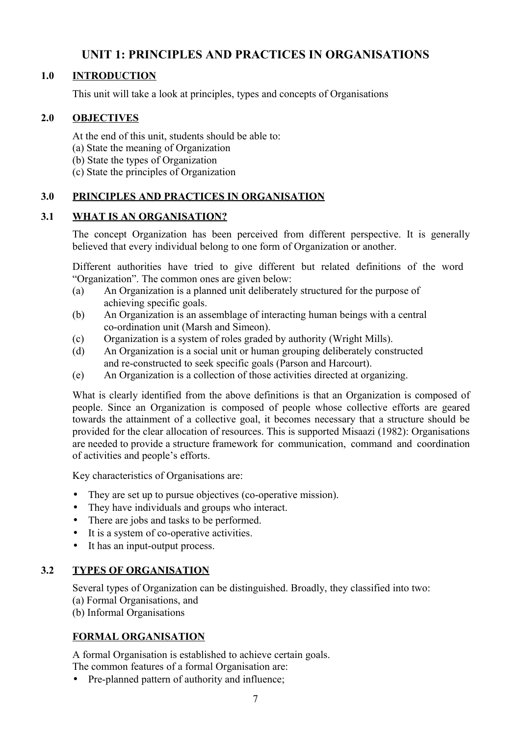# **UNIT 1: PRINCIPLES AND PRACTICES IN ORGANISATIONS**

### **1.0 INTRODUCTION**

This unit will take a look at principles, types and concepts of Organisations

### **2.0 OBJECTIVES**

- At the end of this unit, students should be able to:
- (a) State the meaning of Organization
- (b) State the types of Organization
- (c) State the principles of Organization

### **3.0 PRINCIPLES AND PRACTICES IN ORGANISATION**

### **3.1 WHAT IS AN ORGANISATION?**

The concept Organization has been perceived from different perspective. It is generally believed that every individual belong to one form of Organization or another.

Different authorities have tried to give different but related definitions of the word "Organization". The common ones are given below:

- (a) An Organization is a planned unit deliberately structured for the purpose of achieving specific goals.
- (b) An Organization is an assemblage of interacting human beings with a central co-ordination unit (Marsh and Simeon).
- (c) Organization is a system of roles graded by authority (Wright Mills).
- (d) An Organization is a social unit or human grouping deliberately constructed and re-constructed to seek specific goals (Parson and Harcourt).
- (e) An Organization is a collection of those activities directed at organizing.

What is clearly identified from the above definitions is that an Organization is composed of people. Since an Organization is composed of people whose collective efforts are geared towards the attainment of a collective goal, it becomes necessary that a structure should be provided for the clear allocation of resources. This is supported Misaazi (1982): Organisations are needed to provide a structure framework for communication, command and coordination of activities and people's efforts.

Key characteristics of Organisations are:

- They are set up to pursue objectives (co-operative mission).
- They have individuals and groups who interact.
- There are jobs and tasks to be performed.
- It is a system of co-operative activities.
- It has an input-output process.

### **3.2 TYPES OF ORGANISATION**

Several types of Organization can be distinguished. Broadly, they classified into two:

- (a) Formal Organisations, and
- (b) Informal Organisations

### **FORMAL ORGANISATION**

A formal Organisation is established to achieve certain goals. The common features of a formal Organisation are:

• Pre-planned pattern of authority and influence;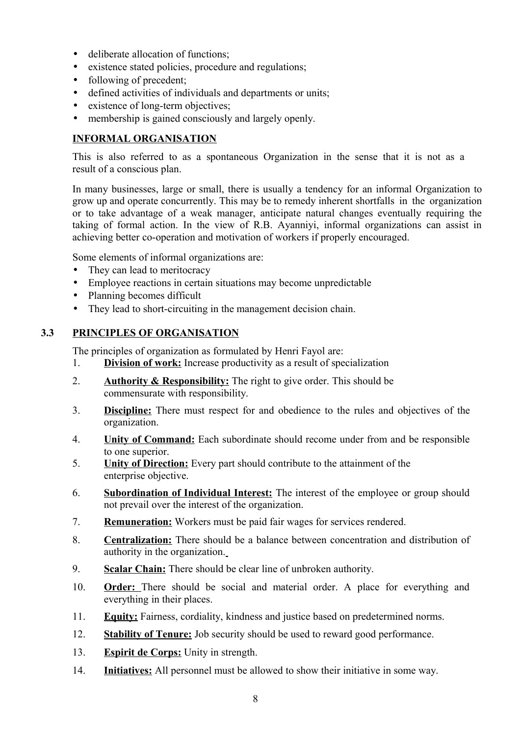- deliberate allocation of functions:
- existence stated policies, procedure and regulations;
- following of precedent;
- defined activities of individuals and departments or units;
- existence of long-term objectives;
- membership is gained consciously and largely openly.

#### **INFORMAL ORGANISATION**

This is also referred to as a spontaneous Organization in the sense that it is not as a result of a conscious plan.

In many businesses, large or small, there is usually a tendency for an informal Organization to grow up and operate concurrently. This may be to remedy inherent shortfalls in the organization or to take advantage of a weak manager, anticipate natural changes eventually requiring the taking of formal action. In the view of R.B. Ayanniyi, informal organizations can assist in achieving better co-operation and motivation of workers if properly encouraged.

Some elements of informal organizations are:

- They can lead to meritocracy
- Employee reactions in certain situations may become unpredictable
- Planning becomes difficult
- They lead to short-circuiting in the management decision chain.

#### **3.3 PRINCIPLES OF ORGANISATION**

The principles of organization as formulated by Henri Fayol are:

- 1. **Division of work:** Increase productivity as a result of specialization
- 2. **Authority & Responsibility:** The right to give order. This should be commensurate with responsibility.
- 3. **Discipline:** There must respect for and obedience to the rules and objectives of the organization.
- 4. **Unity of Command:** Each subordinate should recome under from and be responsible to one superior.
- 5. **Unity of Direction:** Every part should contribute to the attainment of the enterprise objective.
- 6. **Subordination of Individual Interest:** The interest of the employee or group should not prevail over the interest of the organization.
- 7. **Remuneration:** Workers must be paid fair wages for services rendered.
- 8. **Centralization:** There should be a balance between concentration and distribution of authority in the organization.
- 9. **Scalar Chain:** There should be clear line of unbroken authority.
- 10. **Order:** There should be social and material order. A place for everything and everything in their places.
- 11. **Equity:** Fairness, cordiality, kindness and justice based on predetermined norms.
- 12. **Stability of Tenure:** Job security should be used to reward good performance.
- 13. **Espirit de Corps:** Unity in strength.
- 14. **Initiatives:** All personnel must be allowed to show their initiative in some way.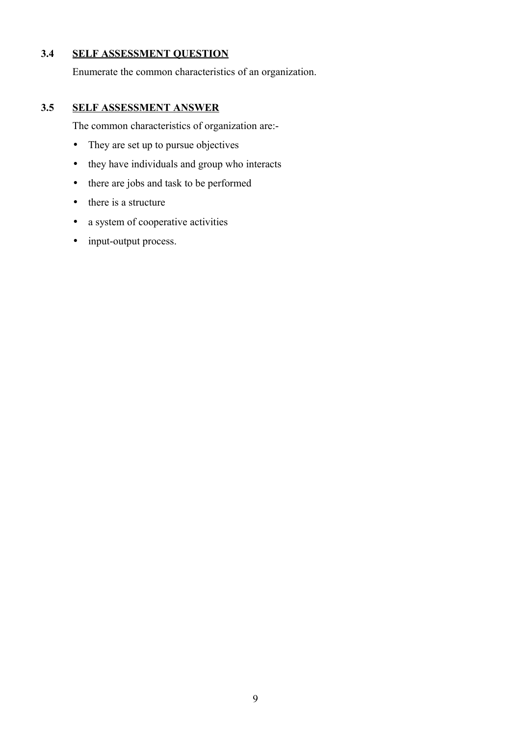### **3.4 SELF ASSESSMENT QUESTION**

Enumerate the common characteristics of an organization.

### **3.5 SELF ASSESSMENT ANSWER**

The common characteristics of organization are:-

- They are set up to pursue objectives
- they have individuals and group who interacts
- there are jobs and task to be performed
- there is a structure
- a system of cooperative activities
- input-output process.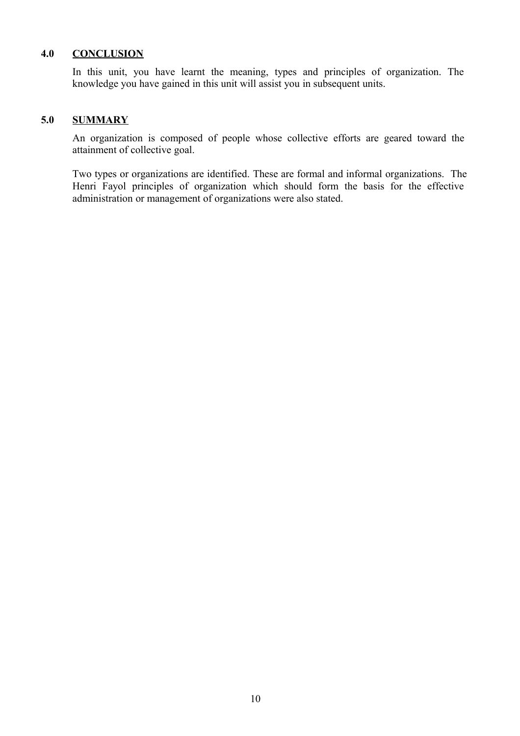#### **4.0 CONCLUSION**

In this unit, you have learnt the meaning, types and principles of organization. The knowledge you have gained in this unit will assist you in subsequent units.

#### **5.0 SUMMARY**

An organization is composed of people whose collective efforts are geared toward the attainment of collective goal.

Two types or organizations are identified. These are formal and informal organizations. The Henri Fayol principles of organization which should form the basis for the effective administration or management of organizations were also stated.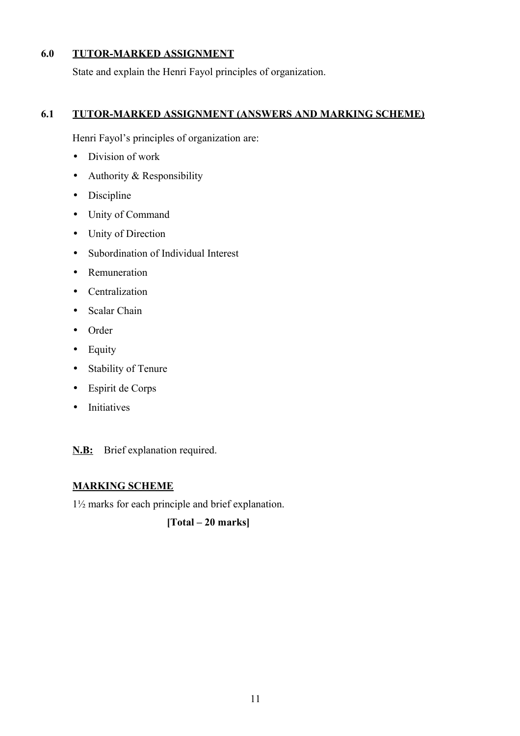### **6.0 TUTOR-MARKED ASSIGNMENT**

State and explain the Henri Fayol principles of organization.

### **6.1 TUTOR-MARKED ASSIGNMENT (ANSWERS AND MARKING SCHEME)**

Henri Fayol's principles of organization are:

- Division of work
- Authority & Responsibility
- Discipline
- Unity of Command
- Unity of Direction
- Subordination of Individual Interest
- Remuneration
- Centralization
- Scalar Chain
- Order
- Equity
- Stability of Tenure
- Espirit de Corps
- Initiatives

**N.B:** Brief explanation required.

### **MARKING SCHEME**

1½ marks for each principle and brief explanation.

**[Total – 20 marks]**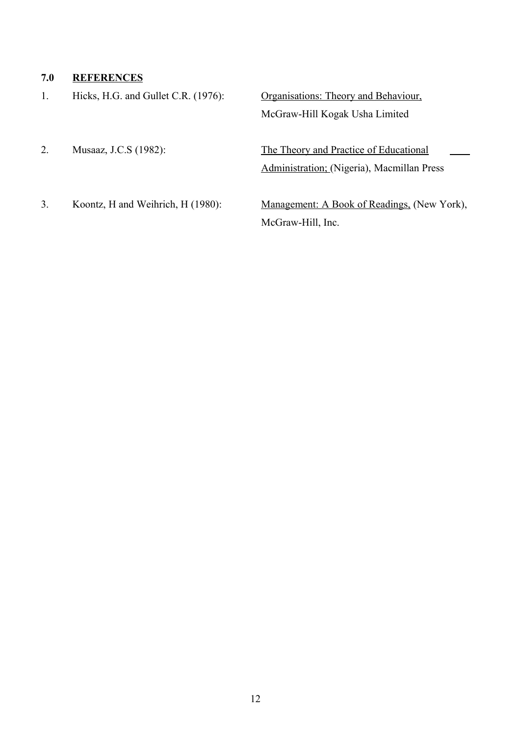### **7.0 REFERENCES**

1. Hicks, H.G. and Gullet C.R. (1976): Organisations: Theory and Behaviour,

McGraw-Hill Kogak Usha Limited

2. Musaaz, J.C.S (1982): The Theory and Practice of Educational Administration; (Nigeria), Macmillan Press

3. Koontz, H and Weihrich, H (1980): Management: A Book of Readings, (New York), McGraw-Hill, Inc.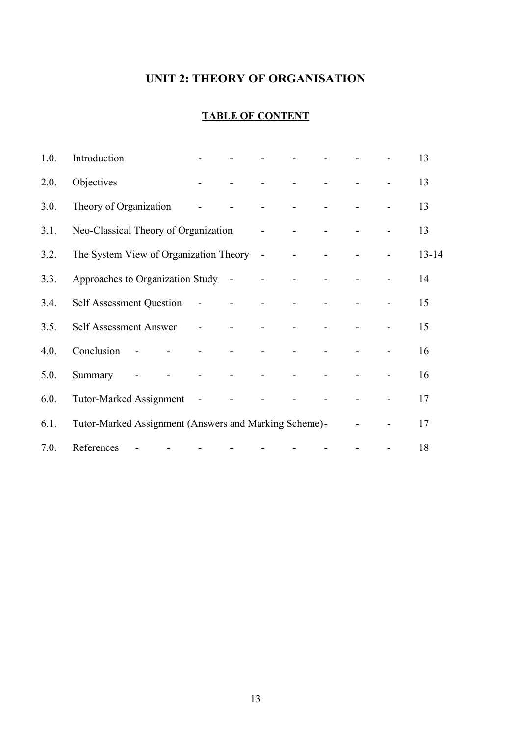# **UNIT 2: THEORY OF ORGANISATION**

# **TABLE OF CONTENT**

| 1.0. | Introduction                                          |        |                |                |                          |                |  | 13        |
|------|-------------------------------------------------------|--------|----------------|----------------|--------------------------|----------------|--|-----------|
| 2.0. | Objectives                                            |        | $\omega$       |                |                          | $\blacksquare$ |  | 13        |
| 3.0. | Theory of Organization                                |        |                |                | $\overline{\phantom{a}}$ |                |  | 13        |
| 3.1. | Neo-Classical Theory of Organization                  |        |                |                | $\overline{\phantom{a}}$ |                |  | 13        |
| 3.2. | The System View of Organization Theory -              |        |                |                |                          |                |  | $13 - 14$ |
| 3.3. | Approaches to Organization Study -                    |        |                |                | $\blacksquare$           |                |  | 14        |
| 3.4. | <b>Self Assessment Question</b>                       |        | $\sim$ $-$     |                |                          |                |  | 15        |
| 3.5. | Self Assessment Answer                                |        | $\blacksquare$ | $\blacksquare$ |                          |                |  | 15        |
| 4.0. | Conclusion                                            | $\sim$ |                |                |                          |                |  | 16        |
| 5.0. | Summary                                               |        | $\blacksquare$ | $\blacksquare$ | $\sim$                   | $\blacksquare$ |  | 16        |
| 6.0. | <b>Tutor-Marked Assignment</b>                        |        | $\sim$ $-$     |                |                          |                |  | 17        |
| 6.1. | Tutor-Marked Assignment (Answers and Marking Scheme)- |        |                |                |                          |                |  | 17        |
| 7.0. | References                                            |        |                |                |                          |                |  | 18        |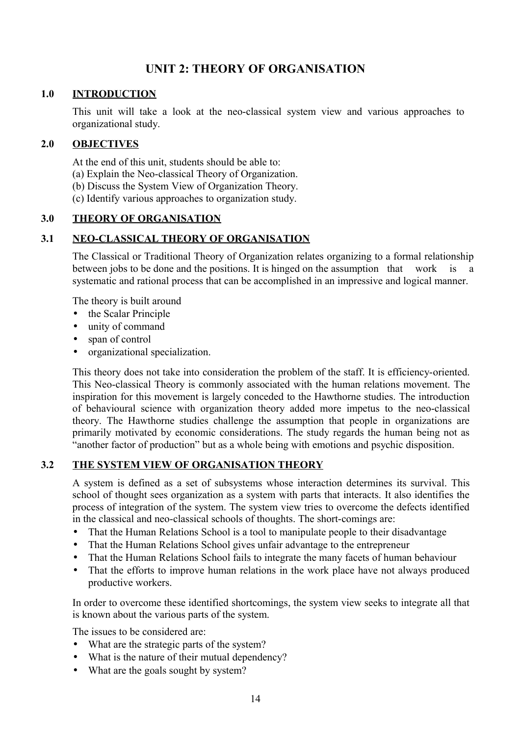# **UNIT 2: THEORY OF ORGANISATION**

#### **1.0 INTRODUCTION**

This unit will take a look at the neo-classical system view and various approaches to organizational study.

#### **2.0 OBJECTIVES**

At the end of this unit, students should be able to:

- (a) Explain the Neo-classical Theory of Organization.
- (b) Discuss the System View of Organization Theory.
- (c) Identify various approaches to organization study.

### **3.0 THEORY OF ORGANISATION**

### **3.1 NEO-CLASSICAL THEORY OF ORGANISATION**

The Classical or Traditional Theory of Organization relates organizing to a formal relationship between jobs to be done and the positions. It is hinged on the assumption that work is a systematic and rational process that can be accomplished in an impressive and logical manner.

The theory is built around

- the Scalar Principle
- unity of command
- span of control
- organizational specialization.

This theory does not take into consideration the problem of the staff. It is efficiency-oriented. This Neo-classical Theory is commonly associated with the human relations movement. The inspiration for this movement is largely conceded to the Hawthorne studies. The introduction of behavioural science with organization theory added more impetus to the neo-classical theory. The Hawthorne studies challenge the assumption that people in organizations are primarily motivated by economic considerations. The study regards the human being not as "another factor of production" but as a whole being with emotions and psychic disposition.

#### **3.2 THE SYSTEM VIEW OF ORGANISATION THEORY**

A system is defined as a set of subsystems whose interaction determines its survival. This school of thought sees organization as a system with parts that interacts. It also identifies the process of integration of the system. The system view tries to overcome the defects identified in the classical and neo-classical schools of thoughts. The short-comings are:

- That the Human Relations School is a tool to manipulate people to their disadvantage
- That the Human Relations School gives unfair advantage to the entrepreneur
- That the Human Relations School fails to integrate the many facets of human behaviour
- That the efforts to improve human relations in the work place have not always produced productive workers.

In order to overcome these identified shortcomings, the system view seeks to integrate all that is known about the various parts of the system.

The issues to be considered are:

- What are the strategic parts of the system?
- What is the nature of their mutual dependency?
- What are the goals sought by system?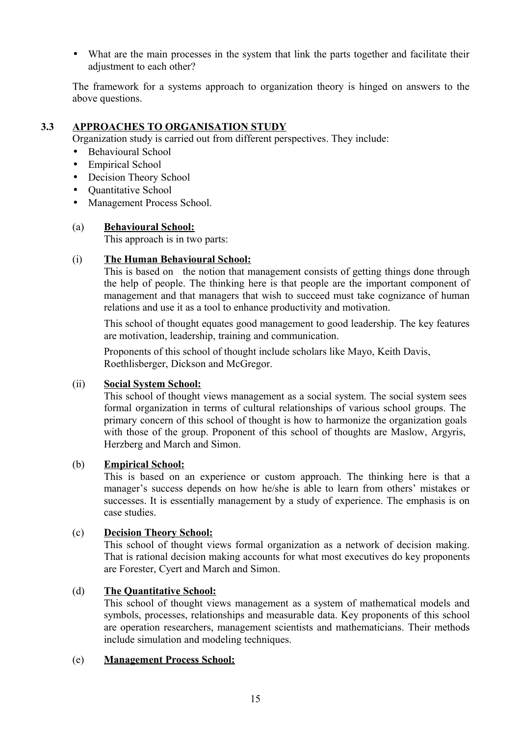• What are the main processes in the system that link the parts together and facilitate their adjustment to each other?

The framework for a systems approach to organization theory is hinged on answers to the above questions.

### **3.3 APPROACHES TO ORGANISATION STUDY**

Organization study is carried out from different perspectives. They include:

- Behavioural School
- Empirical School
- Decision Theory School
- Ouantitative School
- Management Process School.

### (a) **Behavioural School:**

This approach is in two parts:

#### (i) **The Human Behavioural School:**

This is based on the notion that management consists of getting things done through the help of people. The thinking here is that people are the important component of management and that managers that wish to succeed must take cognizance of human relations and use it as a tool to enhance productivity and motivation.

This school of thought equates good management to good leadership. The key features are motivation, leadership, training and communication.

Proponents of this school of thought include scholars like Mayo, Keith Davis, Roethlisberger, Dickson and McGregor.

#### (ii) **Social System School:**

This school of thought views management as a social system. The social system sees formal organization in terms of cultural relationships of various school groups. The primary concern of this school of thought is how to harmonize the organization goals with those of the group. Proponent of this school of thoughts are Maslow, Argyris, Herzberg and March and Simon.

#### (b) **Empirical School:**

This is based on an experience or custom approach. The thinking here is that a manager's success depends on how he/she is able to learn from others' mistakes or successes. It is essentially management by a study of experience. The emphasis is on case studies.

#### (c) **Decision Theory School:**

This school of thought views formal organization as a network of decision making. That is rational decision making accounts for what most executives do key proponents are Forester, Cyert and March and Simon.

#### (d) **The Quantitative School:**

This school of thought views management as a system of mathematical models and symbols, processes, relationships and measurable data. Key proponents of this school are operation researchers, management scientists and mathematicians. Their methods include simulation and modeling techniques.

#### (e) **Management Process School:**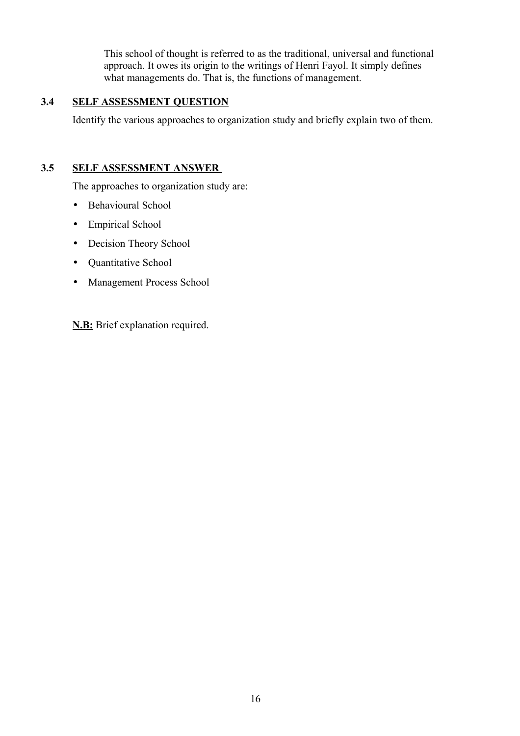This school of thought is referred to as the traditional, universal and functional approach. It owes its origin to the writings of Henri Fayol. It simply defines what managements do. That is, the functions of management.

### **3.4 SELF ASSESSMENT QUESTION**

Identify the various approaches to organization study and briefly explain two of them.

### **3.5 SELF ASSESSMENT ANSWER**

The approaches to organization study are:

- Behavioural School
- Empirical School
- Decision Theory School
- Quantitative School
- Management Process School

**N.B:** Brief explanation required.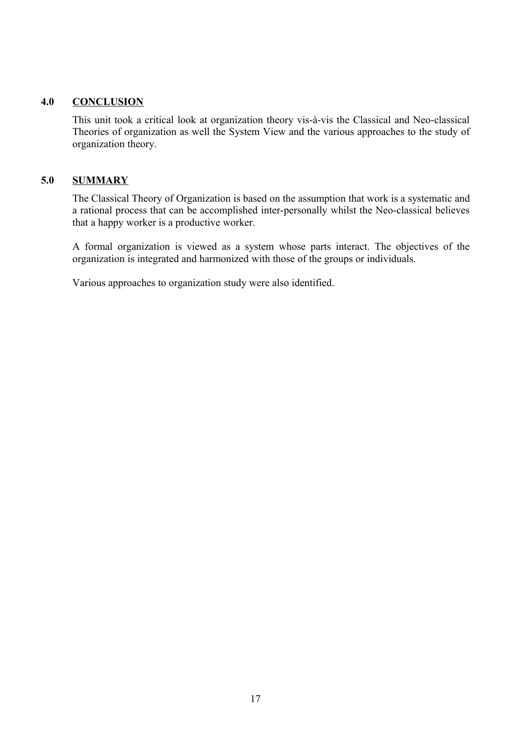#### **4.0 CONCLUSION**

This unit took a critical look at organization theory vis-à-vis the Classical and Neo-classical Theories of organization as well the System View and the various approaches to the study of organization theory.

#### **5.0 SUMMARY**

The Classical Theory of Organization is based on the assumption that work is a systematic and a rational process that can be accomplished inter-personally whilst the Neo-classical believes that a happy worker is a productive worker.

A formal organization is viewed as a system whose parts interact. The objectives of the organization is integrated and harmonized with those of the groups or individuals.

Various approaches to organization study were also identified.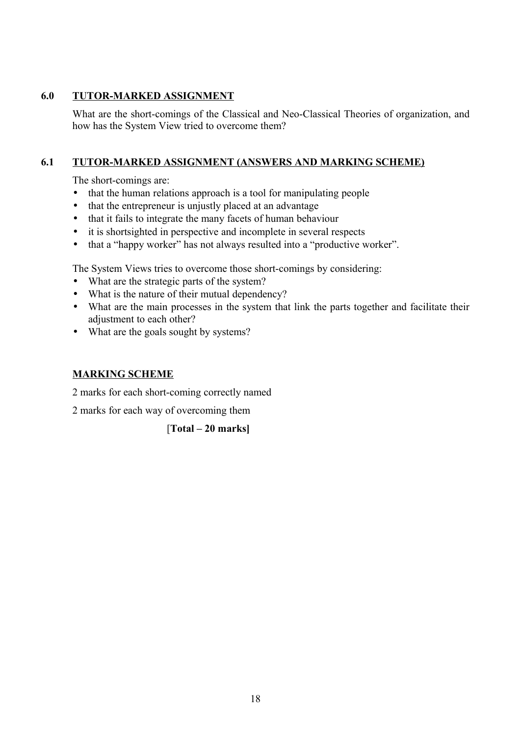#### **6.0 TUTOR-MARKED ASSIGNMENT**

What are the short-comings of the Classical and Neo-Classical Theories of organization, and how has the System View tried to overcome them?

### **6.1 TUTOR-MARKED ASSIGNMENT (ANSWERS AND MARKING SCHEME)**

The short-comings are:

- that the human relations approach is a tool for manipulating people
- that the entrepreneur is uniustly placed at an advantage
- that it fails to integrate the many facets of human behaviour
- it is shortsighted in perspective and incomplete in several respects
- that a "happy worker" has not always resulted into a "productive worker".

The System Views tries to overcome those short-comings by considering:

- What are the strategic parts of the system?
- What is the nature of their mutual dependency?
- What are the main processes in the system that link the parts together and facilitate their adjustment to each other?
- What are the goals sought by systems?

### **MARKING SCHEME**

2 marks for each short-coming correctly named

2 marks for each way of overcoming them

[**Total – 20 marks]**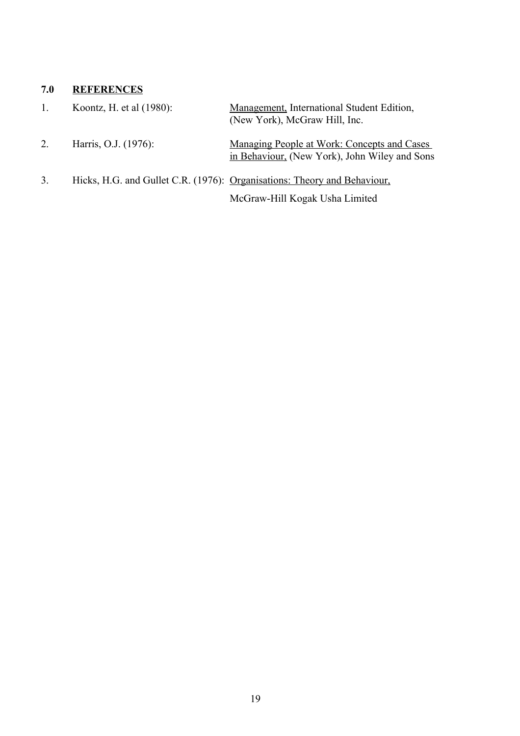#### **7.0 REFERENCES**

- 1. Koontz, H. et al (1980): Management, International Student Edition, (New York), McGraw Hill, Inc.
- 2. Harris, O.J. (1976): Managing People at Work: Concepts and Cases in Behaviour, (New York), John Wiley and Sons
- 3. Hicks, H.G. and Gullet C.R. (1976): Organisations: Theory and Behaviour, McGraw-Hill Kogak Usha Limited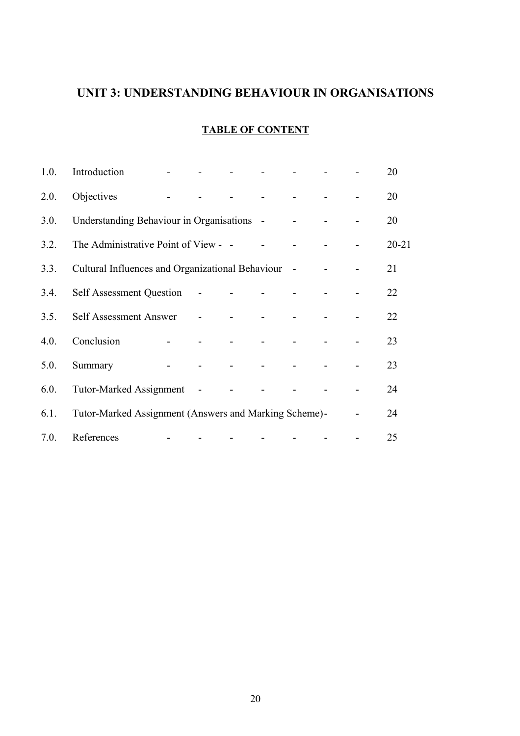# **UNIT 3: UNDERSTANDING BEHAVIOUR IN ORGANISATIONS**

### **TABLE OF CONTENT**

| 1.0. | Introduction                                          |                                                           |                                                                   |            |  | 20        |
|------|-------------------------------------------------------|-----------------------------------------------------------|-------------------------------------------------------------------|------------|--|-----------|
| 2.0. | Objectives                                            |                                                           |                                                                   |            |  | 20        |
| 3.0. | Understanding Behaviour in Organisations -            |                                                           |                                                                   |            |  | 20        |
| 3.2. | The Administrative Point of View - -                  |                                                           |                                                                   |            |  | $20 - 21$ |
| 3.3. | Cultural Influences and Organizational Behaviour      |                                                           |                                                                   | $\sim$ $-$ |  | 21        |
| 3.4. | Self Assessment Question -                            |                                                           | and the company of the company                                    |            |  | 22        |
| 3.5. | Self Assessment Answer                                | $\mathcal{L}(\mathcal{L})$ and $\mathcal{L}(\mathcal{L})$ |                                                                   |            |  | 22        |
| 4.0. | Conclusion                                            |                                                           |                                                                   |            |  | 23        |
| 5.0. | Summary                                               |                                                           | $\Delta \phi = 0$ , and $\Delta \phi = 0$ , and $\Delta \phi = 0$ |            |  | 23        |
| 6.0. | <b>Tutor-Marked Assignment</b>                        | $\sim$ $-$                                                |                                                                   |            |  | 24        |
| 6.1. | Tutor-Marked Assignment (Answers and Marking Scheme)- |                                                           |                                                                   |            |  | 24        |
| 7.0. | References                                            |                                                           |                                                                   |            |  | 25        |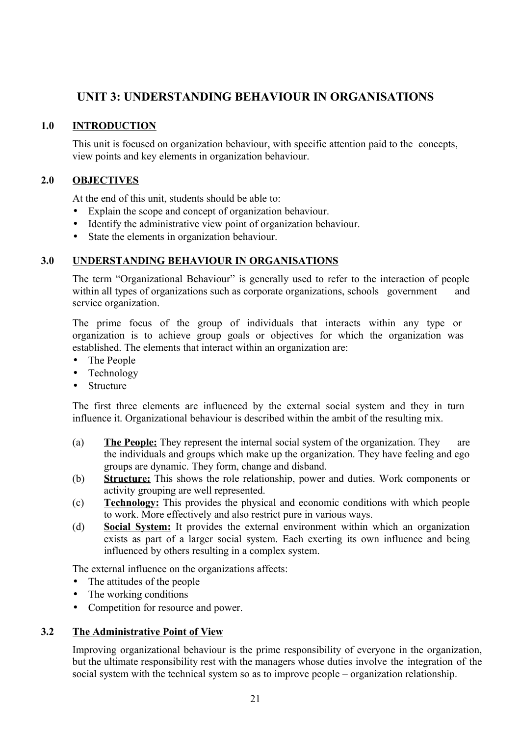## **UNIT 3: UNDERSTANDING BEHAVIOUR IN ORGANISATIONS**

### **1.0 INTRODUCTION**

This unit is focused on organization behaviour, with specific attention paid to the concepts, view points and key elements in organization behaviour.

### **2.0 OBJECTIVES**

At the end of this unit, students should be able to:

- Explain the scope and concept of organization behaviour.
- Identify the administrative view point of organization behaviour.
- State the elements in organization behaviour.

### **3.0 UNDERSTANDING BEHAVIOUR IN ORGANISATIONS**

The term "Organizational Behaviour" is generally used to refer to the interaction of people within all types of organizations such as corporate organizations, schools government and service organization.

The prime focus of the group of individuals that interacts within any type or organization is to achieve group goals or objectives for which the organization was established. The elements that interact within an organization are:

- The People
- **Technology**
- **Structure**

The first three elements are influenced by the external social system and they in turn influence it. Organizational behaviour is described within the ambit of the resulting mix.

- (a) **The People:** They represent the internal social system of the organization. They are the individuals and groups which make up the organization. They have feeling and ego groups are dynamic. They form, change and disband.
- (b) **Structure:** This shows the role relationship, power and duties. Work components or activity grouping are well represented.
- (c) **Technology:** This provides the physical and economic conditions with which people to work. More effectively and also restrict pure in various ways.
- (d) **Social System:** It provides the external environment within which an organization exists as part of a larger social system. Each exerting its own influence and being influenced by others resulting in a complex system.

The external influence on the organizations affects:

- The attitudes of the people
- The working conditions
- Competition for resource and power.

### **3.2 The Administrative Point of View**

Improving organizational behaviour is the prime responsibility of everyone in the organization, but the ultimate responsibility rest with the managers whose duties involve the integration of the social system with the technical system so as to improve people – organization relationship.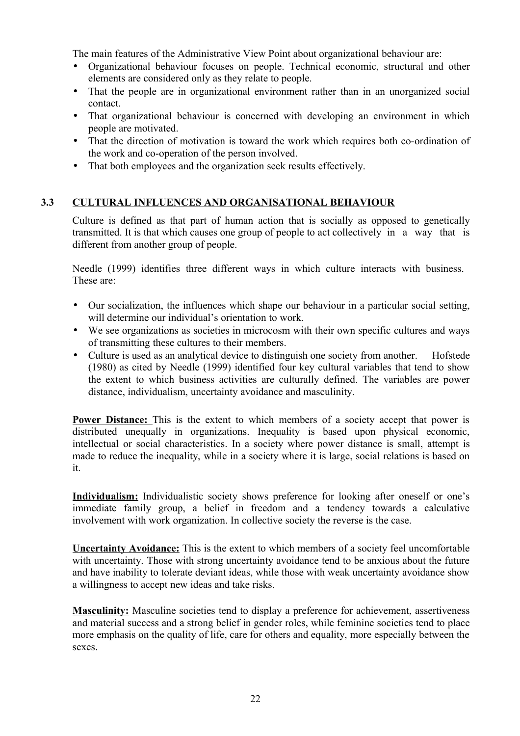The main features of the Administrative View Point about organizational behaviour are:

- Organizational behaviour focuses on people. Technical economic, structural and other elements are considered only as they relate to people.
- That the people are in organizational environment rather than in an unorganized social contact.
- That organizational behaviour is concerned with developing an environment in which people are motivated.
- That the direction of motivation is toward the work which requires both co-ordination of the work and co-operation of the person involved.
- That both employees and the organization seek results effectively.

### **3.3 CULTURAL INFLUENCES AND ORGANISATIONAL BEHAVIOUR**

Culture is defined as that part of human action that is socially as opposed to genetically transmitted. It is that which causes one group of people to act collectively in a way that is different from another group of people.

Needle (1999) identifies three different ways in which culture interacts with business. These are:

- Our socialization, the influences which shape our behaviour in a particular social setting. will determine our individual's orientation to work.
- We see organizations as societies in microcosm with their own specific cultures and ways of transmitting these cultures to their members.
- Culture is used as an analytical device to distinguish one society from another. Hofstede (1980) as cited by Needle (1999) identified four key cultural variables that tend to show the extent to which business activities are culturally defined. The variables are power distance, individualism, uncertainty avoidance and masculinity.

**Power Distance:** This is the extent to which members of a society accept that power is distributed unequally in organizations. Inequality is based upon physical economic, intellectual or social characteristics. In a society where power distance is small, attempt is made to reduce the inequality, while in a society where it is large, social relations is based on it.

**Individualism:** Individualistic society shows preference for looking after oneself or one's immediate family group, a belief in freedom and a tendency towards a calculative involvement with work organization. In collective society the reverse is the case.

**Uncertainty Avoidance:** This is the extent to which members of a society feel uncomfortable with uncertainty. Those with strong uncertainty avoidance tend to be anxious about the future and have inability to tolerate deviant ideas, while those with weak uncertainty avoidance show a willingness to accept new ideas and take risks.

**Masculinity:** Masculine societies tend to display a preference for achievement, assertiveness and material success and a strong belief in gender roles, while feminine societies tend to place more emphasis on the quality of life, care for others and equality, more especially between the sexes.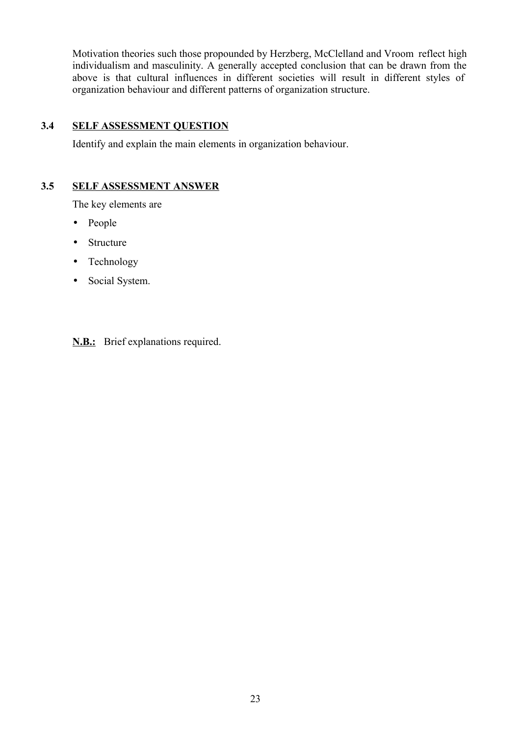Motivation theories such those propounded by Herzberg, McClelland and Vroom reflect high individualism and masculinity. A generally accepted conclusion that can be drawn from the above is that cultural influences in different societies will result in different styles of organization behaviour and different patterns of organization structure.

#### **3.4 SELF ASSESSMENT QUESTION**

Identify and explain the main elements in organization behaviour.

### **3.5 SELF ASSESSMENT ANSWER**

The key elements are

- People
- Structure
- Technology
- Social System.

**N.B.:** Brief explanations required.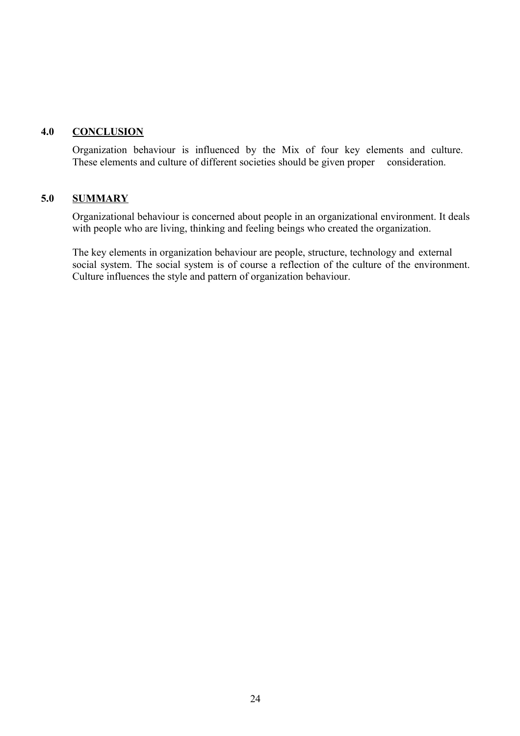#### **4.0 CONCLUSION**

Organization behaviour is influenced by the Mix of four key elements and culture. These elements and culture of different societies should be given proper consideration.

#### **5.0 SUMMARY**

Organizational behaviour is concerned about people in an organizational environment. It deals with people who are living, thinking and feeling beings who created the organization.

The key elements in organization behaviour are people, structure, technology and external social system. The social system is of course a reflection of the culture of the environment. Culture influences the style and pattern of organization behaviour.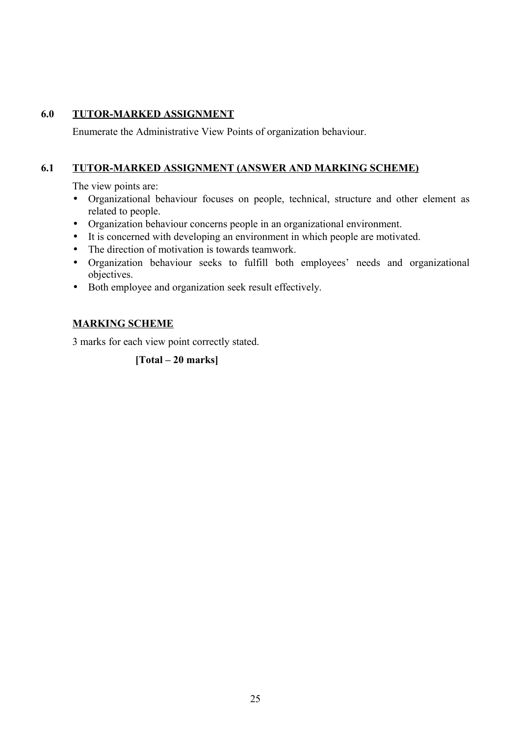### **6.0 TUTOR-MARKED ASSIGNMENT**

Enumerate the Administrative View Points of organization behaviour.

#### **6.1 TUTOR-MARKED ASSIGNMENT (ANSWER AND MARKING SCHEME)**

The view points are:

- Organizational behaviour focuses on people, technical, structure and other element as related to people.
- Organization behaviour concerns people in an organizational environment.
- It is concerned with developing an environment in which people are motivated.
- The direction of motivation is towards teamwork.
- Organization behaviour seeks to fulfill both employees' needs and organizational objectives.
- Both employee and organization seek result effectively.

### **MARKING SCHEME**

3 marks for each view point correctly stated.

**[Total – 20 marks]**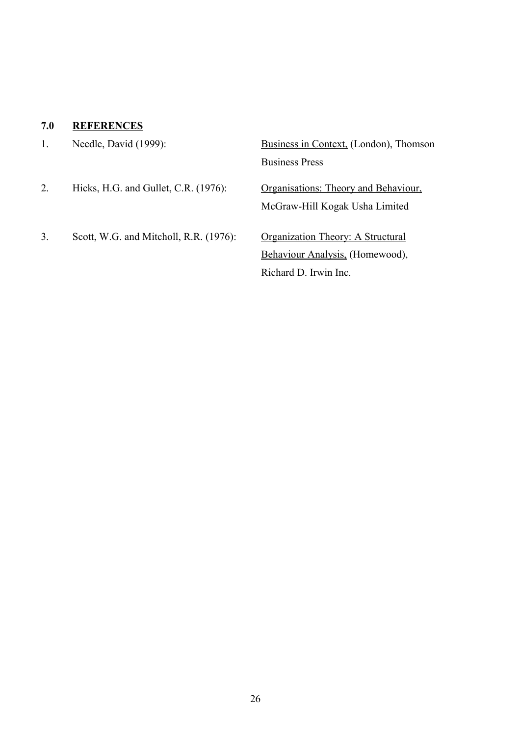# **7.0 REFERENCES**

|    | Needle, David (1999):                  | Business in Context, (London), Thomson |  |  |  |  |
|----|----------------------------------------|----------------------------------------|--|--|--|--|
|    |                                        | <b>Business Press</b>                  |  |  |  |  |
| 2. | Hicks, H.G. and Gullet, C.R. (1976):   | Organisations: Theory and Behaviour,   |  |  |  |  |
|    |                                        | McGraw-Hill Kogak Usha Limited         |  |  |  |  |
| 3. | Scott, W.G. and Mitcholl, R.R. (1976): | Organization Theory: A Structural      |  |  |  |  |
|    |                                        | Behaviour Analysis, (Homewood),        |  |  |  |  |
|    |                                        | Richard D. Irwin Inc.                  |  |  |  |  |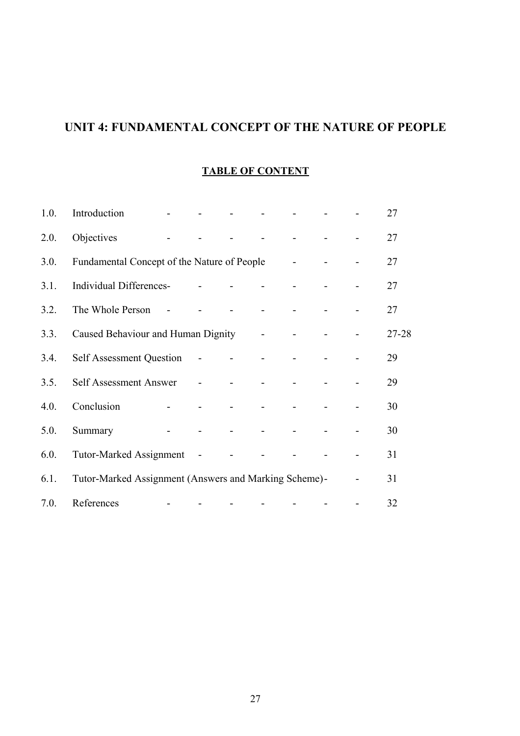# **UNIT 4: FUNDAMENTAL CONCEPT OF THE NATURE OF PEOPLE**

### **TABLE OF CONTENT**

| 1.0. | Introduction                                          |                |                |                       |  | 27    |
|------|-------------------------------------------------------|----------------|----------------|-----------------------|--|-------|
| 2.0. | Objectives                                            |                |                |                       |  | 27    |
| 3.0. | Fundamental Concept of the Nature of People           |                |                |                       |  | 27    |
| 3.1. | Individual Differences-                               |                |                |                       |  | 27    |
| 3.2. | The Whole Person                                      |                |                |                       |  | 27    |
| 3.3. | Caused Behaviour and Human Dignity                    |                |                | $\Delta \sim 10^{-1}$ |  | 27-28 |
| 3.4. | <b>Self Assessment Question</b>                       | $\overline{a}$ |                |                       |  | 29    |
| 3.5. | Self Assessment Answer                                | $\mathbb{L}^2$ |                |                       |  | 29    |
| 4.0. | Conclusion                                            |                |                |                       |  | 30    |
| 5.0. | Summary                                               |                | $\blacksquare$ |                       |  | 30    |
| 6.0. | <b>Tutor-Marked Assignment</b>                        | $\sim$ $-$     |                |                       |  | 31    |
| 6.1. | Tutor-Marked Assignment (Answers and Marking Scheme)- |                |                |                       |  | 31    |
| 7.0. | References                                            |                |                |                       |  | 32    |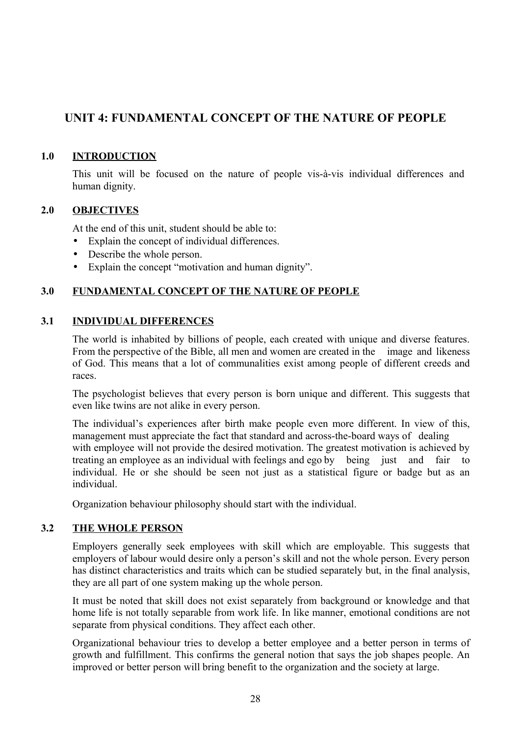## **UNIT 4: FUNDAMENTAL CONCEPT OF THE NATURE OF PEOPLE**

### **1.0 INTRODUCTION**

This unit will be focused on the nature of people vis-à-vis individual differences and human dignity.

### **2.0 OBJECTIVES**

At the end of this unit, student should be able to:

- Explain the concept of individual differences.
- Describe the whole person.
- Explain the concept "motivation and human dignity".

#### **3.0 FUNDAMENTAL CONCEPT OF THE NATURE OF PEOPLE**

#### **3.1 INDIVIDUAL DIFFERENCES**

The world is inhabited by billions of people, each created with unique and diverse features. From the perspective of the Bible, all men and women are created in the image and likeness of God. This means that a lot of communalities exist among people of different creeds and races.

The psychologist believes that every person is born unique and different. This suggests that even like twins are not alike in every person.

The individual's experiences after birth make people even more different. In view of this, management must appreciate the fact that standard and across-the-board ways of dealing with employee will not provide the desired motivation. The greatest motivation is achieved by treating an employee as an individual with feelings and ego by being just and fair to individual. He or she should be seen not just as a statistical figure or badge but as an individual.

Organization behaviour philosophy should start with the individual.

#### **3.2 THE WHOLE PERSON**

Employers generally seek employees with skill which are employable. This suggests that employers of labour would desire only a person's skill and not the whole person. Every person has distinct characteristics and traits which can be studied separately but, in the final analysis, they are all part of one system making up the whole person.

It must be noted that skill does not exist separately from background or knowledge and that home life is not totally separable from work life. In like manner, emotional conditions are not separate from physical conditions. They affect each other.

Organizational behaviour tries to develop a better employee and a better person in terms of growth and fulfillment. This confirms the general notion that says the job shapes people. An improved or better person will bring benefit to the organization and the society at large.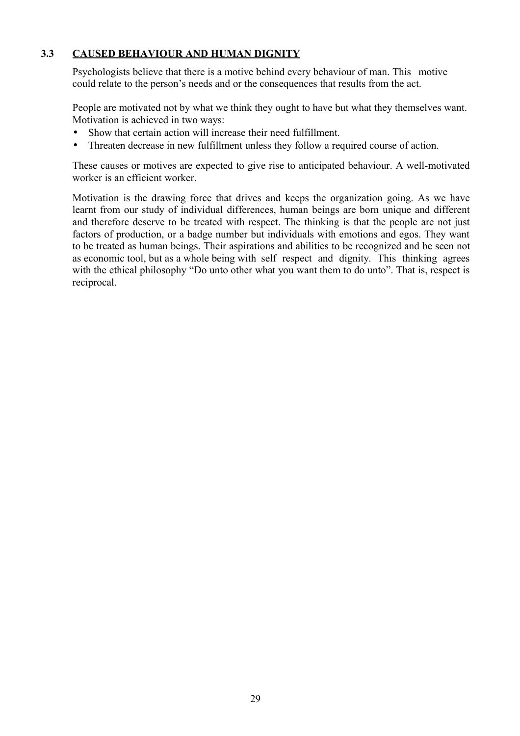### **3.3 CAUSED BEHAVIOUR AND HUMAN DIGNITY**

Psychologists believe that there is a motive behind every behaviour of man. This motive could relate to the person's needs and or the consequences that results from the act.

People are motivated not by what we think they ought to have but what they themselves want. Motivation is achieved in two ways:

- Show that certain action will increase their need fulfillment.
- Threaten decrease in new fulfillment unless they follow a required course of action.

These causes or motives are expected to give rise to anticipated behaviour. A well-motivated worker is an efficient worker.

Motivation is the drawing force that drives and keeps the organization going. As we have learnt from our study of individual differences, human beings are born unique and different and therefore deserve to be treated with respect. The thinking is that the people are not just factors of production, or a badge number but individuals with emotions and egos. They want to be treated as human beings. Their aspirations and abilities to be recognized and be seen not as economic tool, but as a whole being with self respect and dignity. This thinking agrees with the ethical philosophy "Do unto other what you want them to do unto". That is, respect is reciprocal.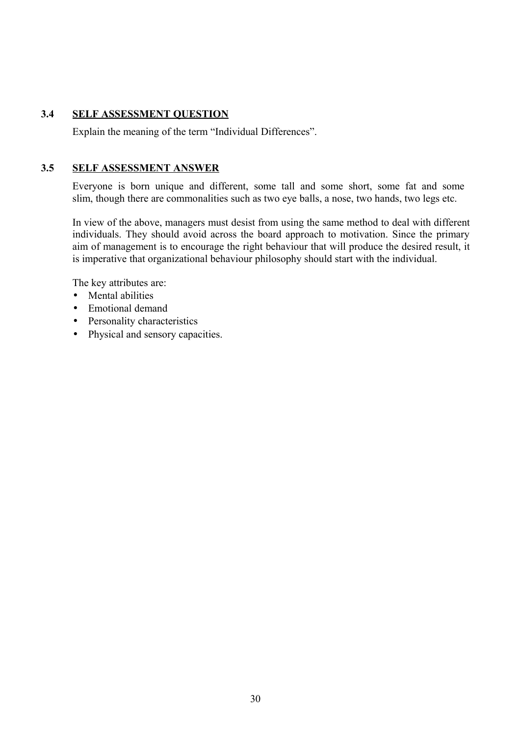#### **3.4 SELF ASSESSMENT QUESTION**

Explain the meaning of the term "Individual Differences".

#### **3.5 SELF ASSESSMENT ANSWER**

Everyone is born unique and different, some tall and some short, some fat and some slim, though there are commonalities such as two eye balls, a nose, two hands, two legs etc.

In view of the above, managers must desist from using the same method to deal with different individuals. They should avoid across the board approach to motivation. Since the primary aim of management is to encourage the right behaviour that will produce the desired result, it is imperative that organizational behaviour philosophy should start with the individual.

The key attributes are:

- Mental abilities
- Emotional demand
- Personality characteristics
- Physical and sensory capacities.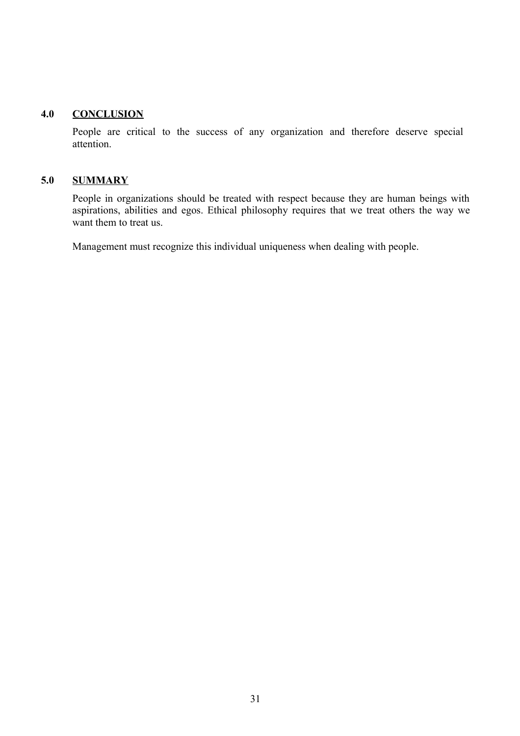#### **4.0 CONCLUSION**

People are critical to the success of any organization and therefore deserve special attention.

### **5.0 SUMMARY**

People in organizations should be treated with respect because they are human beings with aspirations, abilities and egos. Ethical philosophy requires that we treat others the way we want them to treat us.

Management must recognize this individual uniqueness when dealing with people.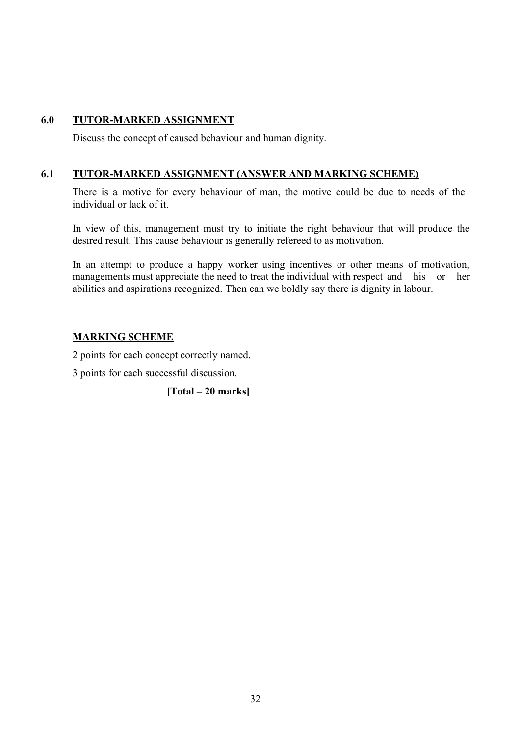### **6.0 TUTOR-MARKED ASSIGNMENT**

Discuss the concept of caused behaviour and human dignity.

#### **6.1 TUTOR-MARKED ASSIGNMENT (ANSWER AND MARKING SCHEME)**

There is a motive for every behaviour of man, the motive could be due to needs of the individual or lack of it.

In view of this, management must try to initiate the right behaviour that will produce the desired result. This cause behaviour is generally refereed to as motivation.

In an attempt to produce a happy worker using incentives or other means of motivation, managements must appreciate the need to treat the individual with respect and his or her abilities and aspirations recognized. Then can we boldly say there is dignity in labour.

### **MARKING SCHEME**

2 points for each concept correctly named.

3 points for each successful discussion.

**[Total – 20 marks]**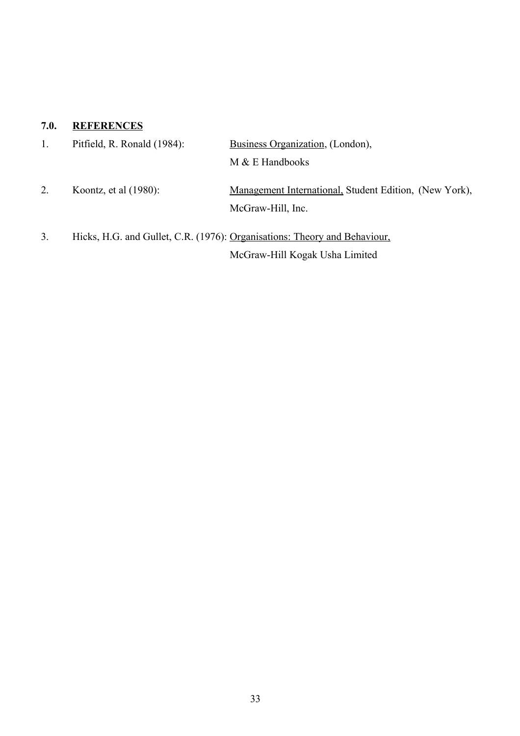# **7.0. REFERENCES**

|    | Pitfield, R. Ronald (1984): | Business Organization, (London),                                            |  |  |  |  |
|----|-----------------------------|-----------------------------------------------------------------------------|--|--|--|--|
|    |                             | $M & E$ Handbooks                                                           |  |  |  |  |
| 2. | Koontz, et al $(1980)$ :    | Management International, Student Edition, (New York),<br>McGraw-Hill, Inc. |  |  |  |  |
| 3. |                             | Hicks, H.G. and Gullet, C.R. (1976): Organisations: Theory and Behaviour,   |  |  |  |  |

McGraw-Hill Kogak Usha Limited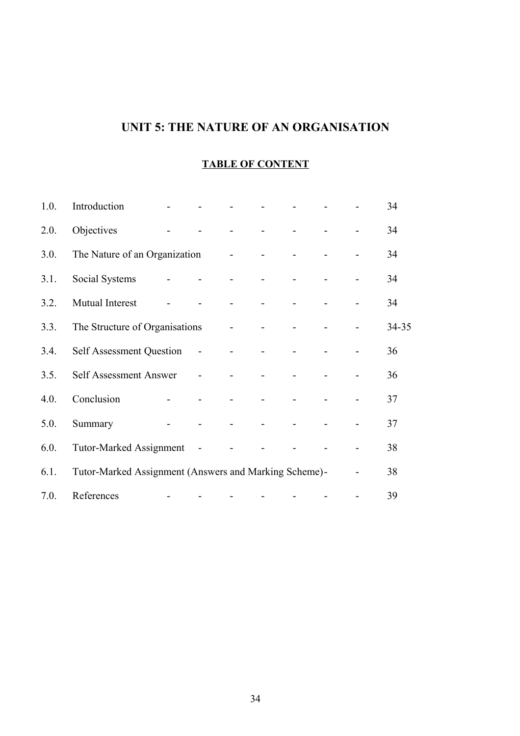# **UNIT 5: THE NATURE OF AN ORGANISATION**

# **TABLE OF CONTENT**

| 1.0. | Introduction                                          |                             |                            |                    |  | 34    |
|------|-------------------------------------------------------|-----------------------------|----------------------------|--------------------|--|-------|
| 2.0. | Objectives                                            |                             | and the state              |                    |  | 34    |
| 3.0. | The Nature of an Organization                         |                             | $\omega_{\rm{max}}=0.0000$ |                    |  | 34    |
| 3.1. | Social Systems                                        |                             | $\overline{a}$             |                    |  | 34    |
| 3.2. | Mutual Interest                                       |                             | $\Delta \sim 10^{-11}$     | $\Delta \sim 10^4$ |  | 34    |
| 3.3. | The Structure of Organisations                        |                             | $\omega_{\rm{max}}=0.0000$ |                    |  | 34-35 |
| 3.4. | Self Assessment Question -                            |                             | $\Delta \sim 10^{-1}$      | $\sim$             |  | 36    |
| 3.5. | Self Assessment Answer                                | $\mathbb{Z}^2$              | $\overline{a}$             |                    |  | 36    |
| 4.0. | Conclusion                                            |                             |                            |                    |  | 37    |
| 5.0. | Summary                                               |                             |                            |                    |  | 37    |
| 6.0. | Tutor-Marked Assignment                               | $\mathcal{L}_{\mathcal{A}}$ |                            |                    |  | 38    |
| 6.1. | Tutor-Marked Assignment (Answers and Marking Scheme)- |                             |                            |                    |  | 38    |
| 7.0. | References                                            |                             |                            |                    |  | 39    |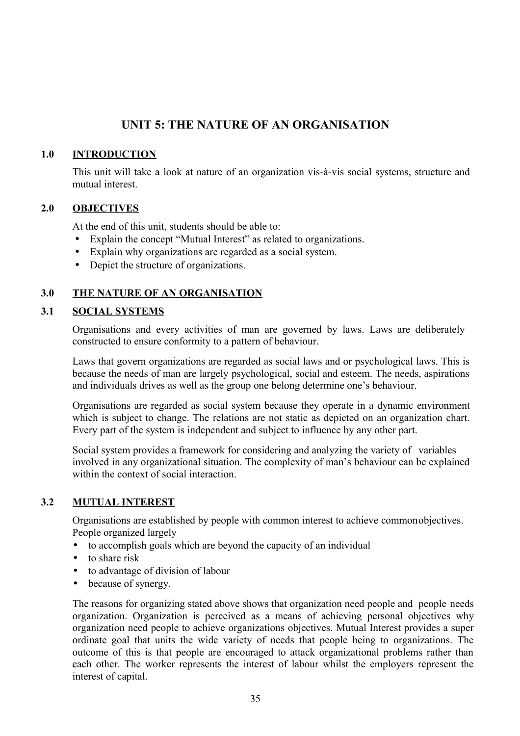# **UNIT 5: THE NATURE OF AN ORGANISATION**

#### **1.0 INTRODUCTION**

This unit will take a look at nature of an organization vis-à-vis social systems, structure and mutual interest.

#### **2.0 OBJECTIVES**

At the end of this unit, students should be able to:

- Explain the concept "Mutual Interest" as related to organizations.
- Explain why organizations are regarded as a social system.
- Depict the structure of organizations.

### **3.0 THE NATURE OF AN ORGANISATION**

#### **3.1 SOCIAL SYSTEMS**

Organisations and every activities of man are governed by laws. Laws are deliberately constructed to ensure conformity to a pattern of behaviour.

Laws that govern organizations are regarded as social laws and or psychological laws. This is because the needs of man are largely psychological, social and esteem. The needs, aspirations and individuals drives as well as the group one belong determine one's behaviour.

Organisations are regarded as social system because they operate in a dynamic environment which is subject to change. The relations are not static as depicted on an organization chart. Every part of the system is independent and subject to influence by any other part.

Social system provides a framework for considering and analyzing the variety of variables involved in any organizational situation. The complexity of man's behaviour can be explained within the context of social interaction.

#### **3.2 MUTUAL INTEREST**

Organisations are established by people with common interest to achieve commonobjectives. People organized largely

- to accomplish goals which are beyond the capacity of an individual
- to share risk
- to advantage of division of labour
- because of synergy.

The reasons for organizing stated above shows that organization need people and people needs organization. Organization is perceived as a means of achieving personal objectives why organization need people to achieve organizations objectives. Mutual Interest provides a super ordinate goal that units the wide variety of needs that people being to organizations. The outcome of this is that people are encouraged to attack organizational problems rather than each other. The worker represents the interest of labour whilst the employers represent the interest of capital.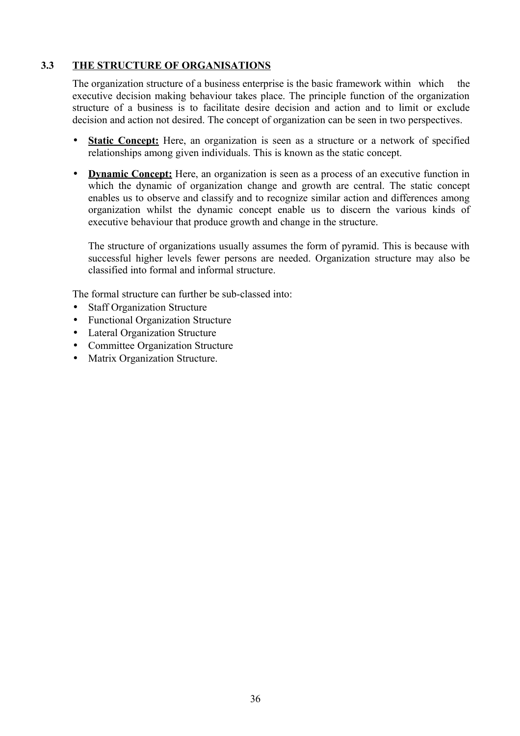### **3.3 THE STRUCTURE OF ORGANISATIONS**

The organization structure of a business enterprise is the basic framework within which the executive decision making behaviour takes place. The principle function of the organization structure of a business is to facilitate desire decision and action and to limit or exclude decision and action not desired. The concept of organization can be seen in two perspectives.

- **Static Concept:** Here, an organization is seen as a structure or a network of specified relationships among given individuals. This is known as the static concept.
- • **Dynamic Concept:** Here, an organization is seen as a process of an executive function in which the dynamic of organization change and growth are central. The static concept enables us to observe and classify and to recognize similar action and differences among organization whilst the dynamic concept enable us to discern the various kinds of executive behaviour that produce growth and change in the structure.

The structure of organizations usually assumes the form of pyramid. This is because with successful higher levels fewer persons are needed. Organization structure may also be classified into formal and informal structure.

The formal structure can further be sub-classed into:

- Staff Organization Structure
- Functional Organization Structure
- Lateral Organization Structure
- Committee Organization Structure
- Matrix Organization Structure.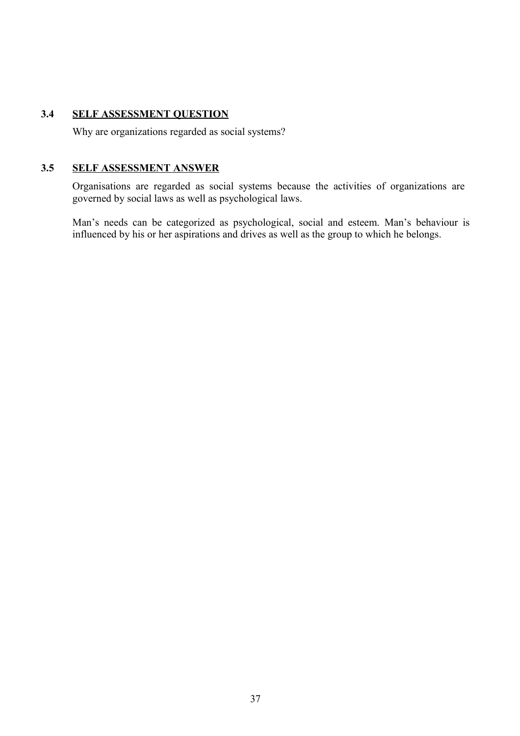## **3.4 SELF ASSESSMENT QUESTION**

Why are organizations regarded as social systems?

#### **3.5 SELF ASSESSMENT ANSWER**

Organisations are regarded as social systems because the activities of organizations are governed by social laws as well as psychological laws.

Man's needs can be categorized as psychological, social and esteem. Man's behaviour is influenced by his or her aspirations and drives as well as the group to which he belongs.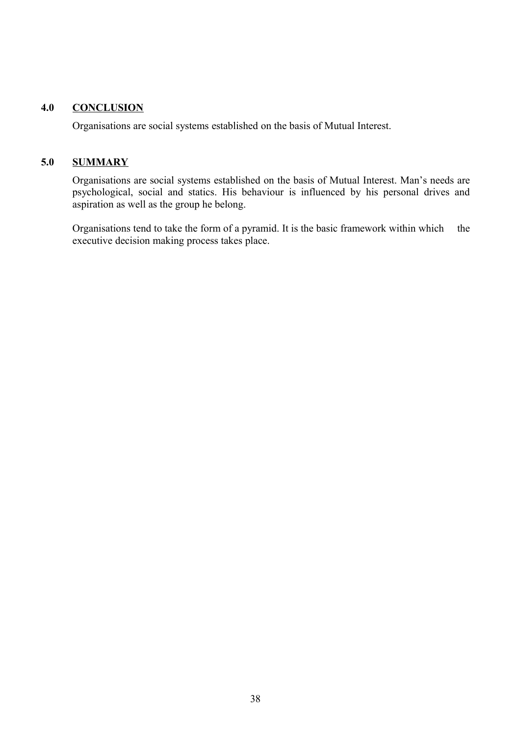#### **4.0 CONCLUSION**

Organisations are social systems established on the basis of Mutual Interest.

#### **5.0 SUMMARY**

Organisations are social systems established on the basis of Mutual Interest. Man's needs are psychological, social and statics. His behaviour is influenced by his personal drives and aspiration as well as the group he belong.

Organisations tend to take the form of a pyramid. It is the basic framework within which the executive decision making process takes place.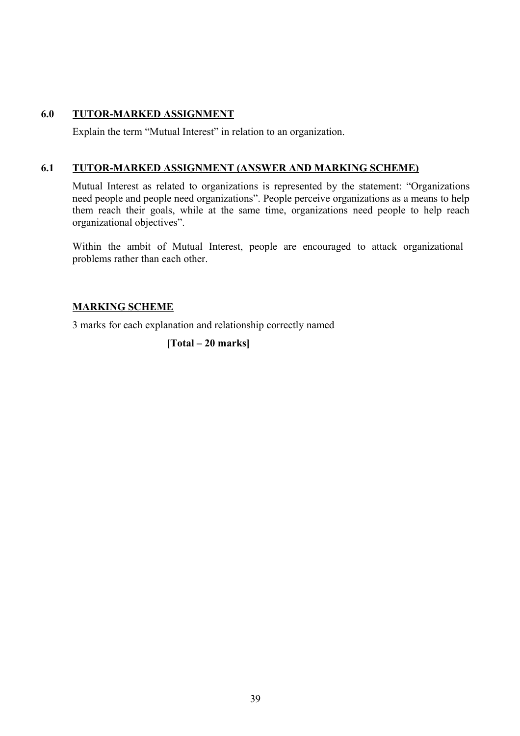## **6.0 TUTOR-MARKED ASSIGNMENT**

Explain the term "Mutual Interest" in relation to an organization.

## **6.1 TUTOR-MARKED ASSIGNMENT (ANSWER AND MARKING SCHEME)**

Mutual Interest as related to organizations is represented by the statement: "Organizations need people and people need organizations". People perceive organizations as a means to help them reach their goals, while at the same time, organizations need people to help reach organizational objectives".

Within the ambit of Mutual Interest, people are encouraged to attack organizational problems rather than each other.

## **MARKING SCHEME**

3 marks for each explanation and relationship correctly named

**[Total – 20 marks]**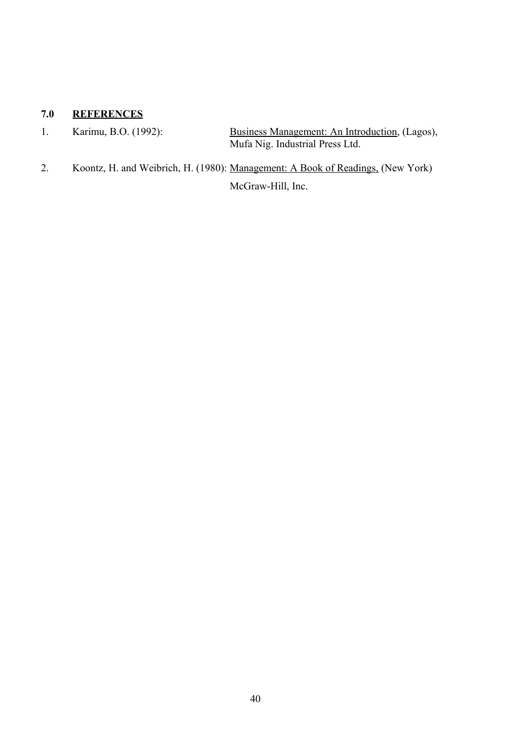## **7.0 REFERENCES**

1. Karimu, B.O. (1992): Business Management: An Introduction, (Lagos), Mufa Nig. Industrial Press Ltd.

2. Koontz, H. and Weibrich, H. (1980): Management: A Book of Readings, (New York) McGraw-Hill, Inc.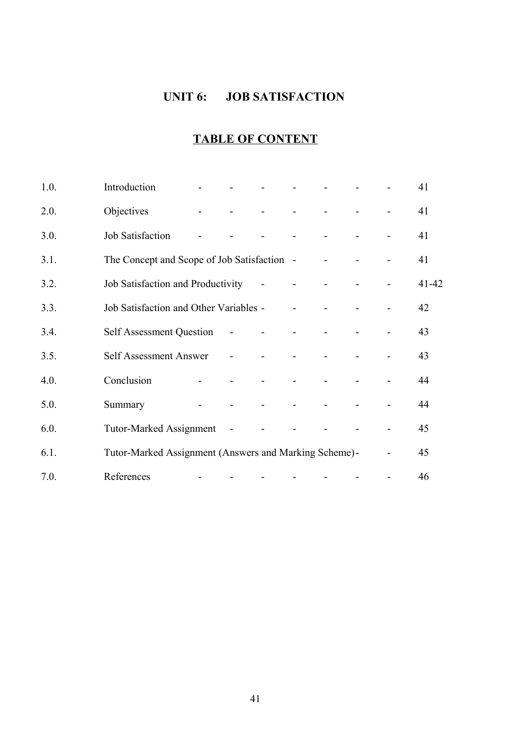## **UNIT 6: JOB SATISFACTION**

# **TABLE OF CONTENT**

| 1.0. | Introduction                                          |                          |                |                |  | 41        |
|------|-------------------------------------------------------|--------------------------|----------------|----------------|--|-----------|
| 2.0. | Objectives                                            |                          |                |                |  | 41        |
| 3.0. | Job Satisfaction                                      |                          |                | $\overline{a}$ |  | 41        |
| 3.1. | The Concept and Scope of Job Satisfaction -           |                          |                |                |  | 41        |
| 3.2. | Job Satisfaction and Productivity                     |                          | $\blacksquare$ |                |  | $41 - 42$ |
| 3.3. | Job Satisfaction and Other Variables -                |                          |                |                |  | 42        |
| 3.4. | <b>Self Assessment Question</b>                       | $\overline{\phantom{a}}$ |                |                |  | 43        |
| 3.5. | Self Assessment Answer                                | $\blacksquare$           |                |                |  | 43        |
| 4.0. | Conclusion                                            | $\mathbf{r}$             |                |                |  | 44        |
| 5.0. | Summary                                               |                          | $\blacksquare$ |                |  | 44        |
| 6.0. | <b>Tutor-Marked Assignment</b>                        | $\blacksquare$           |                |                |  | 45        |
| 6.1. | Tutor-Marked Assignment (Answers and Marking Scheme)- |                          |                |                |  | 45        |
| 7.0. | References                                            |                          |                |                |  | 46        |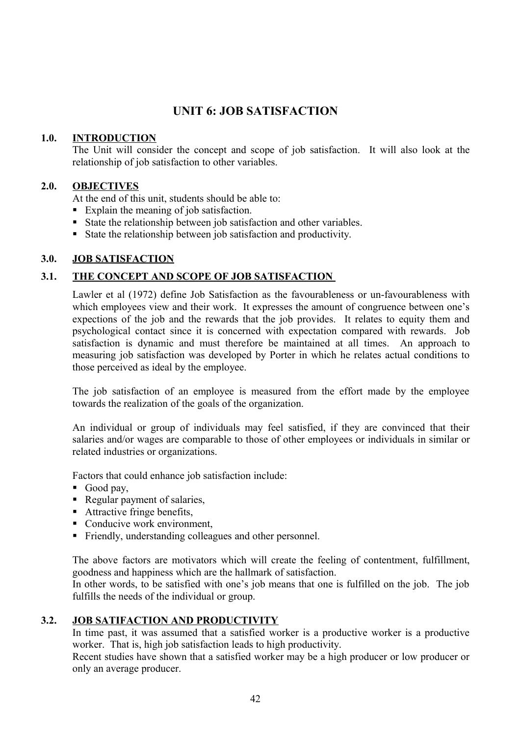## **UNIT 6: JOB SATISFACTION**

## **1.0. INTRODUCTION**

The Unit will consider the concept and scope of job satisfaction. It will also look at the relationship of job satisfaction to other variables.

## **2.0. OBJECTIVES**

At the end of this unit, students should be able to:

- Explain the meaning of job satisfaction.
- State the relationship between job satisfaction and other variables.
- State the relationship between job satisfaction and productivity.

## **3.0. JOB SATISFACTION**

## **3.1. THE CONCEPT AND SCOPE OF JOB SATISFACTION**

Lawler et al (1972) define Job Satisfaction as the favourableness or un-favourableness with which employees view and their work. It expresses the amount of congruence between one's expections of the job and the rewards that the job provides. It relates to equity them and psychological contact since it is concerned with expectation compared with rewards. Job satisfaction is dynamic and must therefore be maintained at all times. An approach to measuring job satisfaction was developed by Porter in which he relates actual conditions to those perceived as ideal by the employee.

The job satisfaction of an employee is measured from the effort made by the employee towards the realization of the goals of the organization.

An individual or group of individuals may feel satisfied, if they are convinced that their salaries and/or wages are comparable to those of other employees or individuals in similar or related industries or organizations.

Factors that could enhance job satisfaction include:

- Good pay,
- Regular payment of salaries,
- Attractive fringe benefits,
- Conducive work environment,
- Friendly, understanding colleagues and other personnel.

The above factors are motivators which will create the feeling of contentment, fulfillment, goodness and happiness which are the hallmark of satisfaction.

In other words, to be satisfied with one's job means that one is fulfilled on the job. The job fulfills the needs of the individual or group.

## **3.2. JOB SATIFACTION AND PRODUCTIVITY**

In time past, it was assumed that a satisfied worker is a productive worker is a productive worker. That is, high job satisfaction leads to high productivity.

Recent studies have shown that a satisfied worker may be a high producer or low producer or only an average producer.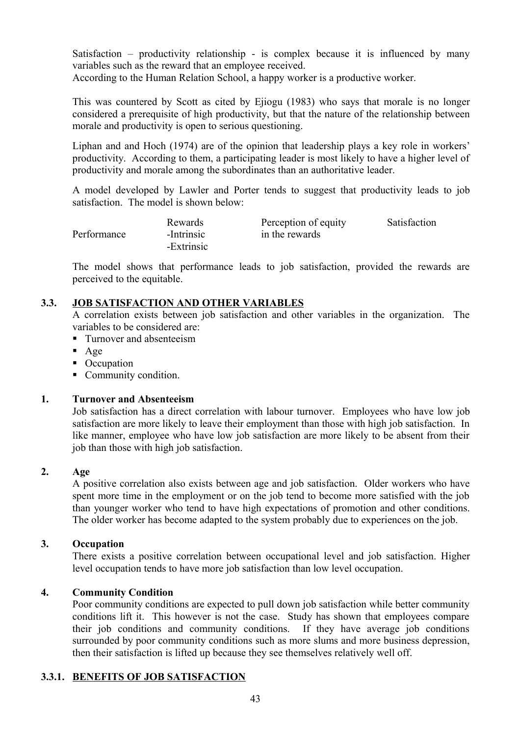Satisfaction – productivity relationship - is complex because it is influenced by many variables such as the reward that an employee received.

According to the Human Relation School, a happy worker is a productive worker.

This was countered by Scott as cited by Ejiogu (1983) who says that morale is no longer considered a prerequisite of high productivity, but that the nature of the relationship between morale and productivity is open to serious questioning.

Liphan and and Hoch (1974) are of the opinion that leadership plays a key role in workers' productivity. According to them, a participating leader is most likely to have a higher level of productivity and morale among the subordinates than an authoritative leader.

A model developed by Lawler and Porter tends to suggest that productivity leads to job satisfaction. The model is shown below:

|             | Rewards    | Perception of equity | Satisfaction |
|-------------|------------|----------------------|--------------|
| Performance | -Intrinsic | in the rewards       |              |
|             | -Extrinsic |                      |              |

The model shows that performance leads to job satisfaction, provided the rewards are perceived to the equitable.

## **3.3. JOB SATISFACTION AND OTHER VARIABLES**

A correlation exists between job satisfaction and other variables in the organization. The variables to be considered are:

- **Turnover and absenteeism**
- $Age$
- Occupation
- Community condition.

#### **1. Turnover and Absenteeism**

Job satisfaction has a direct correlation with labour turnover. Employees who have low job satisfaction are more likely to leave their employment than those with high job satisfaction. In like manner, employee who have low job satisfaction are more likely to be absent from their job than those with high job satisfaction.

#### **2. Age**

A positive correlation also exists between age and job satisfaction. Older workers who have spent more time in the employment or on the job tend to become more satisfied with the job than younger worker who tend to have high expectations of promotion and other conditions. The older worker has become adapted to the system probably due to experiences on the job.

#### **3. Occupation**

There exists a positive correlation between occupational level and job satisfaction. Higher level occupation tends to have more job satisfaction than low level occupation.

## **4. Community Condition**

Poor community conditions are expected to pull down job satisfaction while better community conditions lift it. This however is not the case. Study has shown that employees compare their job conditions and community conditions. If they have average job conditions surrounded by poor community conditions such as more slums and more business depression, then their satisfaction is lifted up because they see themselves relatively well off.

## **3.3.1. BENEFITS OF JOB SATISFACTION**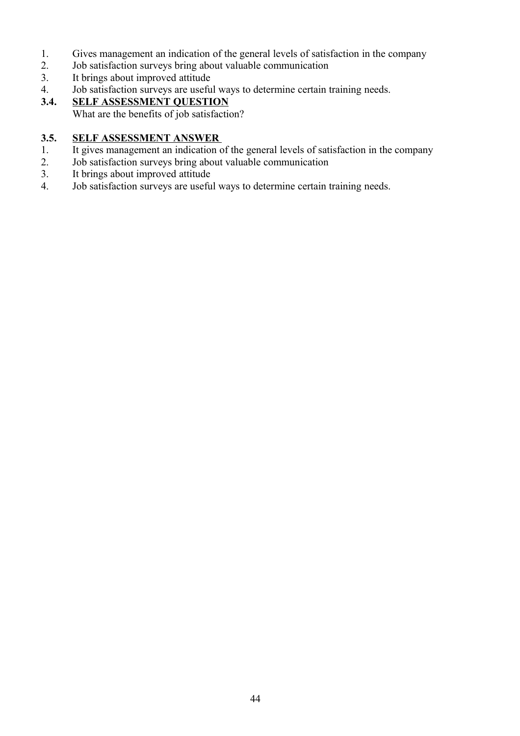- 1. Gives management an indication of the general levels of satisfaction in the company<br>2. Job satisfaction surveys bring about valuable communication
- 2. Job satisfaction surveys bring about valuable communication
- 3. It brings about improved attitude
- 4. Job satisfaction surveys are useful ways to determine certain training needs.

## **3.4. SELF ASSESSMENT QUESTION**

What are the benefits of job satisfaction?

## **3.5. SELF ASSESSMENT ANSWER**

- 1. It gives management an indication of the general levels of satisfaction in the company
- 2. Job satisfaction surveys bring about valuable communication
- 3. It brings about improved attitude
- 4. Job satisfaction surveys are useful ways to determine certain training needs.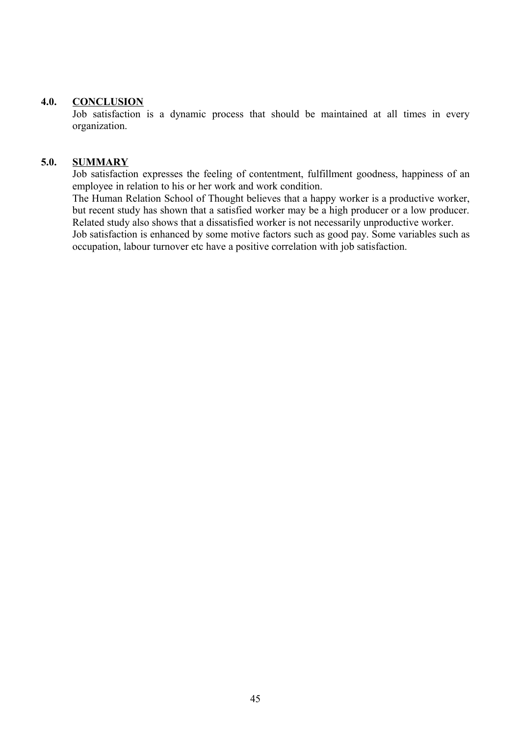#### **4.0. CONCLUSION**

Job satisfaction is a dynamic process that should be maintained at all times in every organization.

#### **5.0. SUMMARY**

Job satisfaction expresses the feeling of contentment, fulfillment goodness, happiness of an employee in relation to his or her work and work condition.

The Human Relation School of Thought believes that a happy worker is a productive worker, but recent study has shown that a satisfied worker may be a high producer or a low producer. Related study also shows that a dissatisfied worker is not necessarily unproductive worker.

Job satisfaction is enhanced by some motive factors such as good pay. Some variables such as occupation, labour turnover etc have a positive correlation with job satisfaction.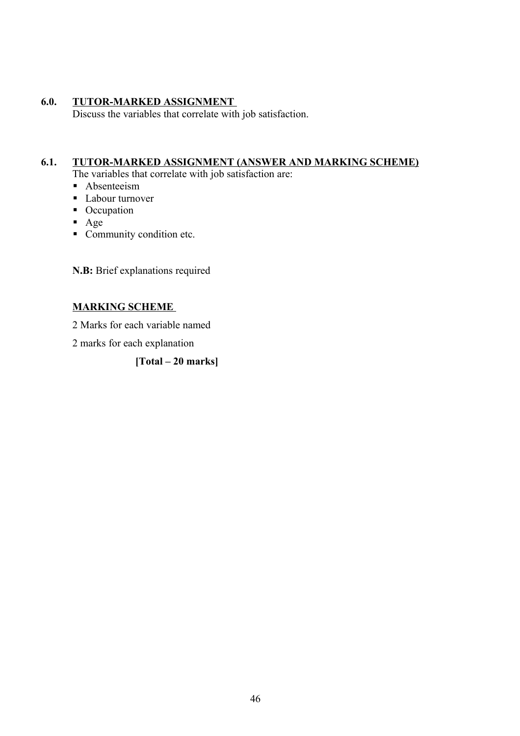## **6.0. TUTOR-MARKED ASSIGNMENT**

Discuss the variables that correlate with job satisfaction.

## **6.1. TUTOR-MARKED ASSIGNMENT (ANSWER AND MARKING SCHEME)**

The variables that correlate with job satisfaction are:

- **Absenteeism**
- Labour turnover
- Occupation
- Age
- Community condition etc.

**N.B:** Brief explanations required

## **MARKING SCHEME**

2 Marks for each variable named

2 marks for each explanation

## **[Total – 20 marks]**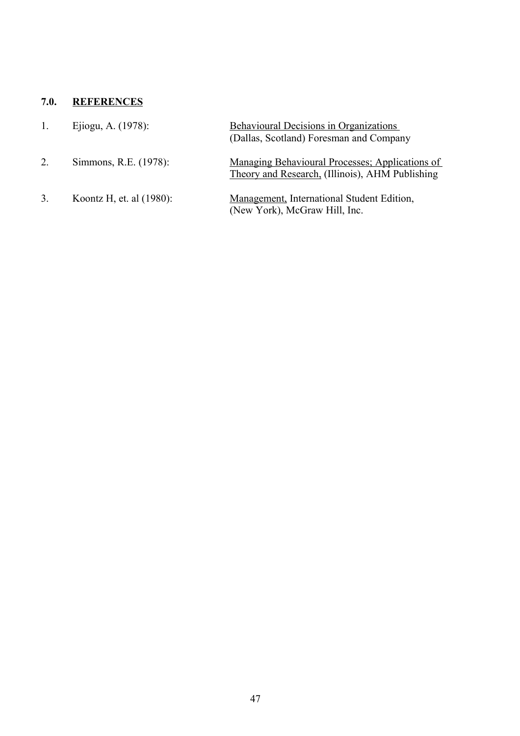## **7.0. REFERENCES**

| 1. | Ejiogu, A. (1978):          | <b>Behavioural Decisions in Organizations</b><br>(Dallas, Scotland) Foresman and Company           |
|----|-----------------------------|----------------------------------------------------------------------------------------------------|
| 2. | Simmons, R.E. (1978):       | Managing Behavioural Processes; Applications of<br>Theory and Research. (Illinois), AHM Publishing |
| 3. | Koontz H, et. al $(1980)$ : | Management, International Student Edition,<br>(New York), McGraw Hill, Inc.                        |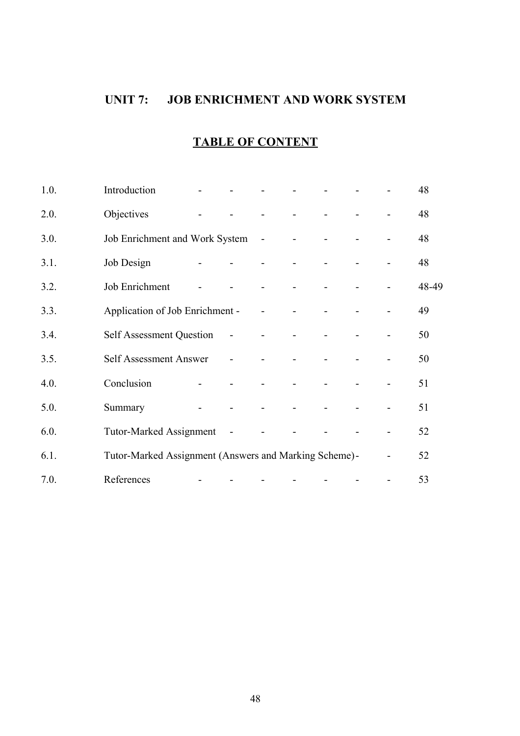## **UNIT 7: JOB ENRICHMENT AND WORK SYSTEM**

## **TABLE OF CONTENT**

| 1.0. | Introduction                                          |                          |                          |                |                |  | 48    |
|------|-------------------------------------------------------|--------------------------|--------------------------|----------------|----------------|--|-------|
| 2.0. | Objectives                                            |                          |                          | $\overline{a}$ | $\overline{a}$ |  | 48    |
| 3.0. | Job Enrichment and Work System                        |                          |                          | $\sim$         |                |  | 48    |
| 3.1. | Job Design                                            | $\overline{\phantom{0}}$ |                          | $\blacksquare$ |                |  | 48    |
| 3.2. | Job Enrichment                                        |                          |                          |                |                |  | 48-49 |
| 3.3. | Application of Job Enrichment -                       |                          |                          | $\overline{a}$ |                |  | 49    |
| 3.4. | <b>Self Assessment Question</b>                       |                          | $\overline{\phantom{a}}$ | $\overline{a}$ |                |  | 50    |
| 3.5. | Self Assessment Answer                                |                          | $\blacksquare$           |                |                |  | 50    |
| 4.0. | Conclusion                                            |                          |                          |                |                |  | 51    |
| 5.0. | Summary                                               |                          |                          |                |                |  | 51    |
| 6.0. | <b>Tutor-Marked Assignment</b>                        |                          | $\blacksquare$           |                |                |  | 52    |
| 6.1. | Tutor-Marked Assignment (Answers and Marking Scheme)- |                          |                          |                |                |  | 52    |
| 7.0. | References                                            |                          |                          |                |                |  | 53    |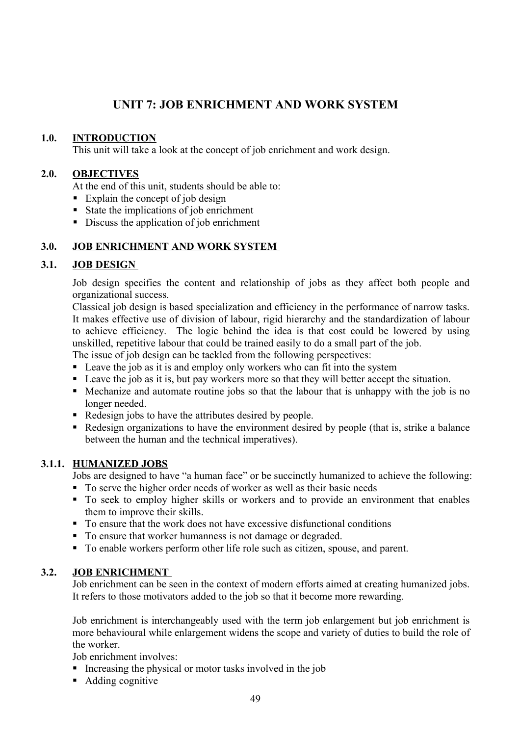## **UNIT 7: JOB ENRICHMENT AND WORK SYSTEM**

## **1.0. INTRODUCTION**

This unit will take a look at the concept of job enrichment and work design.

## **2.0. OBJECTIVES**

At the end of this unit, students should be able to:

- Explain the concept of job design
- State the implications of job enrichment
- Discuss the application of job enrichment

## **3.0. JOB ENRICHMENT AND WORK SYSTEM**

#### **3.1. JOB DESIGN**

Job design specifies the content and relationship of jobs as they affect both people and organizational success.

Classical job design is based specialization and efficiency in the performance of narrow tasks. It makes effective use of division of labour, rigid hierarchy and the standardization of labour to achieve efficiency. The logic behind the idea is that cost could be lowered by using unskilled, repetitive labour that could be trained easily to do a small part of the job.

The issue of job design can be tackled from the following perspectives:

- **Leave the job as it is and employ only workers who can fit into the system**
- Leave the job as it is, but pay workers more so that they will better accept the situation.
- Mechanize and automate routine jobs so that the labour that is unhappy with the job is no longer needed.
- Redesign jobs to have the attributes desired by people.
- Redesign organizations to have the environment desired by people (that is, strike a balance between the human and the technical imperatives).

## **3.1.1. HUMANIZED JOBS**

Jobs are designed to have "a human face" or be succinctly humanized to achieve the following:

- To serve the higher order needs of worker as well as their basic needs
- To seek to employ higher skills or workers and to provide an environment that enables them to improve their skills.
- To ensure that the work does not have excessive disfunctional conditions
- To ensure that worker humanness is not damage or degraded.
- To enable workers perform other life role such as citizen, spouse, and parent.

## **3.2. JOB ENRICHMENT**

Job enrichment can be seen in the context of modern efforts aimed at creating humanized jobs. It refers to those motivators added to the job so that it become more rewarding.

Job enrichment is interchangeably used with the term job enlargement but job enrichment is more behavioural while enlargement widens the scope and variety of duties to build the role of the worker.

Job enrichment involves:

- Increasing the physical or motor tasks involved in the job
- Adding cognitive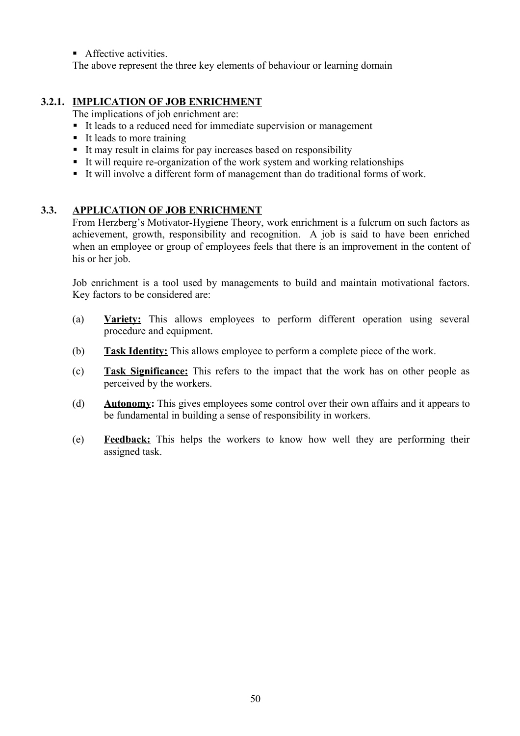**Affective activities.** 

The above represent the three key elements of behaviour or learning domain

## **3.2.1. IMPLICATION OF JOB ENRICHMENT**

The implications of job enrichment are:

- It leads to a reduced need for immediate supervision or management
- $\blacksquare$  It leads to more training
- It may result in claims for pay increases based on responsibility
- It will require re-organization of the work system and working relationships
- It will involve a different form of management than do traditional forms of work.

## **3.3. APPLICATION OF JOB ENRICHMENT**

From Herzberg's Motivator-Hygiene Theory, work enrichment is a fulcrum on such factors as achievement, growth, responsibility and recognition. A job is said to have been enriched when an employee or group of employees feels that there is an improvement in the content of his or her job.

Job enrichment is a tool used by managements to build and maintain motivational factors. Key factors to be considered are:

- (a) **Variety:** This allows employees to perform different operation using several procedure and equipment.
- (b) **Task Identity:** This allows employee to perform a complete piece of the work.
- (c) **Task Significance:** This refers to the impact that the work has on other people as perceived by the workers.
- (d) **Autonomy:** This gives employees some control over their own affairs and it appears to be fundamental in building a sense of responsibility in workers.
- (e) **Feedback:** This helps the workers to know how well they are performing their assigned task.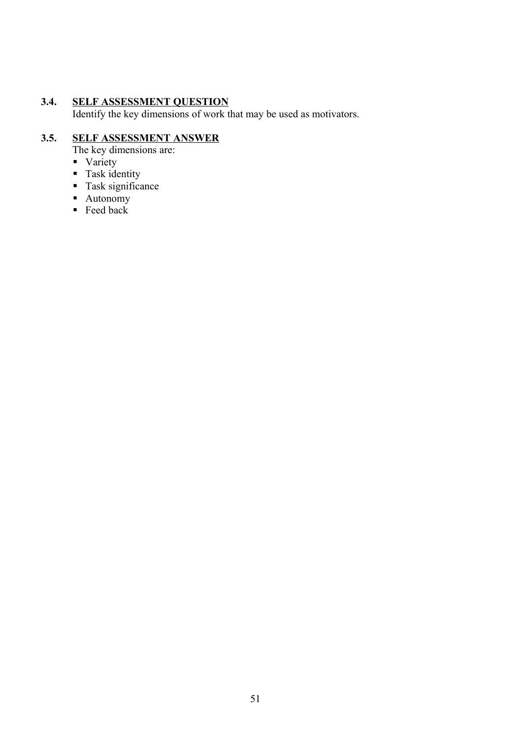#### **3.4. SELF ASSESSMENT QUESTION**

Identify the key dimensions of work that may be used as motivators.

## **3.5. SELF ASSESSMENT ANSWER**

- The key dimensions are:
- Variety
- **Task identity**
- Task significance
- Autonomy
- $\textbf{F}$  Feed back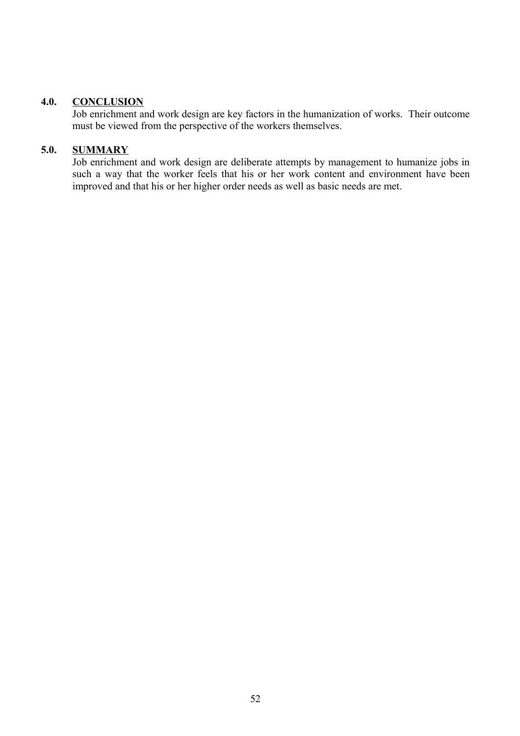#### **4.0. CONCLUSION**

Job enrichment and work design are key factors in the humanization of works. Their outcome must be viewed from the perspective of the workers themselves.

## **5.0. SUMMARY**

Job enrichment and work design are deliberate attempts by management to humanize jobs in such a way that the worker feels that his or her work content and environment have been improved and that his or her higher order needs as well as basic needs are met.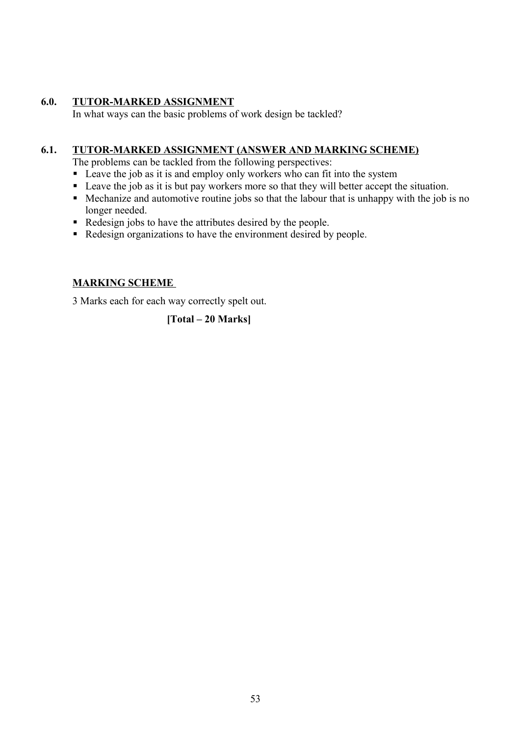## **6.0. TUTOR-MARKED ASSIGNMENT**

In what ways can the basic problems of work design be tackled?

## **6.1. TUTOR-MARKED ASSIGNMENT (ANSWER AND MARKING SCHEME)**

The problems can be tackled from the following perspectives:

- Leave the job as it is and employ only workers who can fit into the system
- Leave the job as it is but pay workers more so that they will better accept the situation.
- Mechanize and automotive routine jobs so that the labour that is unhappy with the job is no longer needed.
- Redesign jobs to have the attributes desired by the people.
- Redesign organizations to have the environment desired by people.

## **MARKING SCHEME**

3 Marks each for each way correctly spelt out.

## **[Total – 20 Marks]**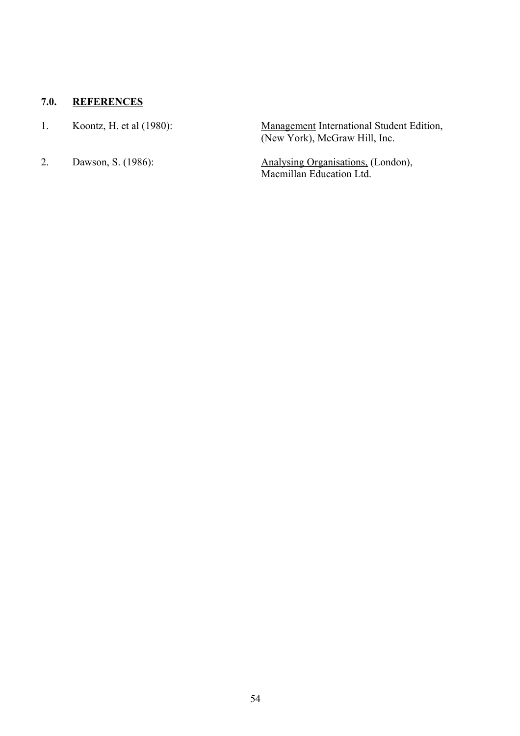## **7.0. REFERENCES**

- 
- 

1. Koontz, H. et al (1980): Management International Student Edition, (New York), McGraw Hill, Inc.

2. Dawson, S. (1986): Analysing Organisations, (London), Macmillan Education Ltd.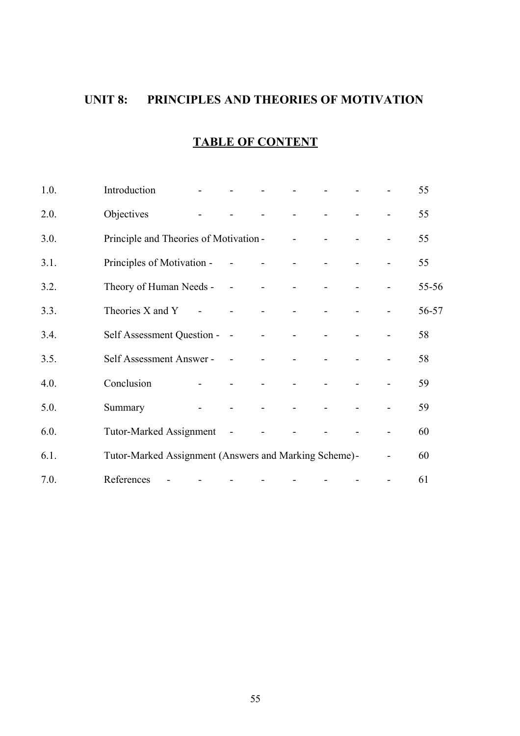## **UNIT 8: PRINCIPLES AND THEORIES OF MOTIVATION**

## **TABLE OF CONTENT**

| 1.0. | Introduction                                          |                |                          |                |                |  |                          | 55    |
|------|-------------------------------------------------------|----------------|--------------------------|----------------|----------------|--|--------------------------|-------|
| 2.0. | Objectives                                            |                |                          |                | $\overline{a}$ |  |                          | 55    |
| 3.0. | Principle and Theories of Motivation -                |                |                          |                | $\blacksquare$ |  |                          | 55    |
| 3.1. | Principles of Motivation -                            |                | $\overline{\phantom{a}}$ | $\blacksquare$ | $\overline{a}$ |  |                          | 55    |
| 3.2. | Theory of Human Needs -                               |                | $\sim$ $-$               | $\blacksquare$ | $\blacksquare$ |  | $\overline{\phantom{0}}$ | 55-56 |
| 3.3. | Theories X and Y                                      | $\blacksquare$ | $\overline{\phantom{a}}$ | $\blacksquare$ |                |  |                          | 56-57 |
| 3.4. | Self Assessment Question - -                          |                |                          | $\blacksquare$ |                |  |                          | 58    |
| 3.5. | Self Assessment Answer -                              |                | $\sim$                   | $\overline{a}$ |                |  |                          | 58    |
| 4.0. | Conclusion                                            | $\overline{a}$ | $\overline{\phantom{a}}$ | $\overline{a}$ |                |  |                          | 59    |
| 5.0. | Summary                                               |                | $\overline{a}$           | $\blacksquare$ |                |  |                          | 59    |
| 6.0. | Tutor-Marked Assignment                               |                | $\sim$                   |                |                |  |                          | 60    |
| 6.1. | Tutor-Marked Assignment (Answers and Marking Scheme)- |                |                          |                |                |  |                          | 60    |
| 7.0. | References                                            |                |                          |                |                |  |                          | 61    |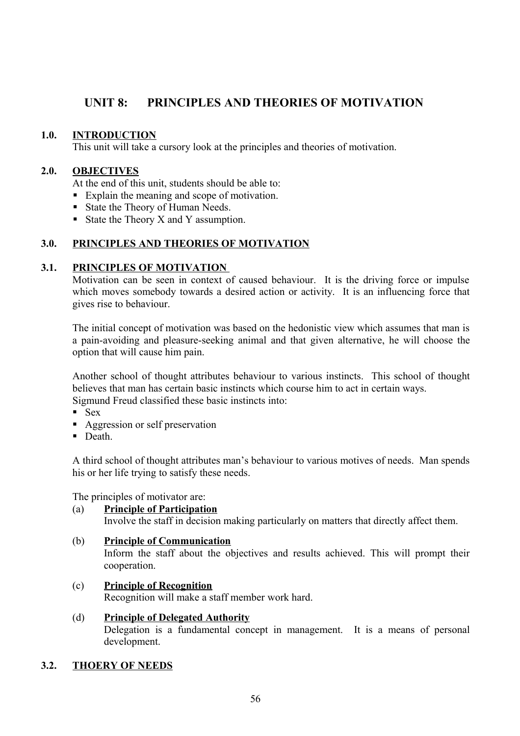## **UNIT 8: PRINCIPLES AND THEORIES OF MOTIVATION**

#### **1.0. INTRODUCTION**

This unit will take a cursory look at the principles and theories of motivation.

#### **2.0. OBJECTIVES**

At the end of this unit, students should be able to:

- Explain the meaning and scope of motivation.
- State the Theory of Human Needs.
- State the Theory X and Y assumption.

## **3.0. PRINCIPLES AND THEORIES OF MOTIVATION**

#### **3.1. PRINCIPLES OF MOTIVATION**

Motivation can be seen in context of caused behaviour. It is the driving force or impulse which moves somebody towards a desired action or activity. It is an influencing force that gives rise to behaviour.

The initial concept of motivation was based on the hedonistic view which assumes that man is a pain-avoiding and pleasure-seeking animal and that given alternative, he will choose the option that will cause him pain.

Another school of thought attributes behaviour to various instincts. This school of thought believes that man has certain basic instincts which course him to act in certain ways. Sigmund Freud classified these basic instincts into:

- $-$  Sex
- Aggression or self preservation
- $\blacksquare$  Death.

A third school of thought attributes man's behaviour to various motives of needs. Man spends his or her life trying to satisfy these needs.

The principles of motivator are:

#### (a) **Principle of Participation**

Involve the staff in decision making particularly on matters that directly affect them.

#### (b) **Principle of Communication**

Inform the staff about the objectives and results achieved. This will prompt their cooperation.

## (c) **Principle of Recognition**

Recognition will make a staff member work hard.

## (d) **Principle of Delegated Authority**

Delegation is a fundamental concept in management. It is a means of personal development.

## **3.2. THOERY OF NEEDS**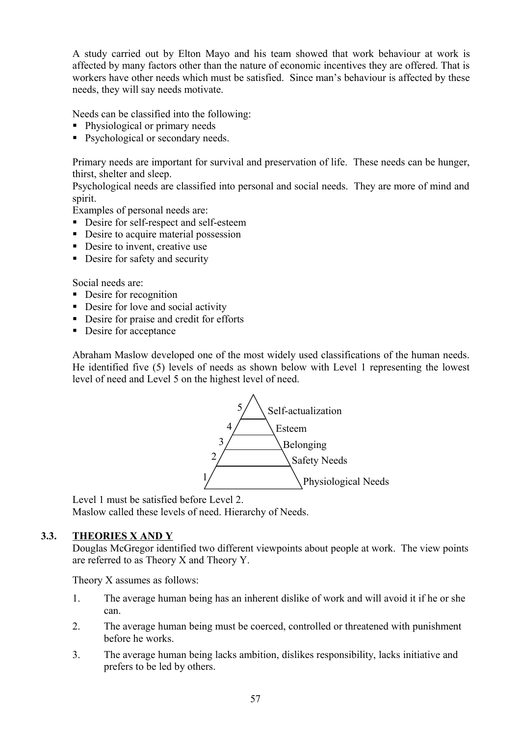A study carried out by Elton Mayo and his team showed that work behaviour at work is affected by many factors other than the nature of economic incentives they are offered. That is workers have other needs which must be satisfied. Since man's behaviour is affected by these needs, they will say needs motivate.

Needs can be classified into the following:

- Physiological or primary needs
- Psychological or secondary needs.

Primary needs are important for survival and preservation of life. These needs can be hunger, thirst, shelter and sleep.

Psychological needs are classified into personal and social needs. They are more of mind and spirit.

Examples of personal needs are:

- Desire for self-respect and self-esteem
- Desire to acquire material possession
- Desire to invent, creative use
- Desire for safety and security

Social needs are:

- Desire for recognition
- Desire for love and social activity
- Desire for praise and credit for efforts
- Desire for acceptance

Abraham Maslow developed one of the most widely used classifications of the human needs. He identified five (5) levels of needs as shown below with Level 1 representing the lowest level of need and Level 5 on the highest level of need.



Level 1 must be satisfied before Level 2. Maslow called these levels of need. Hierarchy of Needs.

## **3.3. THEORIES X AND Y**

Douglas McGregor identified two different viewpoints about people at work. The view points are referred to as Theory X and Theory Y.

Theory X assumes as follows:

- 1. The average human being has an inherent dislike of work and will avoid it if he or she can.
- 2. The average human being must be coerced, controlled or threatened with punishment before he works.
- 3. The average human being lacks ambition, dislikes responsibility, lacks initiative and prefers to be led by others.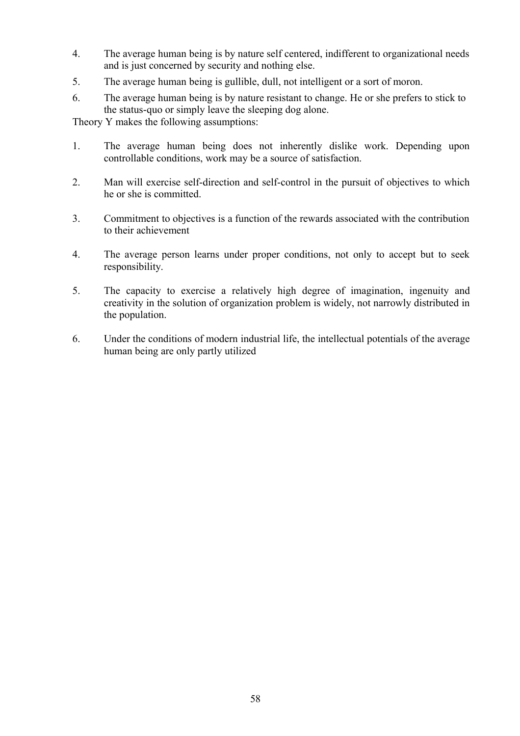- 4. The average human being is by nature self centered, indifferent to organizational needs and is just concerned by security and nothing else.
- 5. The average human being is gullible, dull, not intelligent or a sort of moron.
- 6. The average human being is by nature resistant to change. He or she prefers to stick to the status-quo or simply leave the sleeping dog alone.

Theory Y makes the following assumptions:

- 1. The average human being does not inherently dislike work. Depending upon controllable conditions, work may be a source of satisfaction.
- 2. Man will exercise self-direction and self-control in the pursuit of objectives to which he or she is committed.
- 3. Commitment to objectives is a function of the rewards associated with the contribution to their achievement
- 4. The average person learns under proper conditions, not only to accept but to seek responsibility.
- 5. The capacity to exercise a relatively high degree of imagination, ingenuity and creativity in the solution of organization problem is widely, not narrowly distributed in the population.
- 6. Under the conditions of modern industrial life, the intellectual potentials of the average human being are only partly utilized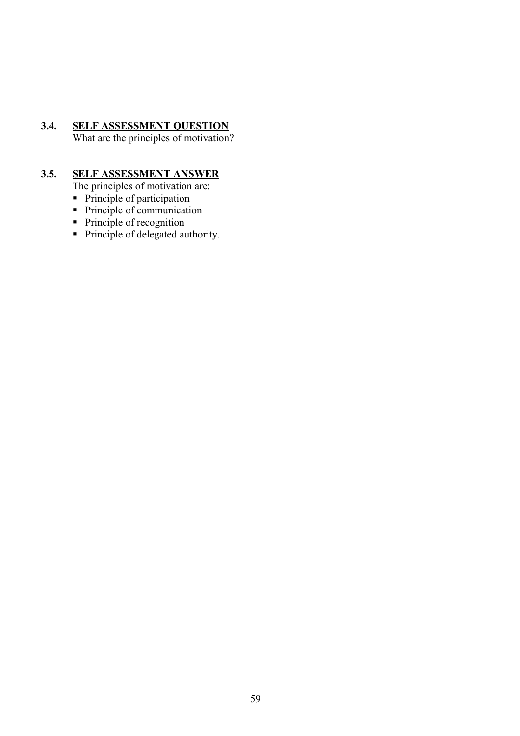## **3.4. SELF ASSESSMENT QUESTION**

What are the principles of motivation?

## **3.5. SELF ASSESSMENT ANSWER**

The principles of motivation are:

- Principle of participation
- $\blacksquare$  Principle of communication
- Principle of recognition
- Principle of delegated authority.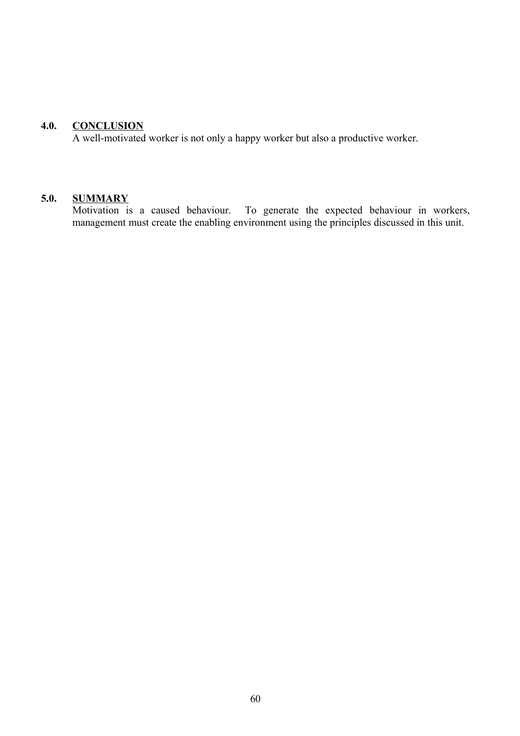## **4.0. CONCLUSION**

A well-motivated worker is not only a happy worker but also a productive worker.

## **5.0. SUMMARY**

Motivation is a caused behaviour. To generate the expected behaviour in workers, management must create the enabling environment using the principles discussed in this unit.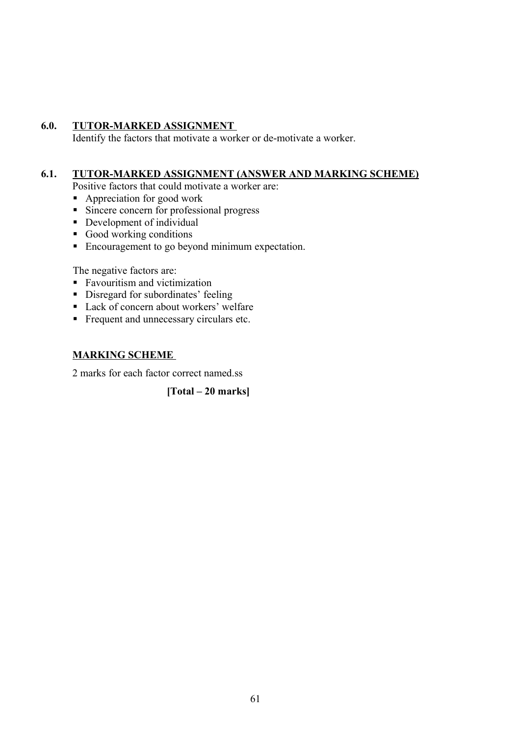## **6.0. TUTOR-MARKED ASSIGNMENT**

Identify the factors that motivate a worker or de-motivate a worker.

## **6.1. TUTOR-MARKED ASSIGNMENT (ANSWER AND MARKING SCHEME)**

Positive factors that could motivate a worker are:

- Appreciation for good work
- Sincere concern for professional progress
- Development of individual
- Good working conditions
- Encouragement to go beyond minimum expectation.

The negative factors are:

- Favouritism and victimization
- Disregard for subordinates' feeling
- Lack of concern about workers' welfare
- Frequent and unnecessary circulars etc.

## **MARKING SCHEME**

2 marks for each factor correct named.ss

**[Total – 20 marks]**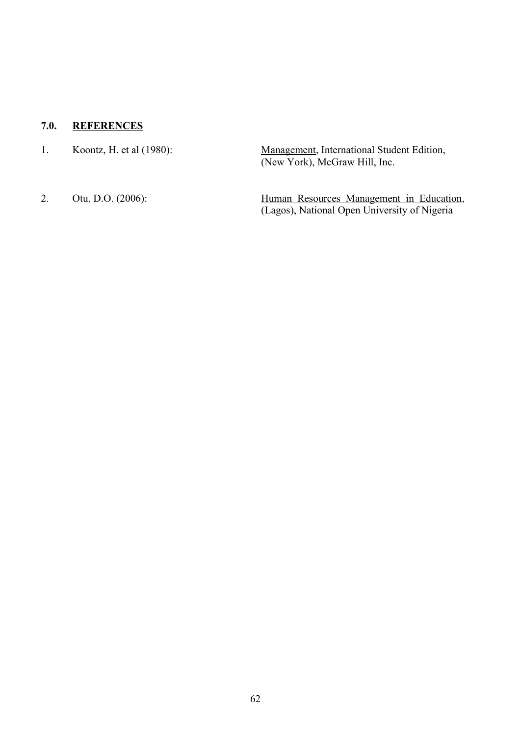## **7.0. REFERENCES**

| Koontz, H. et al $(1980)$ : | Management, International Student Edition, |
|-----------------------------|--------------------------------------------|
|                             | (New York), McGraw Hill, Inc.              |
|                             |                                            |

2. Otu, D.O. (2006): Human Resources Management in Education, (Lagos), National Open University of Nigeria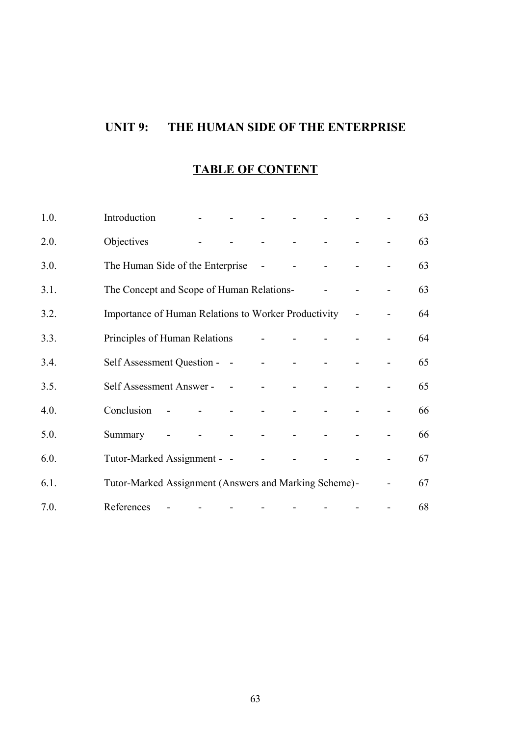# **UNIT 9: THE HUMAN SIDE OF THE ENTERPRISE**

## **TABLE OF CONTENT**

| 1.0. | Introduction                                          |                |                |                   |                      |  | 63 |
|------|-------------------------------------------------------|----------------|----------------|-------------------|----------------------|--|----|
| 2.0. | Objectives                                            |                |                |                   | and the state of the |  | 63 |
| 3.0. | The Human Side of the Enterprise                      |                |                |                   |                      |  | 63 |
| 3.1. | The Concept and Scope of Human Relations-             |                |                |                   |                      |  | 63 |
| 3.2. | Importance of Human Relations to Worker Productivity  |                |                |                   |                      |  | 64 |
| 3.3. | Principles of Human Relations                         |                |                |                   |                      |  | 64 |
| 3.4. | Self Assessment Question - -                          |                |                |                   |                      |  | 65 |
| 3.5. | Self Assessment Answer - -                            |                |                | $\mathbf{r}$      |                      |  | 65 |
| 4.0. | Conclusion                                            | $\blacksquare$ |                |                   |                      |  | 66 |
| 5.0. | Summary                                               |                | $\blacksquare$ | $\Delta \sim 100$ | $\sim$               |  | 66 |
| 6.0. | Tutor-Marked Assignment - -                           |                |                |                   |                      |  | 67 |
| 6.1. | Tutor-Marked Assignment (Answers and Marking Scheme)- |                |                |                   |                      |  | 67 |
| 7.0. | References                                            |                |                |                   |                      |  | 68 |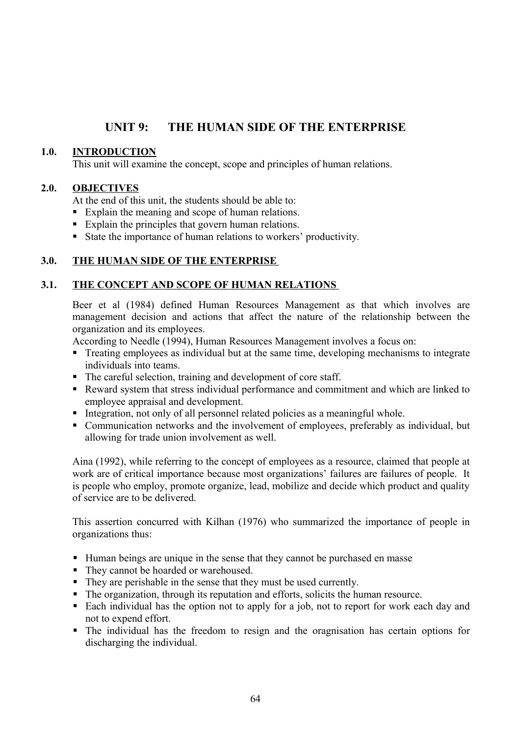## **UNIT 9: THE HUMAN SIDE OF THE ENTERPRISE**

## **1.0. INTRODUCTION**

This unit will examine the concept, scope and principles of human relations.

#### **2.0. OBJECTIVES**

At the end of this unit, the students should be able to:

- Explain the meaning and scope of human relations.
- Explain the principles that govern human relations.
- State the importance of human relations to workers' productivity.

## **3.0. THE HUMAN SIDE OF THE ENTERPRISE**

#### **3.1. THE CONCEPT AND SCOPE OF HUMAN RELATIONS**

Beer et al (1984) defined Human Resources Management as that which involves are management decision and actions that affect the nature of the relationship between the organization and its employees.

According to Needle (1994), Human Resources Management involves a focus on:

- Treating employees as individual but at the same time, developing mechanisms to integrate individuals into teams.
- The careful selection, training and development of core staff.
- Reward system that stress individual performance and commitment and which are linked to employee appraisal and development.
- Integration, not only of all personnel related policies as a meaningful whole.
- Communication networks and the involvement of employees, preferably as individual, but allowing for trade union involvement as well.

Aina (1992), while referring to the concept of employees as a resource, claimed that people at work are of critical importance because most organizations' failures are failures of people. It is people who employ, promote organize, lead, mobilize and decide which product and quality of service are to be delivered.

This assertion concurred with Kilhan (1976) who summarized the importance of people in organizations thus:

- Human beings are unique in the sense that they cannot be purchased en masse
- They cannot be hoarded or warehoused.
- They are perishable in the sense that they must be used currently.
- The organization, through its reputation and efforts, solicits the human resource.
- Each individual has the option not to apply for a job, not to report for work each day and not to expend effort.
- The individual has the freedom to resign and the oragnisation has certain options for discharging the individual.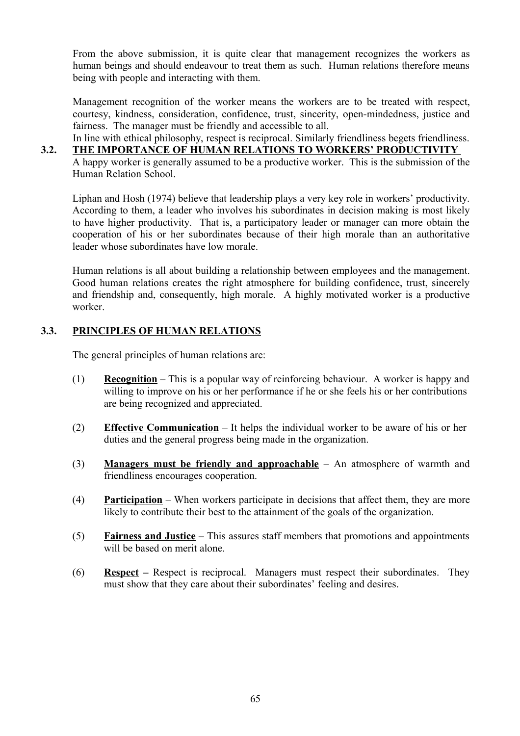From the above submission, it is quite clear that management recognizes the workers as human beings and should endeavour to treat them as such. Human relations therefore means being with people and interacting with them.

Management recognition of the worker means the workers are to be treated with respect, courtesy, kindness, consideration, confidence, trust, sincerity, open-mindedness, justice and fairness. The manager must be friendly and accessible to all.

In line with ethical philosophy, respect is reciprocal. Similarly friendliness begets friendliness. **3.2. THE IMPORTANCE OF HUMAN RELATIONS TO WORKERS' PRODUCTIVITY**  A happy worker is generally assumed to be a productive worker. This is the submission of the Human Relation School.

Liphan and Hosh (1974) believe that leadership plays a very key role in workers' productivity. According to them, a leader who involves his subordinates in decision making is most likely to have higher productivity. That is, a participatory leader or manager can more obtain the cooperation of his or her subordinates because of their high morale than an authoritative leader whose subordinates have low morale.

Human relations is all about building a relationship between employees and the management. Good human relations creates the right atmosphere for building confidence, trust, sincerely and friendship and, consequently, high morale. A highly motivated worker is a productive worker.

## **3.3. PRINCIPLES OF HUMAN RELATIONS**

The general principles of human relations are:

- (1) **Recognition** This is a popular way of reinforcing behaviour. A worker is happy and willing to improve on his or her performance if he or she feels his or her contributions are being recognized and appreciated.
- (2) **Effective Communication** It helps the individual worker to be aware of his or her duties and the general progress being made in the organization.
- (3) **Managers must be friendly and approachable** An atmosphere of warmth and friendliness encourages cooperation.
- (4) **Participation** When workers participate in decisions that affect them, they are more likely to contribute their best to the attainment of the goals of the organization.
- (5) **Fairness and Justice** This assures staff members that promotions and appointments will be based on merit alone.
- (6) **Respect** *–* Respect is reciprocal. Managers must respect their subordinates. They must show that they care about their subordinates' feeling and desires.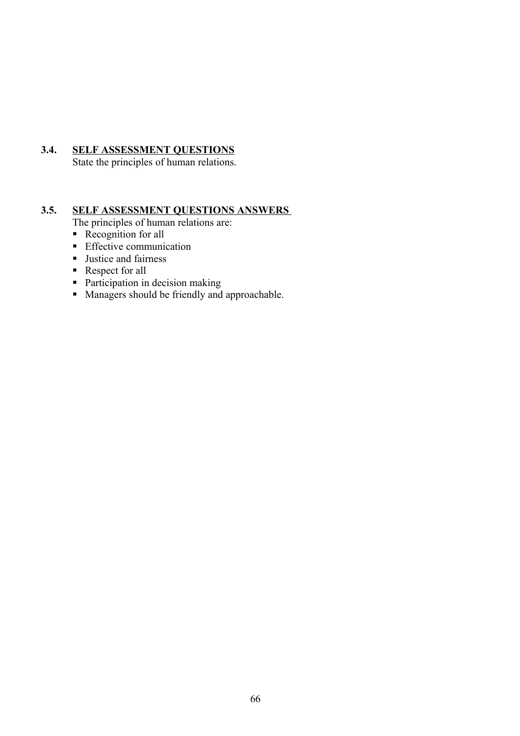## **3.4. SELF ASSESSMENT QUESTIONS**

State the principles of human relations.

## **3.5. SELF ASSESSMENT QUESTIONS ANSWERS**

The principles of human relations are:

- Recognition for all
- **Effective communication**
- **Justice and fairness**
- Respect for all
- Participation in decision making
- Managers should be friendly and approachable.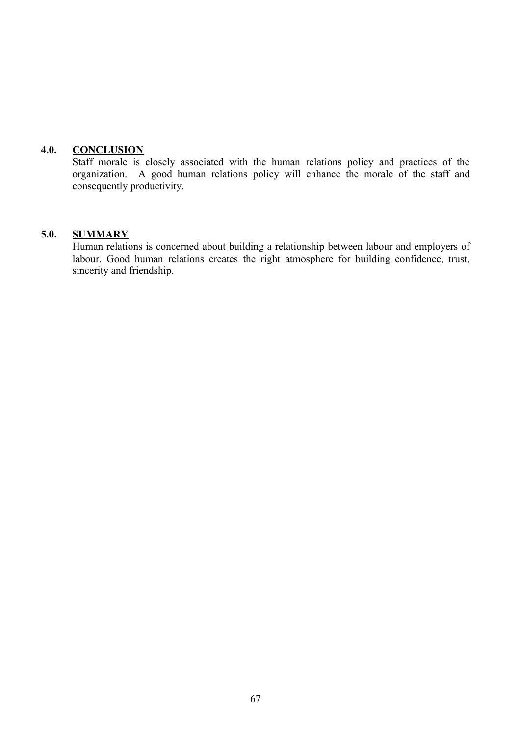## **4.0. CONCLUSION**

Staff morale is closely associated with the human relations policy and practices of the organization. A good human relations policy will enhance the morale of the staff and consequently productivity.

#### **5.0. SUMMARY**

Human relations is concerned about building a relationship between labour and employers of labour. Good human relations creates the right atmosphere for building confidence, trust, sincerity and friendship.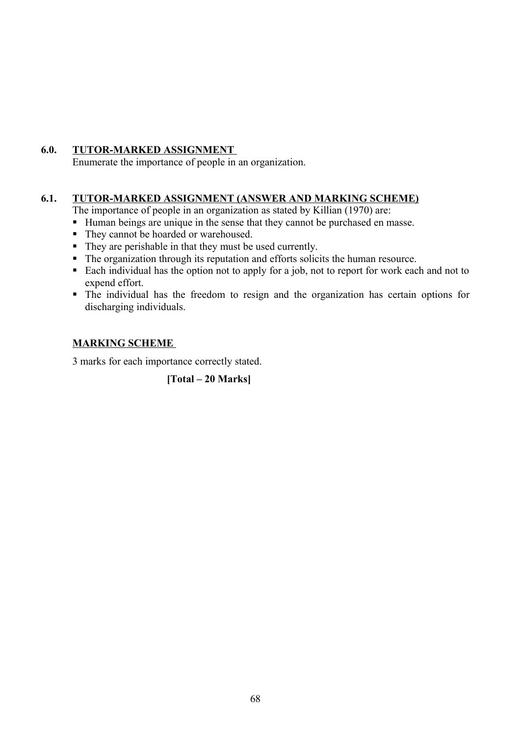## **6.0. TUTOR-MARKED ASSIGNMENT**

Enumerate the importance of people in an organization.

## **6.1. TUTOR-MARKED ASSIGNMENT (ANSWER AND MARKING SCHEME)**

The importance of people in an organization as stated by Killian (1970) are:

- Human beings are unique in the sense that they cannot be purchased en masse.
- They cannot be hoarded or warehoused.
- They are perishable in that they must be used currently.
- The organization through its reputation and efforts solicits the human resource.
- Each individual has the option not to apply for a job, not to report for work each and not to expend effort.
- The individual has the freedom to resign and the organization has certain options for discharging individuals.

## **MARKING SCHEME**

3 marks for each importance correctly stated.

**[Total – 20 Marks]**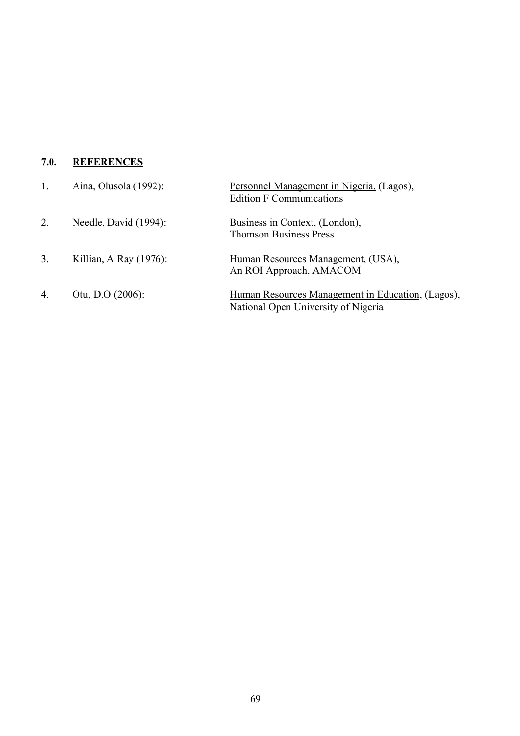## **7.0. REFERENCES**

|                  | Aina, Olusola (1992):  | Personnel Management in Nigeria, (Lagos),<br><b>Edition F Communications</b>             |
|------------------|------------------------|------------------------------------------------------------------------------------------|
| $\overline{2}$ . | Needle, David (1994):  | Business in Context, (London),<br><b>Thomson Business Press</b>                          |
| 3.               | Killian, A Ray (1976): | Human Resources Management, (USA),<br>An ROI Approach, AMACOM                            |
| $\overline{4}$ . | Otu, D.O $(2006)$ :    | Human Resources Management in Education, (Lagos),<br>National Open University of Nigeria |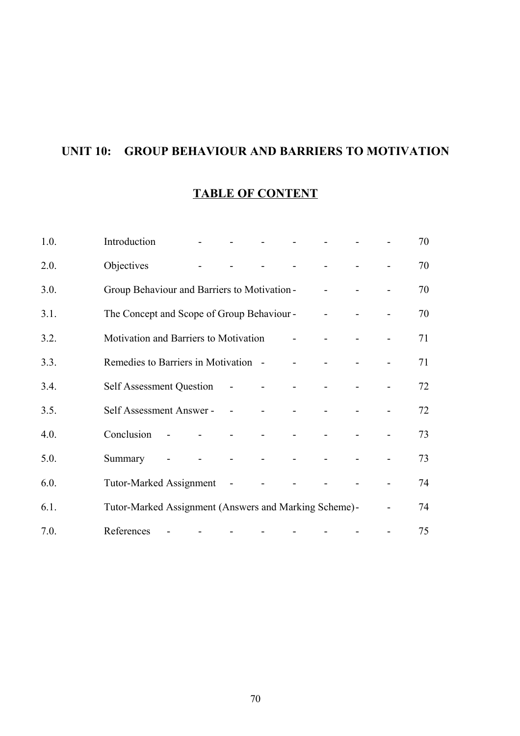# **UNIT 10: GROUP BEHAVIOUR AND BARRIERS TO MOTIVATION**

## **TABLE OF CONTENT**

| 1.0. | Introduction                                          |        |                |                |  |                          | 70 |
|------|-------------------------------------------------------|--------|----------------|----------------|--|--------------------------|----|
| 2.0. | Objectives                                            |        |                |                |  |                          | 70 |
| 3.0. | Group Behaviour and Barriers to Motivation -          |        |                |                |  |                          | 70 |
| 3.1. | The Concept and Scope of Group Behaviour -            |        |                |                |  |                          | 70 |
| 3.2. | Motivation and Barriers to Motivation                 |        |                |                |  |                          | 71 |
| 3.3. | Remedies to Barriers in Motivation -                  |        |                |                |  |                          | 71 |
| 3.4. | Self Assessment Question                              |        | $\sim$         |                |  |                          | 72 |
| 3.5. | Self Assessment Answer -                              |        |                |                |  |                          | 72 |
| 4.0. | Conclusion                                            | $\sim$ | $\blacksquare$ |                |  |                          | 73 |
| 5.0. | Summary                                               |        | $\blacksquare$ | $\blacksquare$ |  |                          | 73 |
| 6.0. | <b>Tutor-Marked Assignment</b>                        |        | $\sim$ $-$     |                |  |                          | 74 |
| 6.1. | Tutor-Marked Assignment (Answers and Marking Scheme)- |        |                |                |  | $\overline{\phantom{0}}$ | 74 |
| 7.0. | References                                            |        |                |                |  |                          | 75 |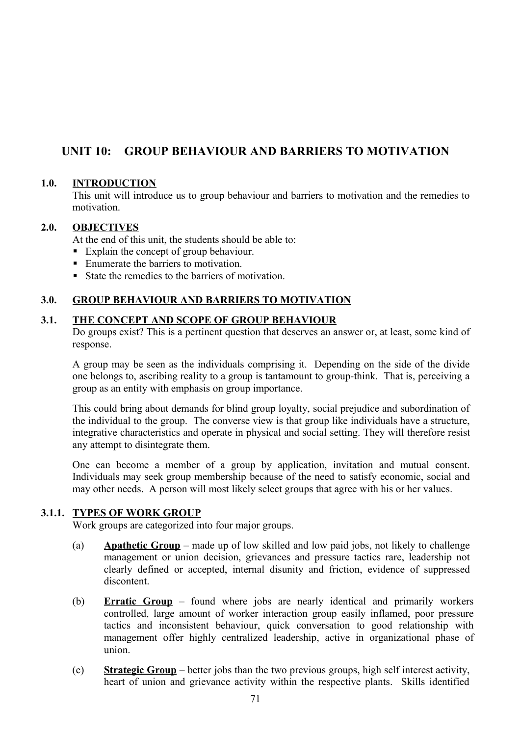## **UNIT 10: GROUP BEHAVIOUR AND BARRIERS TO MOTIVATION**

#### **1.0. INTRODUCTION**

This unit will introduce us to group behaviour and barriers to motivation and the remedies to motivation.

#### **2.0. OBJECTIVES**

At the end of this unit, the students should be able to:

- Explain the concept of group behaviour.
- Enumerate the barriers to motivation.
- State the remedies to the barriers of motivation

#### **3.0. GROUP BEHAVIOUR AND BARRIERS TO MOTIVATION**

#### **3.1. THE CONCEPT AND SCOPE OF GROUP BEHAVIOUR**

Do groups exist? This is a pertinent question that deserves an answer or, at least, some kind of response.

A group may be seen as the individuals comprising it. Depending on the side of the divide one belongs to, ascribing reality to a group is tantamount to group-think. That is, perceiving a group as an entity with emphasis on group importance.

This could bring about demands for blind group loyalty, social prejudice and subordination of the individual to the group. The converse view is that group like individuals have a structure, integrative characteristics and operate in physical and social setting. They will therefore resist any attempt to disintegrate them.

One can become a member of a group by application, invitation and mutual consent. Individuals may seek group membership because of the need to satisfy economic, social and may other needs. A person will most likely select groups that agree with his or her values.

#### **3.1.1. TYPES OF WORK GROUP**

Work groups are categorized into four major groups.

- (a) **Apathetic Group** made up of low skilled and low paid jobs, not likely to challenge management or union decision, grievances and pressure tactics rare, leadership not clearly defined or accepted, internal disunity and friction, evidence of suppressed discontent.
- (b) **Erratic Group** found where jobs are nearly identical and primarily workers controlled, large amount of worker interaction group easily inflamed, poor pressure tactics and inconsistent behaviour, quick conversation to good relationship with management offer highly centralized leadership, active in organizational phase of union.
- (c) **Strategic Group** better jobs than the two previous groups, high self interest activity, heart of union and grievance activity within the respective plants. Skills identified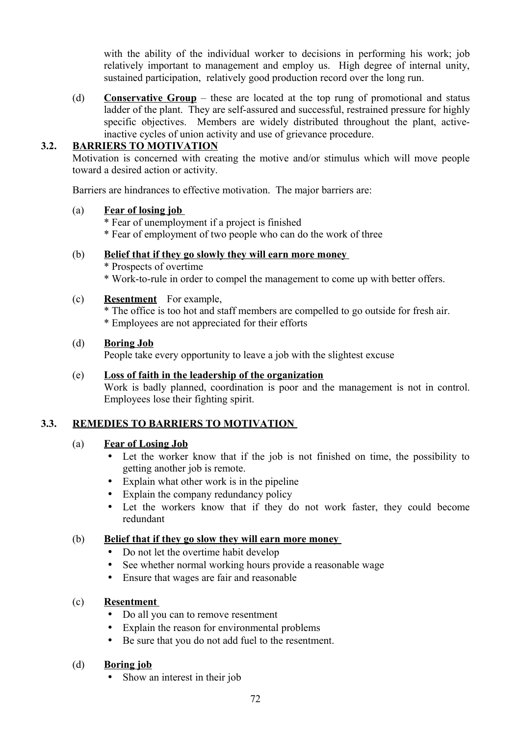with the ability of the individual worker to decisions in performing his work; job relatively important to management and employ us. High degree of internal unity, sustained participation, relatively good production record over the long run.

(d) **Conservative Group** – these are located at the top rung of promotional and status ladder of the plant. They are self-assured and successful, restrained pressure for highly specific objectives. Members are widely distributed throughout the plant, activeinactive cycles of union activity and use of grievance procedure.

## **3.2. BARRIERS TO MOTIVATION**

Motivation is concerned with creating the motive and/or stimulus which will move people toward a desired action or activity.

Barriers are hindrances to effective motivation. The major barriers are:

#### (a) **Fear of losing job**

\* Fear of unemployment if a project is finished \* Fear of employment of two people who can do the work of three

## (b) **Belief that if they go slowly they will earn more money**

\* Prospects of overtime \* Work-to-rule in order to compel the management to come up with better offers.

## (c) **Resentment** For example,

\* The office is too hot and staff members are compelled to go outside for fresh air. \* Employees are not appreciated for their efforts

#### (d) **Boring Job**

People take every opportunity to leave a job with the slightest excuse

# (e) **Loss of faith in the leadership of the organization**

Work is badly planned, coordination is poor and the management is not in control. Employees lose their fighting spirit.

## **3.3. REMEDIES TO BARRIERS TO MOTIVATION**

## (a) **Fear of Losing Job**

- Let the worker know that if the job is not finished on time, the possibility to getting another job is remote.
- Explain what other work is in the pipeline
- Explain the company redundancy policy
- Let the workers know that if they do not work faster, they could become redundant

## (b) **Belief that if they go slow they will earn more money**

- Do not let the overtime habit develop
- See whether normal working hours provide a reasonable wage
- Ensure that wages are fair and reasonable

## (c) **Resentment**

- Do all you can to remove resentment
- Explain the reason for environmental problems
- Be sure that you do not add fuel to the resentment.

## (d) **Boring job**

• Show an interest in their job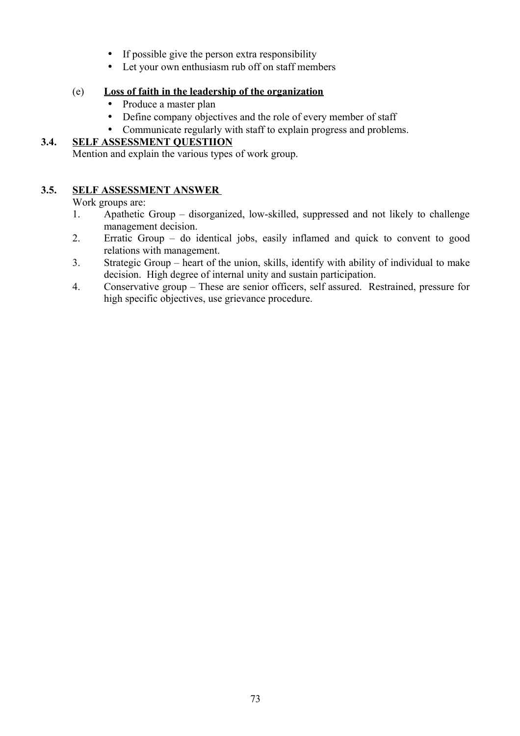- If possible give the person extra responsibility
- Let your own enthusiasm rub off on staff members

# (e) **Loss of faith in the leadership of the organization**

- Produce a master plan
- Define company objectives and the role of every member of staff
- Communicate regularly with staff to explain progress and problems.

# **3.4. SELF ASSESSMENT QUESTIION**

Mention and explain the various types of work group.

# **3.5. SELF ASSESSMENT ANSWER**

Work groups are:

- 1. Apathetic Group disorganized, low-skilled, suppressed and not likely to challenge management decision.
- 2. Erratic Group do identical jobs, easily inflamed and quick to convent to good relations with management.
- 3. Strategic Group heart of the union, skills, identify with ability of individual to make decision. High degree of internal unity and sustain participation.
- 4. Conservative group These are senior officers, self assured. Restrained, pressure for high specific objectives, use grievance procedure.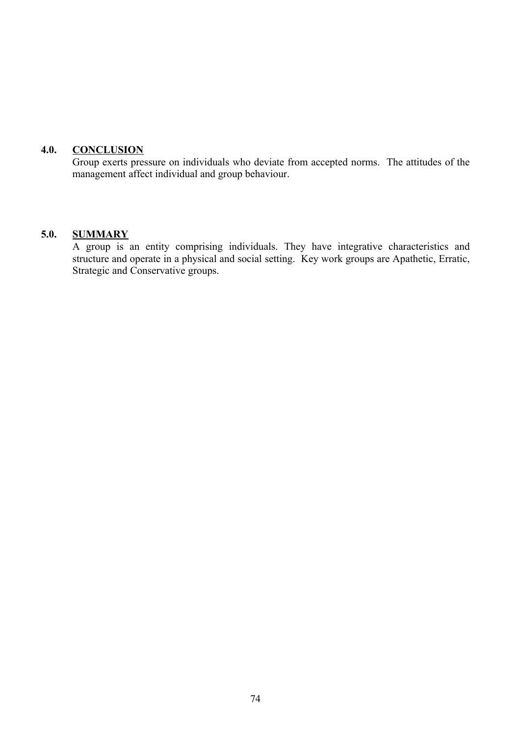#### **4.0. CONCLUSION**

Group exerts pressure on individuals who deviate from accepted norms. The attitudes of the management affect individual and group behaviour.

#### **5.0. SUMMARY**

A group is an entity comprising individuals. They have integrative characteristics and structure and operate in a physical and social setting. Key work groups are Apathetic, Erratic, Strategic and Conservative groups.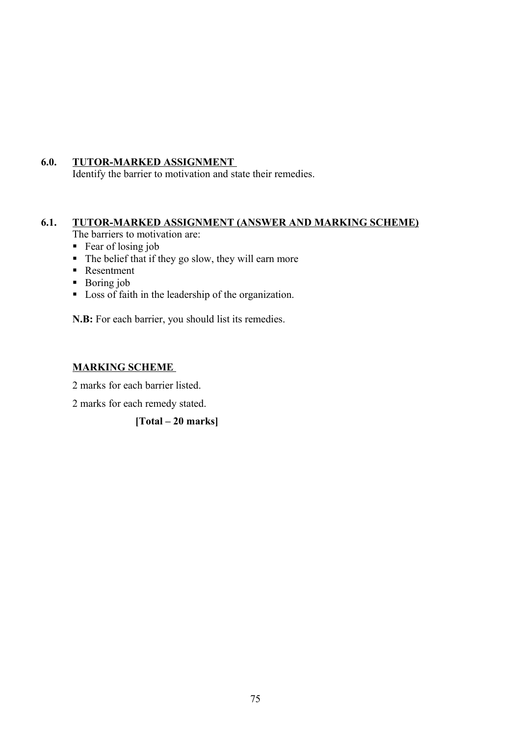## **6.0. TUTOR-MARKED ASSIGNMENT**

Identify the barrier to motivation and state their remedies.

# **6.1. TUTOR-MARKED ASSIGNMENT (ANSWER AND MARKING SCHEME)**

The barriers to motivation are:

- Fear of losing job
- $\blacksquare$  The belief that if they go slow, they will earn more
- Resentment
- Boring job
- **Loss of faith in the leadership of the organization.**

**N.B:** For each barrier, you should list its remedies.

# **MARKING SCHEME**

2 marks for each barrier listed.

2 marks for each remedy stated.

**[Total – 20 marks]**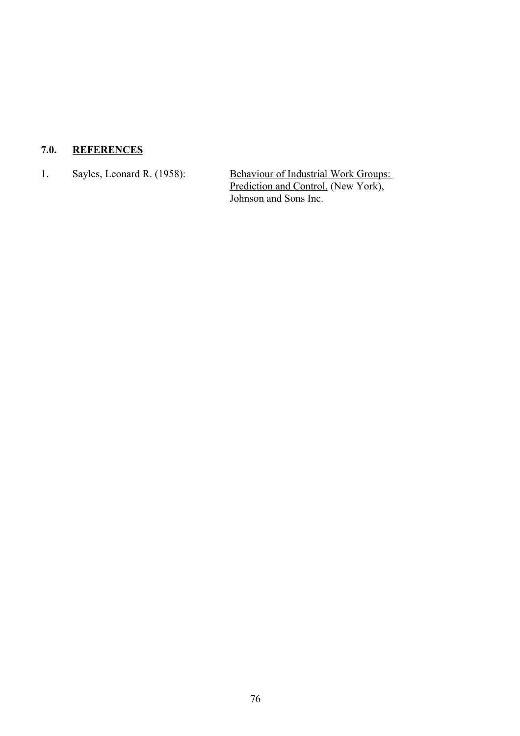# **7.0. REFERENCES**

1. Sayles, Leonard R. (1958): Behaviour of Industrial Work Groups: Prediction and Control, (New York), Johnson and Sons Inc.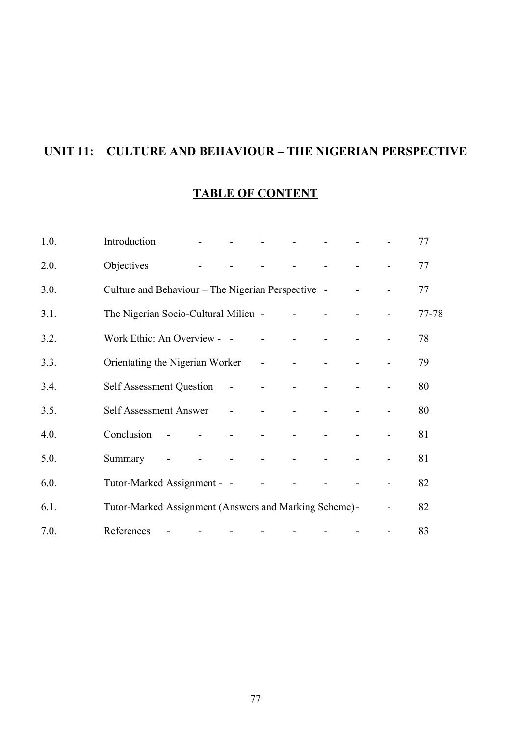# **UNIT 11: CULTURE AND BEHAVIOUR – THE NIGERIAN PERSPECTIVE**

# **TABLE OF CONTENT**

| 1.0. | Introduction                                          |                |                     | and the state of the                                                                                                                                                                                                                                                                                                                                                                                                                                        |                                             | and the state of the state of                             |                                 |                |                | 77    |
|------|-------------------------------------------------------|----------------|---------------------|-------------------------------------------------------------------------------------------------------------------------------------------------------------------------------------------------------------------------------------------------------------------------------------------------------------------------------------------------------------------------------------------------------------------------------------------------------------|---------------------------------------------|-----------------------------------------------------------|---------------------------------|----------------|----------------|-------|
| 2.0. | Objectives                                            |                | $\Delta \sim 100$   |                                                                                                                                                                                                                                                                                                                                                                                                                                                             | $\Delta \sim 100$                           | <b>Contract Contract</b>                                  | and the state of the            |                |                | 77    |
| 3.0. | Culture and Behaviour – The Nigerian Perspective –    |                |                     |                                                                                                                                                                                                                                                                                                                                                                                                                                                             |                                             |                                                           |                                 |                |                | 77    |
| 3.1. | The Nigerian Socio-Cultural Milieu - - - - - -        |                |                     |                                                                                                                                                                                                                                                                                                                                                                                                                                                             |                                             |                                                           |                                 | $\Box$         |                | 77-78 |
| 3.2. | Work Ethic: An Overview - -                           |                |                     |                                                                                                                                                                                                                                                                                                                                                                                                                                                             | $\omega_{\rm{max}}$ and $\omega_{\rm{max}}$ |                                                           | $\Delta \sim 10^4$              | $\blacksquare$ |                | 78    |
| 3.3. | Orientating the Nigerian Worker - - - -               |                |                     |                                                                                                                                                                                                                                                                                                                                                                                                                                                             |                                             |                                                           | $\mathbf{r}$                    | $\blacksquare$ |                | 79    |
| 3.4. | <b>Self Assessment Question</b>                       |                |                     | $\mathcal{L}(\mathcal{L}(\mathcal{L}(\mathcal{L}(\mathcal{L}(\mathcal{L}(\mathcal{L}(\mathcal{L}(\mathcal{L}(\mathcal{L}(\mathcal{L}(\mathcal{L}(\mathcal{L}(\mathcal{L}(\mathcal{L}(\mathcal{L}(\mathcal{L}(\mathcal{L}(\mathcal{L}(\mathcal{L}(\mathcal{L}(\mathcal{L}(\mathcal{L}(\mathcal{L}(\mathcal{L}(\mathcal{L}(\mathcal{L}(\mathcal{L}(\mathcal{L}(\mathcal{L}(\mathcal{L}(\mathcal{L}(\mathcal{L}(\mathcal{L}(\mathcal{L}(\mathcal{L}(\mathcal{$ |                                             |                                                           | $\blacksquare$                  | $\blacksquare$ |                | 80    |
| 3.5. | Self Assessment Answer -                              |                |                     |                                                                                                                                                                                                                                                                                                                                                                                                                                                             | $\omega_{\rm{max}}$ and $\omega_{\rm{max}}$ | $\sim$                                                    |                                 |                |                | 80    |
| 4.0. | Conclusion                                            | $\sim 100$     |                     | $\Delta \phi$ and $\Delta \phi$ are the set of $\phi$                                                                                                                                                                                                                                                                                                                                                                                                       | $\omega_{\rm{max}}$                         | $\mathcal{L}^{\text{max}}$ and $\mathcal{L}^{\text{max}}$ | $\Delta \sim 100$               | $\blacksquare$ |                | 81    |
| 5.0. | Summary                                               | $\blacksquare$ | $\omega_{\rm{max}}$ |                                                                                                                                                                                                                                                                                                                                                                                                                                                             |                                             |                                                           | the contract of the contract of | $\blacksquare$ |                | 81    |
| 6.0. | Tutor-Marked Assignment - -                           |                |                     |                                                                                                                                                                                                                                                                                                                                                                                                                                                             | $\Delta \sim 100$                           |                                                           |                                 |                |                | 82    |
| 6.1. | Tutor-Marked Assignment (Answers and Marking Scheme)- |                |                     |                                                                                                                                                                                                                                                                                                                                                                                                                                                             |                                             |                                                           |                                 |                | $\blacksquare$ | 82    |
| 7.0. | References                                            |                |                     | $\blacksquare$                                                                                                                                                                                                                                                                                                                                                                                                                                              | $\blacksquare$                              |                                                           |                                 | $\frac{1}{2}$  |                | 83    |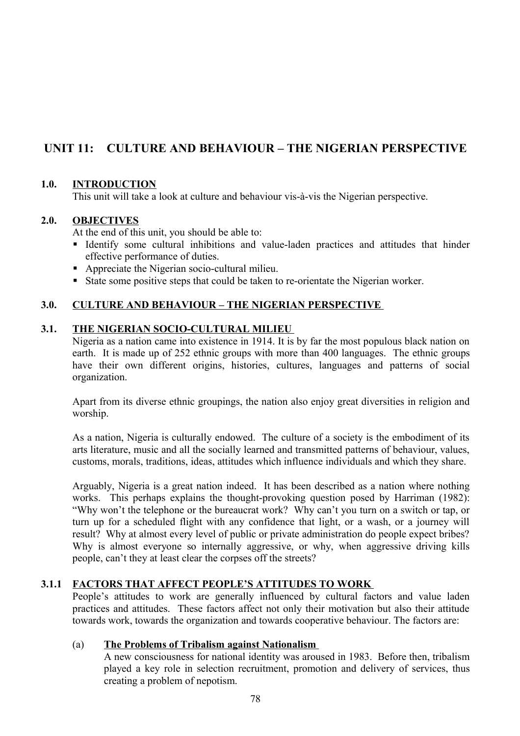# **UNIT 11: CULTURE AND BEHAVIOUR – THE NIGERIAN PERSPECTIVE**

## **1.0. INTRODUCTION**

This unit will take a look at culture and behaviour vis-à-vis the Nigerian perspective.

## **2.0. OBJECTIVES**

At the end of this unit, you should be able to:

- Identify some cultural inhibitions and value-laden practices and attitudes that hinder effective performance of duties.
- Appreciate the Nigerian socio-cultural milieu.
- State some positive steps that could be taken to re-orientate the Nigerian worker.

## **3.0. CULTURE AND BEHAVIOUR – THE NIGERIAN PERSPECTIVE**

#### **3.1. THE NIGERIAN SOCIO-CULTURAL MILIEU**

Nigeria as a nation came into existence in 1914. It is by far the most populous black nation on earth. It is made up of 252 ethnic groups with more than 400 languages. The ethnic groups have their own different origins, histories, cultures, languages and patterns of social organization.

Apart from its diverse ethnic groupings, the nation also enjoy great diversities in religion and worship.

As a nation, Nigeria is culturally endowed. The culture of a society is the embodiment of its arts literature, music and all the socially learned and transmitted patterns of behaviour, values, customs, morals, traditions, ideas, attitudes which influence individuals and which they share.

Arguably, Nigeria is a great nation indeed. It has been described as a nation where nothing works. This perhaps explains the thought-provoking question posed by Harriman (1982): "Why won't the telephone or the bureaucrat work? Why can't you turn on a switch or tap, or turn up for a scheduled flight with any confidence that light, or a wash, or a journey will result? Why at almost every level of public or private administration do people expect bribes? Why is almost everyone so internally aggressive, or why, when aggressive driving kills people, can't they at least clear the corpses off the streets?

## **3.1.1 FACTORS THAT AFFECT PEOPLE'S ATTITUDES TO WORK**

People's attitudes to work are generally influenced by cultural factors and value laden practices and attitudes. These factors affect not only their motivation but also their attitude towards work, towards the organization and towards cooperative behaviour. The factors are:

#### (a) **The Problems of Tribalism against Nationalism**

A new consciousness for national identity was aroused in 1983. Before then, tribalism played a key role in selection recruitment, promotion and delivery of services, thus creating a problem of nepotism.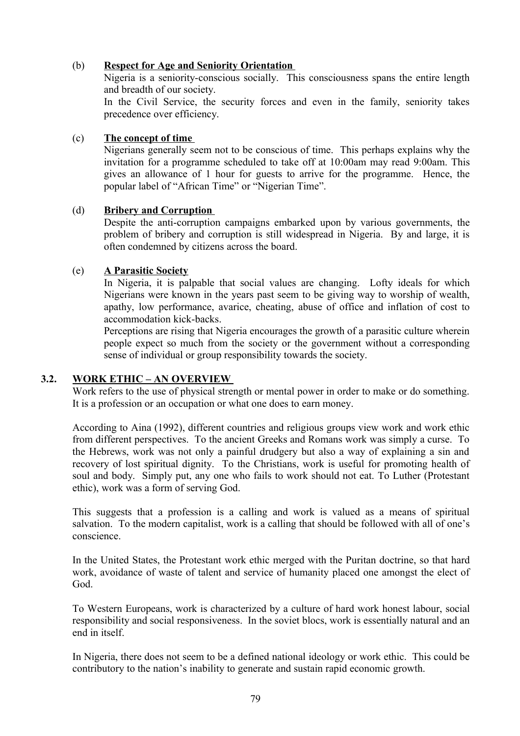## (b) **Respect for Age and Seniority Orientation**

Nigeria is a seniority-conscious socially. This consciousness spans the entire length and breadth of our society.

In the Civil Service, the security forces and even in the family, seniority takes precedence over efficiency.

#### (c) **The concept of time**

Nigerians generally seem not to be conscious of time. This perhaps explains why the invitation for a programme scheduled to take off at 10:00am may read 9:00am. This gives an allowance of 1 hour for guests to arrive for the programme. Hence, the popular label of "African Time" or "Nigerian Time".

#### (d) **Bribery and Corruption**

Despite the anti-corruption campaigns embarked upon by various governments, the problem of bribery and corruption is still widespread in Nigeria. By and large, it is often condemned by citizens across the board.

#### (e) **A Parasitic Society**

In Nigeria, it is palpable that social values are changing. Lofty ideals for which Nigerians were known in the years past seem to be giving way to worship of wealth, apathy, low performance, avarice, cheating, abuse of office and inflation of cost to accommodation kick-backs.

Perceptions are rising that Nigeria encourages the growth of a parasitic culture wherein people expect so much from the society or the government without a corresponding sense of individual or group responsibility towards the society.

## **3.2. WORK ETHIC – AN OVERVIEW**

Work refers to the use of physical strength or mental power in order to make or do something. It is a profession or an occupation or what one does to earn money.

According to Aina (1992), different countries and religious groups view work and work ethic from different perspectives. To the ancient Greeks and Romans work was simply a curse. To the Hebrews, work was not only a painful drudgery but also a way of explaining a sin and recovery of lost spiritual dignity. To the Christians, work is useful for promoting health of soul and body. Simply put, any one who fails to work should not eat. To Luther (Protestant ethic), work was a form of serving God.

This suggests that a profession is a calling and work is valued as a means of spiritual salvation. To the modern capitalist, work is a calling that should be followed with all of one's conscience.

In the United States, the Protestant work ethic merged with the Puritan doctrine, so that hard work, avoidance of waste of talent and service of humanity placed one amongst the elect of God.

To Western Europeans, work is characterized by a culture of hard work honest labour, social responsibility and social responsiveness. In the soviet blocs, work is essentially natural and an end in itself.

In Nigeria, there does not seem to be a defined national ideology or work ethic. This could be contributory to the nation's inability to generate and sustain rapid economic growth.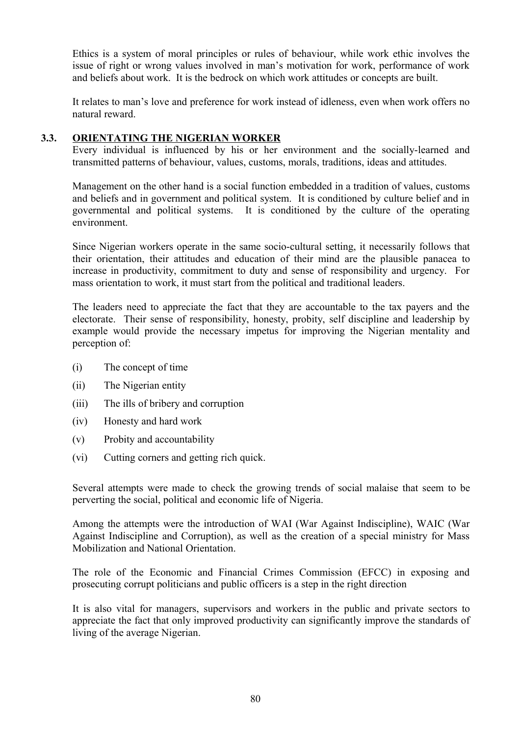Ethics is a system of moral principles or rules of behaviour, while work ethic involves the issue of right or wrong values involved in man's motivation for work, performance of work and beliefs about work. It is the bedrock on which work attitudes or concepts are built.

It relates to man's love and preference for work instead of idleness, even when work offers no natural reward.

## **3.3. ORIENTATING THE NIGERIAN WORKER**

Every individual is influenced by his or her environment and the socially-learned and transmitted patterns of behaviour, values, customs, morals, traditions, ideas and attitudes.

Management on the other hand is a social function embedded in a tradition of values, customs and beliefs and in government and political system. It is conditioned by culture belief and in governmental and political systems. It is conditioned by the culture of the operating environment.

Since Nigerian workers operate in the same socio-cultural setting, it necessarily follows that their orientation, their attitudes and education of their mind are the plausible panacea to increase in productivity, commitment to duty and sense of responsibility and urgency. For mass orientation to work, it must start from the political and traditional leaders.

The leaders need to appreciate the fact that they are accountable to the tax payers and the electorate. Their sense of responsibility, honesty, probity, self discipline and leadership by example would provide the necessary impetus for improving the Nigerian mentality and perception of:

- (i) The concept of time
- (ii) The Nigerian entity
- (iii) The ills of bribery and corruption
- (iv) Honesty and hard work
- (v) Probity and accountability
- (vi) Cutting corners and getting rich quick.

Several attempts were made to check the growing trends of social malaise that seem to be perverting the social, political and economic life of Nigeria.

Among the attempts were the introduction of WAI (War Against Indiscipline), WAIC (War Against Indiscipline and Corruption), as well as the creation of a special ministry for Mass Mobilization and National Orientation.

The role of the Economic and Financial Crimes Commission (EFCC) in exposing and prosecuting corrupt politicians and public officers is a step in the right direction

It is also vital for managers, supervisors and workers in the public and private sectors to appreciate the fact that only improved productivity can significantly improve the standards of living of the average Nigerian.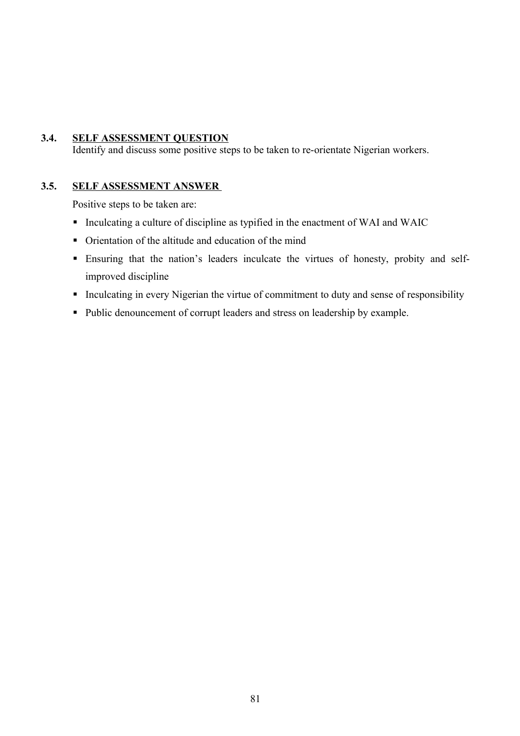## **3.4. SELF ASSESSMENT QUESTION**

Identify and discuss some positive steps to be taken to re-orientate Nigerian workers.

#### **3.5. SELF ASSESSMENT ANSWER**

Positive steps to be taken are:

- Inculcating a culture of discipline as typified in the enactment of WAI and WAIC
- Orientation of the altitude and education of the mind
- Ensuring that the nation's leaders inculcate the virtues of honesty, probity and selfimproved discipline
- Inculcating in every Nigerian the virtue of commitment to duty and sense of responsibility
- Public denouncement of corrupt leaders and stress on leadership by example.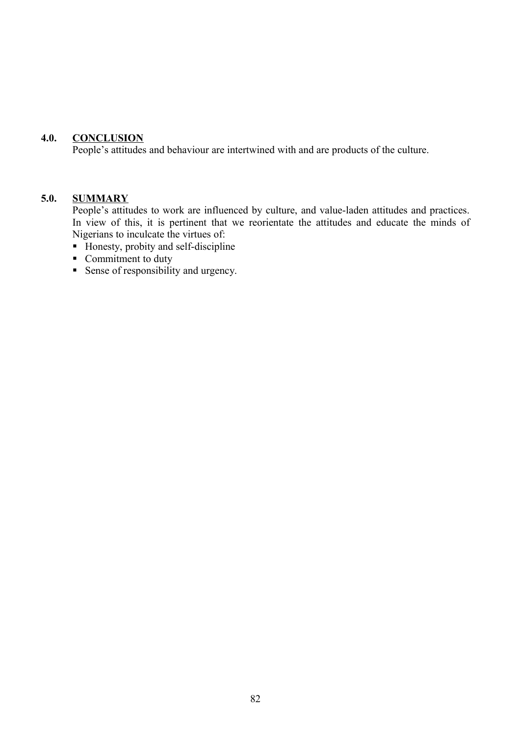#### **4.0. CONCLUSION**

People's attitudes and behaviour are intertwined with and are products of the culture.

#### **5.0. SUMMARY**

People's attitudes to work are influenced by culture, and value-laden attitudes and practices. In view of this, it is pertinent that we reorientate the attitudes and educate the minds of Nigerians to inculcate the virtues of:

- Honesty, probity and self-discipline
- Commitment to duty
- Sense of responsibility and urgency.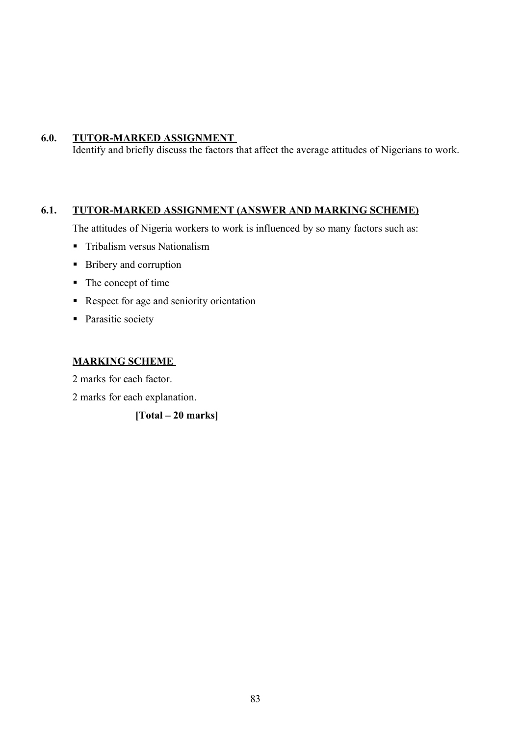## **6.0. TUTOR-MARKED ASSIGNMENT**

Identify and briefly discuss the factors that affect the average attitudes of Nigerians to work.

# **6.1. TUTOR-MARKED ASSIGNMENT (ANSWER AND MARKING SCHEME)**

The attitudes of Nigeria workers to work is influenced by so many factors such as:

- **Tribalism versus Nationalism**
- Bribery and corruption
- The concept of time
- Respect for age and seniority orientation
- Parasitic society

#### **MARKING SCHEME**

2 marks for each factor.

2 marks for each explanation.

**[Total – 20 marks]**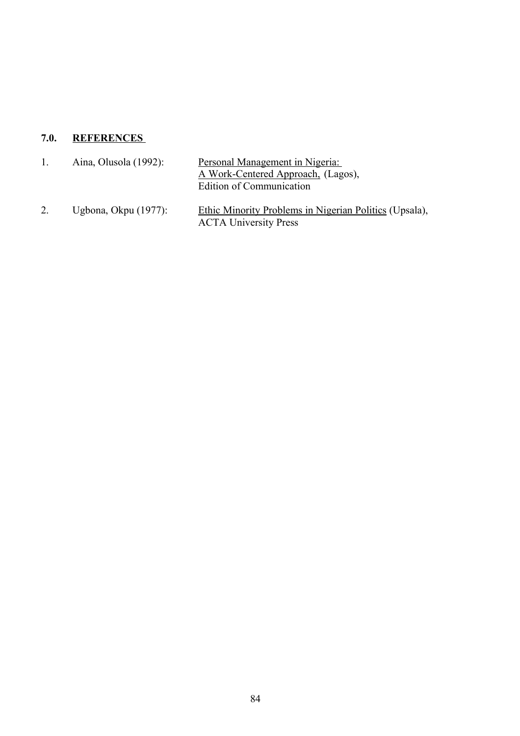# **7.0. REFERENCES**

| $\mathbf{L}$ | Aina, Olusola $(1992)$ : | Personal Management in Nigeria:<br>A Work-Centered Approach, (Lagos),<br>Edition of Communication |
|--------------|--------------------------|---------------------------------------------------------------------------------------------------|
| 2.           | Ugbona, Okpu $(1977)$ :  | Ethic Minority Problems in Nigerian Politics (Upsala),<br><b>ACTA University Press</b>            |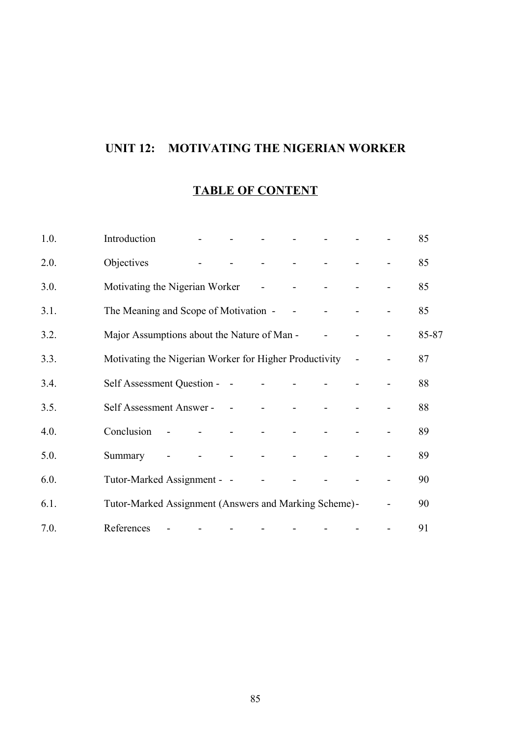# **UNIT 12: MOTIVATING THE NIGERIAN WORKER**

# **TABLE OF CONTENT**

| 1.0. | Introduction                                           |        |                |                                                | $\mathbf{r}$             | $\Delta \sim 100$    |                                    |                              | 85    |
|------|--------------------------------------------------------|--------|----------------|------------------------------------------------|--------------------------|----------------------|------------------------------------|------------------------------|-------|
| 2.0. | Objectives                                             |        |                | $\sim 100$                                     |                          | and the state of the | $\Delta \sim 10^{11}$ km s $^{-1}$ |                              | 85    |
| 3.0. | Motivating the Nigerian Worker -                       |        |                |                                                |                          |                      | $\Delta \sim 100$                  |                              | 85    |
| 3.1. | The Meaning and Scope of Motivation - - - - -          |        |                |                                                |                          |                      |                                    |                              | 85    |
| 3.2. | Major Assumptions about the Nature of Man -            |        |                |                                                |                          |                      | $\blacksquare$                     |                              | 85-87 |
| 3.3. | Motivating the Nigerian Worker for Higher Productivity |        |                |                                                |                          |                      |                                    |                              | 87    |
| 3.4. | Self Assessment Question - -                           |        |                |                                                | <b>All Contracts</b>     |                      |                                    |                              | 88    |
| 3.5. | Self Assessment Answer - - - - - - -                   |        |                |                                                |                          |                      |                                    |                              | 88    |
| 4.0. | Conclusion                                             | $\sim$ |                | and the state of the state of the state of the |                          |                      |                                    |                              | 89    |
| 5.0. | Summary                                                |        | $\blacksquare$ | <b>All Contracts</b>                           |                          |                      | $\blacksquare$                     |                              | 89    |
| 6.0. | Tutor-Marked Assignment - -                            |        |                |                                                | $\Delta \sim 100$        |                      |                                    |                              | 90    |
| 6.1. | Tutor-Marked Assignment (Answers and Marking Scheme)-  |        |                |                                                |                          |                      |                                    | $\qquad \qquad \blacksquare$ | 90    |
| 7.0. | References                                             |        |                |                                                | $\overline{\phantom{a}}$ |                      |                                    | $\overline{\phantom{a}}$     | 91    |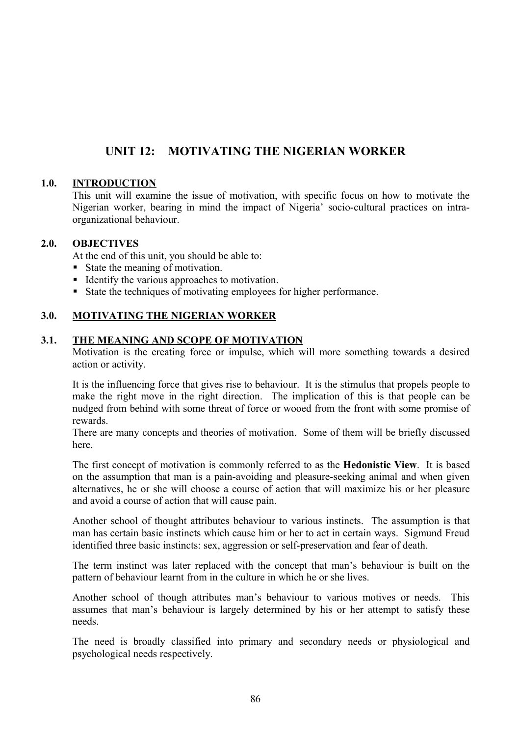# **UNIT 12: MOTIVATING THE NIGERIAN WORKER**

## **1.0. INTRODUCTION**

This unit will examine the issue of motivation, with specific focus on how to motivate the Nigerian worker, bearing in mind the impact of Nigeria' socio-cultural practices on intraorganizational behaviour.

#### **2.0. OBJECTIVES**

At the end of this unit, you should be able to:

- State the meaning of motivation.
- Identify the various approaches to motivation.
- State the techniques of motivating employees for higher performance.

#### **3.0. MOTIVATING THE NIGERIAN WORKER**

#### **3.1. THE MEANING AND SCOPE OF MOTIVATION**

Motivation is the creating force or impulse, which will more something towards a desired action or activity.

It is the influencing force that gives rise to behaviour. It is the stimulus that propels people to make the right move in the right direction. The implication of this is that people can be nudged from behind with some threat of force or wooed from the front with some promise of rewards.

There are many concepts and theories of motivation. Some of them will be briefly discussed here.

The first concept of motivation is commonly referred to as the **Hedonistic View**. It is based on the assumption that man is a pain-avoiding and pleasure-seeking animal and when given alternatives, he or she will choose a course of action that will maximize his or her pleasure and avoid a course of action that will cause pain.

Another school of thought attributes behaviour to various instincts. The assumption is that man has certain basic instincts which cause him or her to act in certain ways. Sigmund Freud identified three basic instincts: sex, aggression or self-preservation and fear of death.

The term instinct was later replaced with the concept that man's behaviour is built on the pattern of behaviour learnt from in the culture in which he or she lives.

Another school of though attributes man's behaviour to various motives or needs. This assumes that man's behaviour is largely determined by his or her attempt to satisfy these needs.

The need is broadly classified into primary and secondary needs or physiological and psychological needs respectively.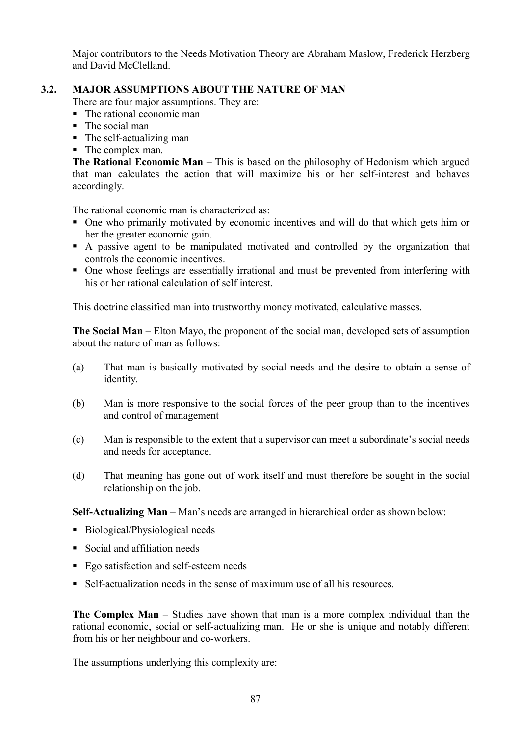Major contributors to the Needs Motivation Theory are Abraham Maslow, Frederick Herzberg and David McClelland.

## **3.2. MAJOR ASSUMPTIONS ABOUT THE NATURE OF MAN**

There are four major assumptions. They are:

- The rational economic man
- The social man
- The self-actualizing man
- The complex man.

**The Rational Economic Man** – This is based on the philosophy of Hedonism which argued that man calculates the action that will maximize his or her self-interest and behaves accordingly.

The rational economic man is characterized as:

- One who primarily motivated by economic incentives and will do that which gets him or her the greater economic gain.
- A passive agent to be manipulated motivated and controlled by the organization that controls the economic incentives.
- One whose feelings are essentially irrational and must be prevented from interfering with his or her rational calculation of self interest.

This doctrine classified man into trustworthy money motivated, calculative masses.

**The Social Man** – Elton Mayo, the proponent of the social man, developed sets of assumption about the nature of man as follows:

- (a) That man is basically motivated by social needs and the desire to obtain a sense of identity.
- (b) Man is more responsive to the social forces of the peer group than to the incentives and control of management
- (c) Man is responsible to the extent that a supervisor can meet a subordinate's social needs and needs for acceptance.
- (d) That meaning has gone out of work itself and must therefore be sought in the social relationship on the job.

**Self-Actualizing Man** – Man's needs are arranged in hierarchical order as shown below:

- Biological/Physiological needs
- Social and affiliation needs
- Ego satisfaction and self-esteem needs
- Self-actualization needs in the sense of maximum use of all his resources.

**The Complex Man** – Studies have shown that man is a more complex individual than the rational economic, social or self-actualizing man. He or she is unique and notably different from his or her neighbour and co-workers.

The assumptions underlying this complexity are: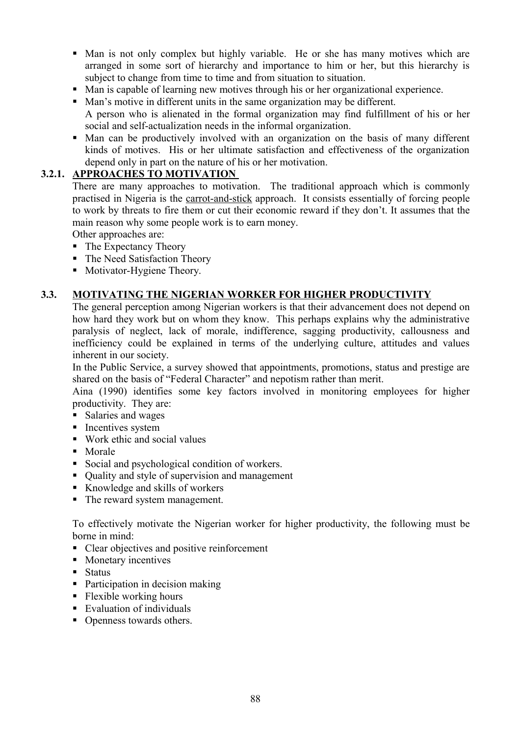- Man is not only complex but highly variable. He or she has many motives which are arranged in some sort of hierarchy and importance to him or her, but this hierarchy is subject to change from time to time and from situation to situation.
- Man is capable of learning new motives through his or her organizational experience.
- Man's motive in different units in the same organization may be different.
- A person who is alienated in the formal organization may find fulfillment of his or her social and self-actualization needs in the informal organization.
- Man can be productively involved with an organization on the basis of many different kinds of motives. His or her ultimate satisfaction and effectiveness of the organization depend only in part on the nature of his or her motivation.

## **3.2.1. APPROACHES TO MOTIVATION**

There are many approaches to motivation. The traditional approach which is commonly practised in Nigeria is the carrot-and-stick approach. It consists essentially of forcing people to work by threats to fire them or cut their economic reward if they don't. It assumes that the main reason why some people work is to earn money.

Other approaches are:

- The Expectancy Theory
- The Need Satisfaction Theory
- Motivator-Hygiene Theory.

#### **3.3. MOTIVATING THE NIGERIAN WORKER FOR HIGHER PRODUCTIVITY**

The general perception among Nigerian workers is that their advancement does not depend on how hard they work but on whom they know. This perhaps explains why the administrative paralysis of neglect, lack of morale, indifference, sagging productivity, callousness and inefficiency could be explained in terms of the underlying culture, attitudes and values inherent in our society.

In the Public Service, a survey showed that appointments, promotions, status and prestige are shared on the basis of "Federal Character" and nepotism rather than merit.

Aina (1990) identifies some key factors involved in monitoring employees for higher productivity. They are:

- **Salaries and wages**
- **Incentives system**
- Work ethic and social values
- Morale
- Social and psychological condition of workers.
- Ouality and style of supervision and management
- Knowledge and skills of workers
- The reward system management.

To effectively motivate the Nigerian worker for higher productivity, the following must be borne in mind:

- Clear objectives and positive reinforcement
- Monetary incentives
- $\blacksquare$  Status
- Participation in decision making
- Flexible working hours
- Evaluation of individuals
- Openness towards others.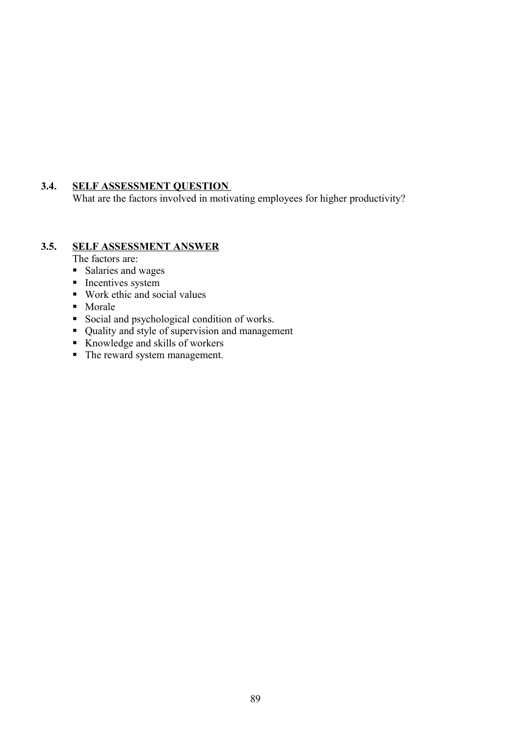# **3.4. SELF ASSESSMENT QUESTION**

What are the factors involved in motivating employees for higher productivity?

## **3.5. SELF ASSESSMENT ANSWER**

- The factors are:
- Salaries and wages
- $\blacksquare$  Incentives system
- Work ethic and social values
- Morale
- Social and psychological condition of works.
- Quality and style of supervision and management
- Knowledge and skills of workers
- The reward system management.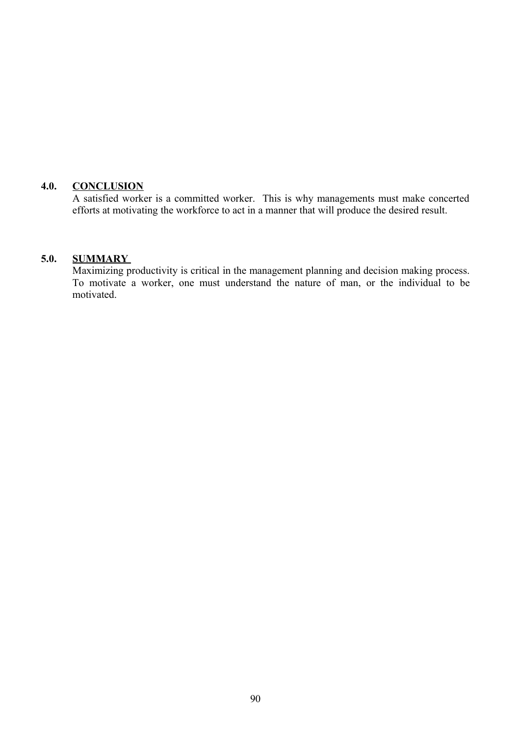#### **4.0. CONCLUSION**

A satisfied worker is a committed worker. This is why managements must make concerted efforts at motivating the workforce to act in a manner that will produce the desired result.

#### **5.0. SUMMARY**

Maximizing productivity is critical in the management planning and decision making process. To motivate a worker, one must understand the nature of man, or the individual to be motivated.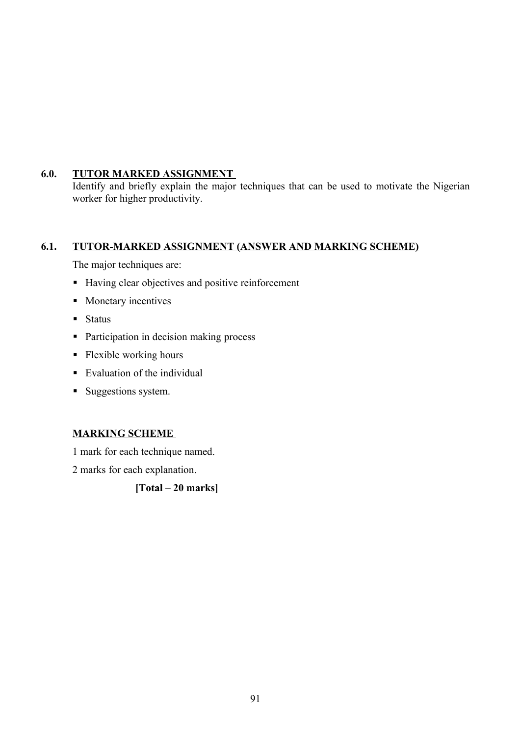# **6.0. TUTOR MARKED ASSIGNMENT**

Identify and briefly explain the major techniques that can be used to motivate the Nigerian worker for higher productivity.

# **6.1. TUTOR-MARKED ASSIGNMENT (ANSWER AND MARKING SCHEME)**

The major techniques are:

- Having clear objectives and positive reinforcement
- **Monetary incentives**
- $\blacksquare$  Status
- Participation in decision making process
- Flexible working hours
- Evaluation of the individual
- Suggestions system.

# **MARKING SCHEME**

1 mark for each technique named.

2 marks for each explanation.

**[Total – 20 marks]**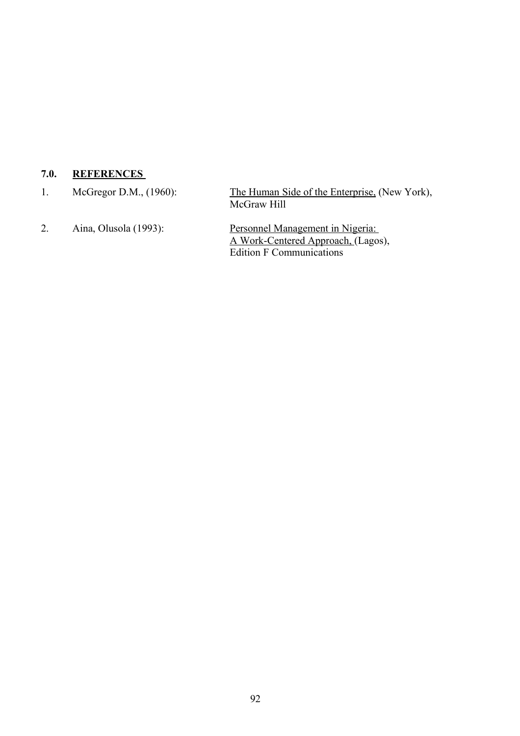# **7.0. REFERENCES**

1. McGregor D.M., (1960): The Human Side of the Enterprise, (New York), McGraw Hill 2. Aina, Olusola (1993): Personnel Management in Nigeria: A Work-Centered Approach, (Lagos), Edition F Communications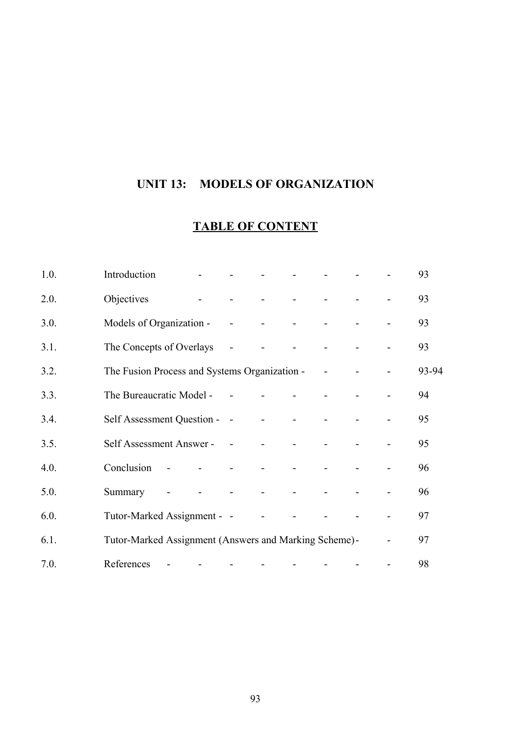# **UNIT 13: MODELS OF ORGANIZATION**

# **TABLE OF CONTENT**

| 1.0. | Introduction                                          |            |                |                            |                                                   | $\sim$     |                    |  | 93    |
|------|-------------------------------------------------------|------------|----------------|----------------------------|---------------------------------------------------|------------|--------------------|--|-------|
| 2.0. | Objectives                                            |            |                | $\Delta \sim 100$          | $\Delta \phi$ and $\Delta \phi$ and $\Delta \phi$ |            | $\Delta \sim 10^4$ |  | 93    |
| 3.0. | Models of Organization - - - - - -                    |            |                |                            |                                                   |            |                    |  | 93    |
| 3.1. | The Concepts of Overlays                              |            |                | $\sim$ $-$                 |                                                   | $\sim$ $-$ | $\mathbf{r}$       |  | 93    |
| 3.2. | The Fusion Process and Systems Organization -         |            |                |                            |                                                   |            |                    |  | 93-94 |
| 3.3. | The Bureaucratic Model - -                            |            |                |                            | $\Delta \sim 100$                                 | $\sim 10$  |                    |  | 94    |
| 3.4. | Self Assessment Question - -                          |            |                |                            | $\Delta \phi = 0.01$ and $\Delta \phi$            |            |                    |  | 95    |
| 3.5. | Self Assessment Answer - - - - - -                    |            |                |                            |                                                   | $\sim 100$ |                    |  | 95    |
| 4.0. | Conclusion                                            | $\sim$ $-$ |                | $\sim 100$ km s $^{-1}$    | $\blacksquare$                                    | $\sim 10$  |                    |  | 96    |
| 5.0. | Summary                                               |            | $\blacksquare$ | and the state of the state |                                                   |            | $\sim 100$         |  | 96    |
| 6.0. | Tutor-Marked Assignment - -                           |            |                |                            | $\Delta \sim 10^4$                                |            |                    |  | 97    |
| 6.1. | Tutor-Marked Assignment (Answers and Marking Scheme)- |            |                |                            |                                                   |            |                    |  | 97    |
| 7.0. | References                                            |            |                |                            |                                                   |            |                    |  | 98    |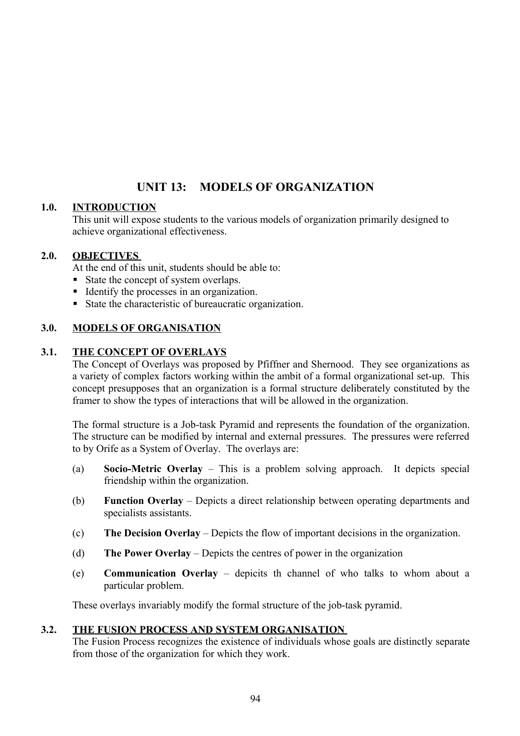# **UNIT 13: MODELS OF ORGANIZATION**

#### **1.0. INTRODUCTION**

This unit will expose students to the various models of organization primarily designed to achieve organizational effectiveness.

#### **2.0. OBJECTIVES**

At the end of this unit, students should be able to:

- State the concept of system overlaps.
- Identify the processes in an organization.
- State the characteristic of bureaucratic organization.

## **3.0. MODELS OF ORGANISATION**

#### **3.1. THE CONCEPT OF OVERLAYS**

The Concept of Overlays was proposed by Pfiffner and Shernood. They see organizations as a variety of complex factors working within the ambit of a formal organizational set-up. This concept presupposes that an organization is a formal structure deliberately constituted by the framer to show the types of interactions that will be allowed in the organization.

The formal structure is a Job-task Pyramid and represents the foundation of the organization. The structure can be modified by internal and external pressures. The pressures were referred to by Orife as a System of Overlay. The overlays are:

- (a) **Socio-Metric Overlay** This is a problem solving approach. It depicts special friendship within the organization.
- (b) **Function Overlay** Depicts a direct relationship between operating departments and specialists assistants.
- (c) **The Decision Overlay** Depicts the flow of important decisions in the organization.
- (d) **The Power Overlay** Depicts the centres of power in the organization
- (e) **Communication Overlay** depicits th channel of who talks to whom about a particular problem.

These overlays invariably modify the formal structure of the job-task pyramid.

#### **3.2. THE FUSION PROCESS AND SYSTEM ORGANISATION**

The Fusion Process recognizes the existence of individuals whose goals are distinctly separate from those of the organization for which they work.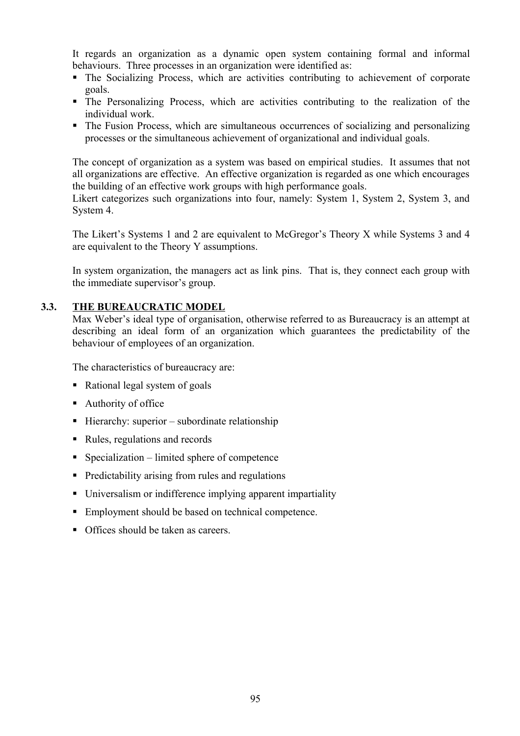It regards an organization as a dynamic open system containing formal and informal behaviours. Three processes in an organization were identified as:

- The Socializing Process, which are activities contributing to achievement of corporate goals.
- The Personalizing Process, which are activities contributing to the realization of the individual work.
- The Fusion Process, which are simultaneous occurrences of socializing and personalizing processes or the simultaneous achievement of organizational and individual goals.

The concept of organization as a system was based on empirical studies. It assumes that not all organizations are effective. An effective organization is regarded as one which encourages the building of an effective work groups with high performance goals.

Likert categorizes such organizations into four, namely: System 1, System 2, System 3, and System 4.

The Likert's Systems 1 and 2 are equivalent to McGregor's Theory X while Systems 3 and 4 are equivalent to the Theory Y assumptions.

In system organization, the managers act as link pins. That is, they connect each group with the immediate supervisor's group.

#### **3.3. THE BUREAUCRATIC MODEL**

Max Weber's ideal type of organisation, otherwise referred to as Bureaucracy is an attempt at describing an ideal form of an organization which guarantees the predictability of the behaviour of employees of an organization.

The characteristics of bureaucracy are:

- Rational legal system of goals
- Authority of office
- $\blacksquare$  Hierarchy: superior subordinate relationship
- Rules, regulations and records
- $\blacksquare$  Specialization limited sphere of competence
- **Predictability arising from rules and regulations**
- Universalism or indifference implying apparent impartiality
- Employment should be based on technical competence.
- Offices should be taken as careers.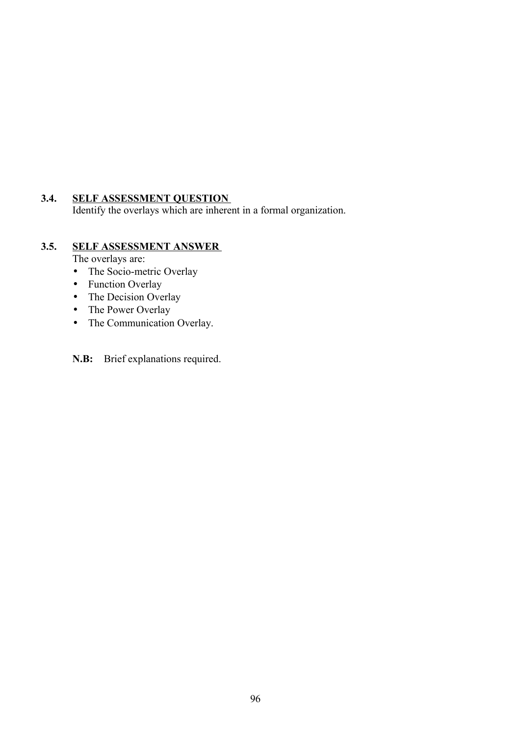# **3.4. SELF ASSESSMENT QUESTION**

Identify the overlays which are inherent in a formal organization.

# **3.5. SELF ASSESSMENT ANSWER**

The overlays are:

- The Socio-metric Overlay
- Function Overlay
- The Decision Overlay
- The Power Overlay
- The Communication Overlay.

**N.B:** Brief explanations required.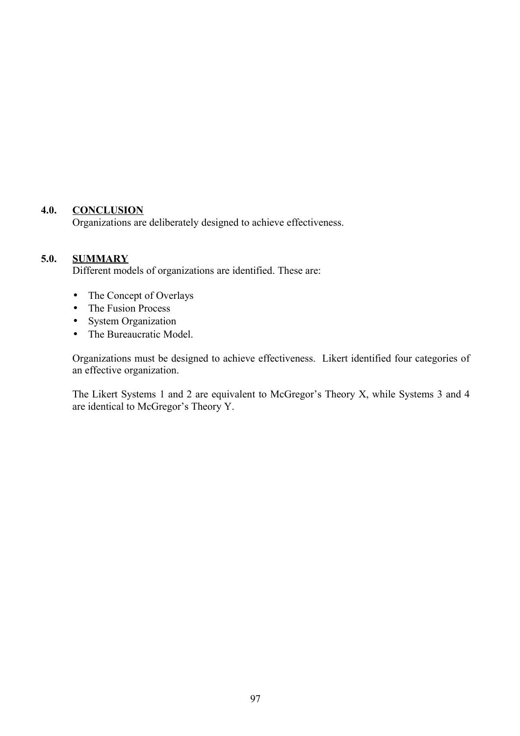# **4.0. CONCLUSION**

Organizations are deliberately designed to achieve effectiveness.

# **5.0. SUMMARY**

Different models of organizations are identified. These are:

- The Concept of Overlays
- The Fusion Process
- System Organization
- The Bureaucratic Model.

Organizations must be designed to achieve effectiveness. Likert identified four categories of an effective organization.

The Likert Systems 1 and 2 are equivalent to McGregor's Theory X, while Systems 3 and 4 are identical to McGregor's Theory Y.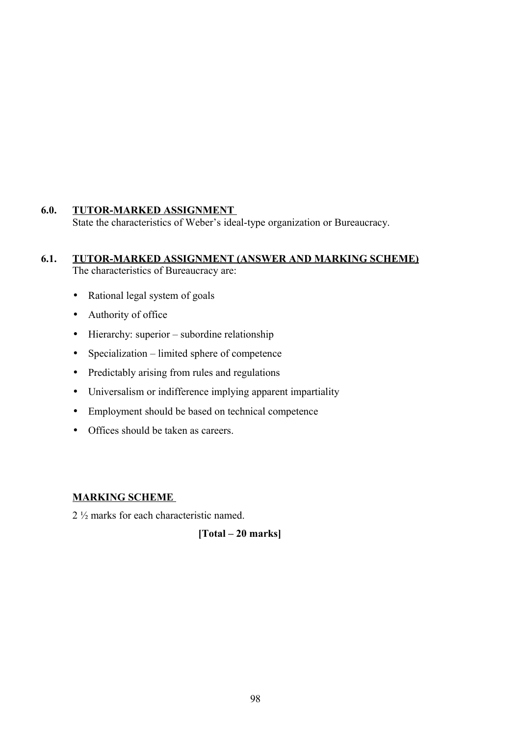## **6.0. TUTOR-MARKED ASSIGNMENT**

State the characteristics of Weber's ideal-type organization or Bureaucracy.

#### **6.1. TUTOR-MARKED ASSIGNMENT (ANSWER AND MARKING SCHEME)** The characteristics of Bureaucracy are:

- Rational legal system of goals
- Authority of office
- Hierarchy: superior subordine relationship
- Specialization limited sphere of competence
- Predictably arising from rules and regulations
- Universalism or indifference implying apparent impartiality
- Employment should be based on technical competence
- Offices should be taken as careers.

#### **MARKING SCHEME**

2 ½ marks for each characteristic named.

**[Total – 20 marks]**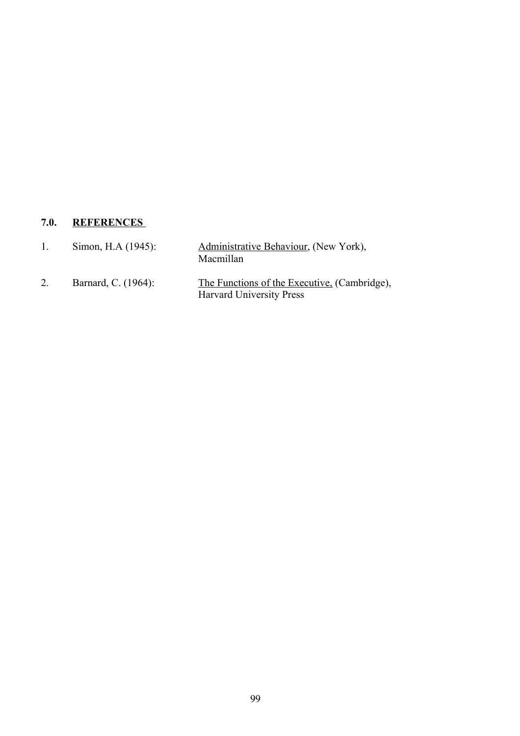# **7.0. REFERENCES**

| Simon, H.A (1945):  | Administrative Behaviour, (New York),<br>Macmillan                              |
|---------------------|---------------------------------------------------------------------------------|
| Barnard, C. (1964): | The Functions of the Executive, (Cambridge),<br><b>Harvard University Press</b> |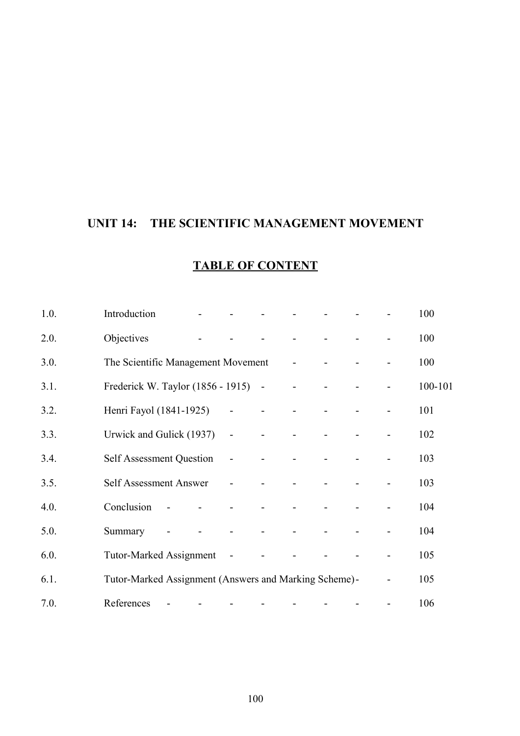# **UNIT 14: THE SCIENTIFIC MANAGEMENT MOVEMENT**

| 1.0. | Introduction                                          |                          |                |                |                          |                          |                          |                |                          | 100     |
|------|-------------------------------------------------------|--------------------------|----------------|----------------|--------------------------|--------------------------|--------------------------|----------------|--------------------------|---------|
| 2.0. | Objectives                                            |                          |                |                |                          |                          |                          |                |                          | 100     |
| 3.0. | The Scientific Management Movement -                  |                          |                |                |                          |                          |                          | $\blacksquare$ |                          | 100     |
| 3.1. | Frederick W. Taylor (1856 - 1915) -                   |                          |                |                |                          |                          | $\blacksquare$           | $\blacksquare$ | $\overline{\phantom{a}}$ | 100-101 |
| 3.2. | Henri Fayol (1841-1925)                               |                          |                | $\blacksquare$ | $\overline{\phantom{a}}$ |                          |                          | $\blacksquare$ |                          | 101     |
| 3.3. | Urwick and Gulick (1937)                              |                          |                | $\blacksquare$ | $\overline{\phantom{a}}$ |                          | $\overline{\phantom{0}}$ | $\blacksquare$ |                          | 102     |
| 3.4. | <b>Self Assessment Question</b>                       |                          |                | $\overline{a}$ |                          |                          | $\overline{\phantom{0}}$ |                |                          | 103     |
| 3.5. | <b>Self Assessment Answer</b>                         |                          |                | $\overline{a}$ |                          |                          |                          |                |                          | 103     |
| 4.0. | Conclusion                                            | $\blacksquare$           |                | $\blacksquare$ | $\blacksquare$           |                          |                          |                |                          | 104     |
| 5.0. | Summary                                               |                          | $\blacksquare$ | $\blacksquare$ | $\blacksquare$           | $\overline{\phantom{a}}$ |                          |                |                          | 104     |
| 6.0. | <b>Tutor-Marked Assignment</b>                        |                          |                | $\sim$         | $\overline{\phantom{a}}$ |                          |                          |                |                          | 105     |
| 6.1. | Tutor-Marked Assignment (Answers and Marking Scheme)- |                          |                |                |                          |                          |                          |                |                          | 105     |
| 7.0. | References                                            | $\overline{\phantom{a}}$ |                |                | $\overline{\phantom{a}}$ |                          |                          |                | $\overline{a}$           | 106     |

# **TABLE OF CONTENT**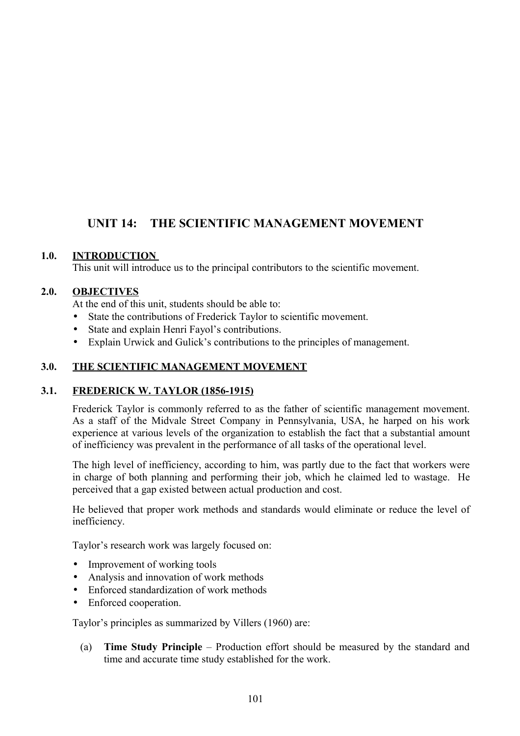# **UNIT 14: THE SCIENTIFIC MANAGEMENT MOVEMENT**

## **1.0. INTRODUCTION**

This unit will introduce us to the principal contributors to the scientific movement.

## **2.0. OBJECTIVES**

At the end of this unit, students should be able to:

- State the contributions of Frederick Taylor to scientific movement.
- State and explain Henri Fayol's contributions.
- Explain Urwick and Gulick's contributions to the principles of management.

## **3.0. THE SCIENTIFIC MANAGEMENT MOVEMENT**

## **3.1. FREDERICK W. TAYLOR (1856-1915)**

Frederick Taylor is commonly referred to as the father of scientific management movement. As a staff of the Midvale Street Company in Pennsylvania, USA, he harped on his work experience at various levels of the organization to establish the fact that a substantial amount of inefficiency was prevalent in the performance of all tasks of the operational level.

The high level of inefficiency, according to him, was partly due to the fact that workers were in charge of both planning and performing their job, which he claimed led to wastage. He perceived that a gap existed between actual production and cost.

He believed that proper work methods and standards would eliminate or reduce the level of inefficiency.

Taylor's research work was largely focused on:

- Improvement of working tools
- Analysis and innovation of work methods
- Enforced standardization of work methods
- Enforced cooperation.

Taylor's principles as summarized by Villers (1960) are:

 (a) **Time Study Principle** – Production effort should be measured by the standard and time and accurate time study established for the work.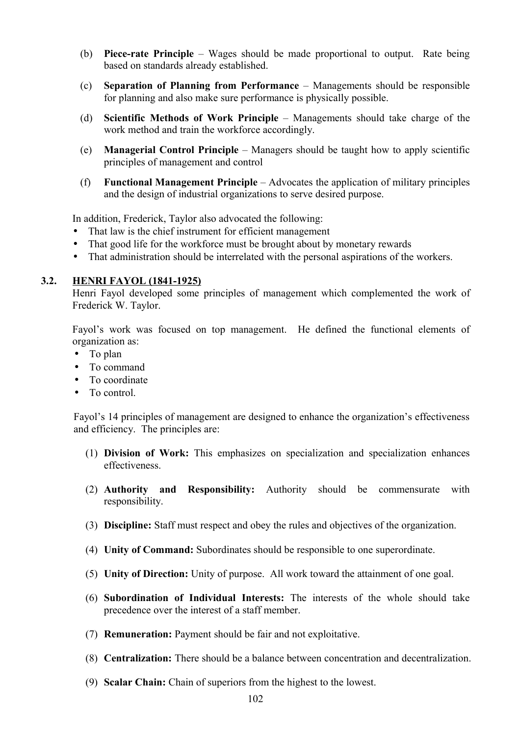- (b) **Piece-rate Principle** Wages should be made proportional to output. Rate being based on standards already established.
- (c) **Separation of Planning from Performance** Managements should be responsible for planning and also make sure performance is physically possible.
- (d) **Scientific Methods of Work Principle** Managements should take charge of the work method and train the workforce accordingly.
- (e) **Managerial Control Principle** Managers should be taught how to apply scientific principles of management and control
- (f) **Functional Management Principle** Advocates the application of military principles and the design of industrial organizations to serve desired purpose.

In addition, Frederick, Taylor also advocated the following:

- That law is the chief instrument for efficient management
- That good life for the workforce must be brought about by monetary rewards
- That administration should be interrelated with the personal aspirations of the workers.

#### **3.2. HENRI FAYOL (1841-1925)**

Henri Fayol developed some principles of management which complemented the work of Frederick W. Taylor.

Fayol's work was focused on top management. He defined the functional elements of organization as:

- To plan
- To command
- To coordinate
- To control.

Fayol's 14 principles of management are designed to enhance the organization's effectiveness and efficiency. The principles are:

- (1) **Division of Work:** This emphasizes on specialization and specialization enhances effectiveness.
- (2) **Authority and Responsibility:** Authority should be commensurate with responsibility.
- (3) **Discipline:** Staff must respect and obey the rules and objectives of the organization.
- (4) **Unity of Command:** Subordinates should be responsible to one superordinate.
- (5) **Unity of Direction:** Unity of purpose. All work toward the attainment of one goal.
- (6) **Subordination of Individual Interests:** The interests of the whole should take precedence over the interest of a staff member.
- (7) **Remuneration:** Payment should be fair and not exploitative.
- (8) **Centralization:** There should be a balance between concentration and decentralization.
- (9) **Scalar Chain:** Chain of superiors from the highest to the lowest.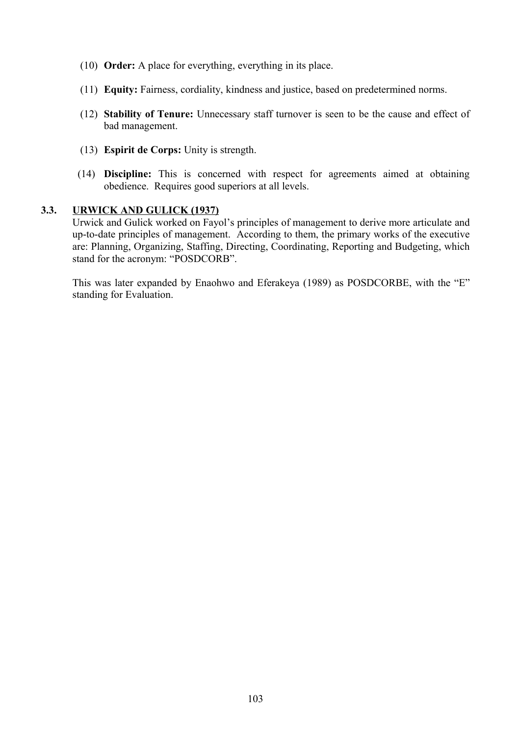- (10) **Order:** A place for everything, everything in its place.
- (11) **Equity:** Fairness, cordiality, kindness and justice, based on predetermined norms.
- (12) **Stability of Tenure:** Unnecessary staff turnover is seen to be the cause and effect of bad management.
- (13) **Espirit de Corps:** Unity is strength.
- (14) **Discipline:** This is concerned with respect for agreements aimed at obtaining obedience. Requires good superiors at all levels.

#### **3.3. URWICK AND GULICK (1937)**

Urwick and Gulick worked on Fayol's principles of management to derive more articulate and up-to-date principles of management. According to them, the primary works of the executive are: Planning, Organizing, Staffing, Directing, Coordinating, Reporting and Budgeting, which stand for the acronym: "POSDCORB".

This was later expanded by Enaohwo and Eferakeya (1989) as POSDCORBE, with the "E" standing for Evaluation.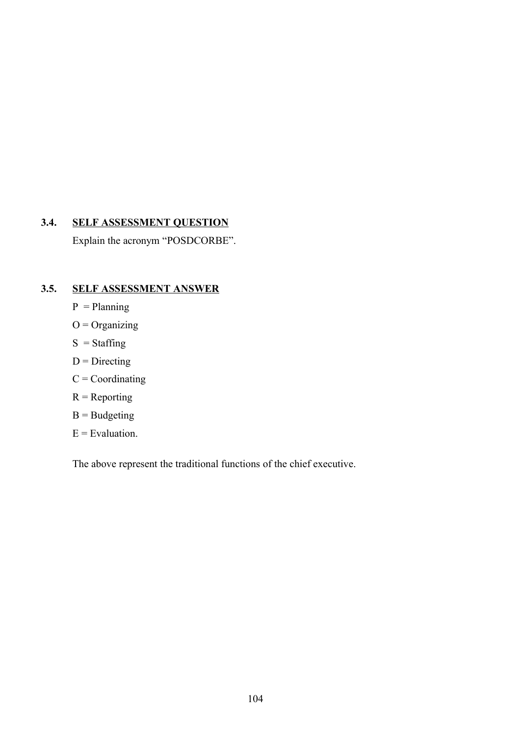# **3.4. SELF ASSESSMENT QUESTION**

Explain the acronym "POSDCORBE".

# **3.5. SELF ASSESSMENT ANSWER**

- $P =$ Planning
- $O =$  Organizing
- $S = *Staffing*$
- $D =$ Directing
- $C = Coordinating$
- $R =$  Reporting
- $B =$ Budgeting
- $E =$ Evaluation.

The above represent the traditional functions of the chief executive.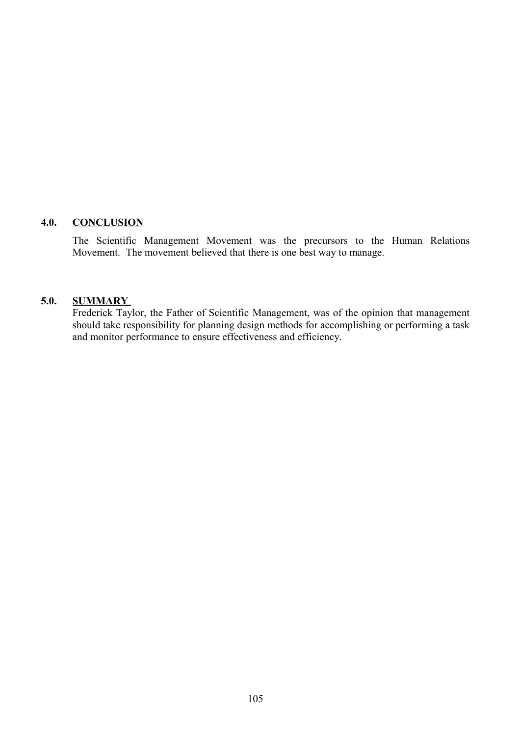#### **4.0. CONCLUSION**

The Scientific Management Movement was the precursors to the Human Relations Movement. The movement believed that there is one best way to manage.

#### **5.0. SUMMARY**

Frederick Taylor, the Father of Scientific Management, was of the opinion that management should take responsibility for planning design methods for accomplishing or performing a task and monitor performance to ensure effectiveness and efficiency.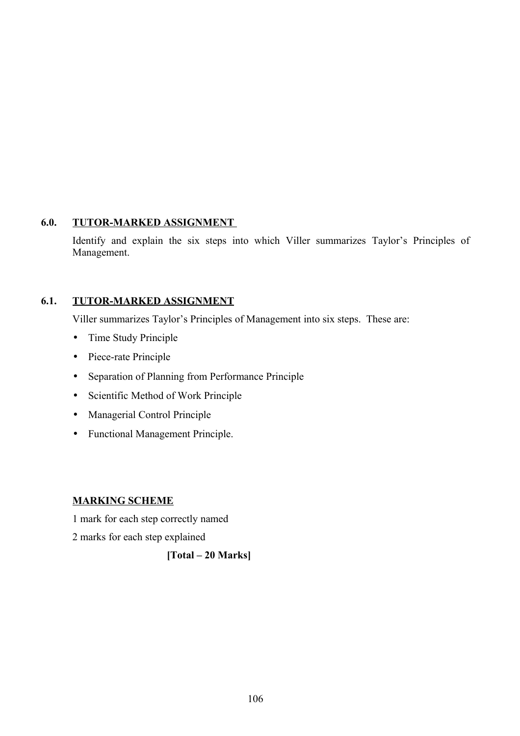#### **6.0. TUTOR-MARKED ASSIGNMENT**

Identify and explain the six steps into which Viller summarizes Taylor's Principles of Management.

# **6.1. TUTOR-MARKED ASSIGNMENT**

Viller summarizes Taylor's Principles of Management into six steps. These are:

- Time Study Principle
- Piece-rate Principle
- Separation of Planning from Performance Principle
- Scientific Method of Work Principle
- Managerial Control Principle
- Functional Management Principle.

## **MARKING SCHEME**

1 mark for each step correctly named

2 marks for each step explained

# **[Total – 20 Marks]**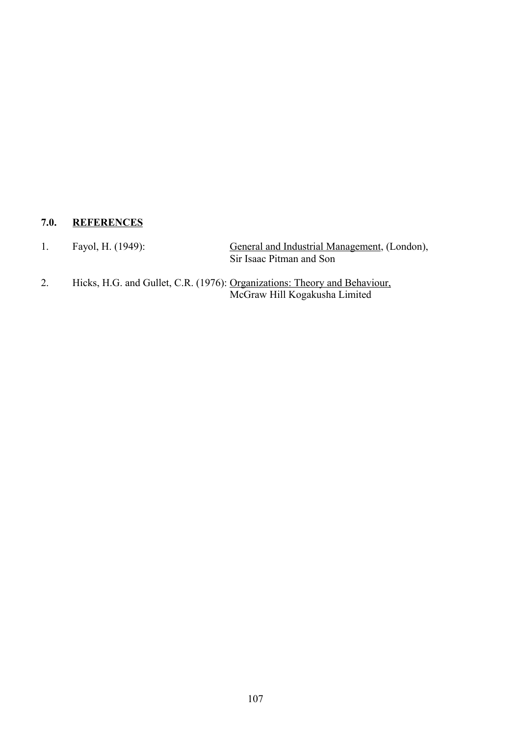# **7.0. REFERENCES**

1. Fayol, H. (1949): General and Industrial Management, (London), Sir Isaac Pitman and Son

2. Hicks, H.G. and Gullet, C.R. (1976): Organizations: Theory and Behaviour, McGraw Hill Kogakusha Limited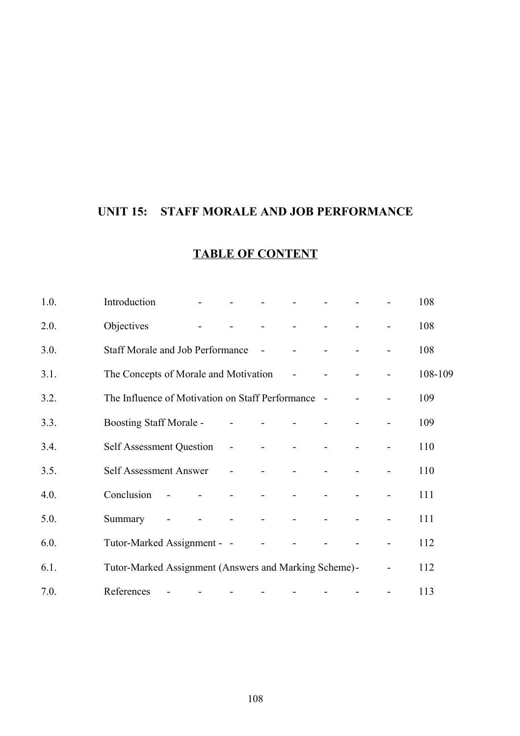# **UNIT 15: STAFF MORALE AND JOB PERFORMANCE**

| 1.0. | Introduction                                          |                          | <b>All Contract Contract</b> |                                     | and the state of the              |                          |                          |  | 108     |
|------|-------------------------------------------------------|--------------------------|------------------------------|-------------------------------------|-----------------------------------|--------------------------|--------------------------|--|---------|
| 2.0. | Objectives                                            |                          | $\Delta \sim 100$            | $\blacksquare$                      | the company of the company of the |                          |                          |  | 108     |
| 3.0. | Staff Morale and Job Performance -                    |                          |                              |                                     |                                   |                          |                          |  | 108     |
| 3.1. | The Concepts of Morale and Motivation –               |                          |                              |                                     |                                   | $\sim 100$ m $^{-1}$     | <b>Contract Contract</b> |  | 108-109 |
| 3.2. | The Influence of Motivation on Staff Performance -    |                          |                              |                                     |                                   |                          |                          |  | 109     |
| 3.3. | Boosting Staff Morale -                               |                          |                              | <b>Contractor</b><br>$\blacksquare$ |                                   | <b>Contract Contract</b> |                          |  | 109     |
| 3.4. | Self Assessment Question -                            |                          |                              |                                     |                                   |                          | $\blacksquare$           |  | 110     |
| 3.5. | Self Assessment Answer -                              |                          |                              |                                     |                                   |                          |                          |  | 110     |
| 4.0. | Conclusion                                            | $\overline{\phantom{a}}$ |                              | and the state of the                | $\sim$                            |                          | $\blacksquare$           |  | 111     |
| 5.0. | Summary                                               |                          | $\blacksquare$               | and the state of the state          | $\sim 10^{-10}$ m $^{-1}$         |                          | $\sim$ $-$               |  | 111     |
| 6.0. | Tutor-Marked Assignment - -                           |                          |                              |                                     | $\blacksquare$                    |                          |                          |  | 112     |
| 6.1. | Tutor-Marked Assignment (Answers and Marking Scheme)- |                          |                              |                                     |                                   |                          |                          |  | 112     |
| 7.0. | References                                            |                          |                              |                                     |                                   |                          |                          |  | 113     |

# **TABLE OF CONTENT**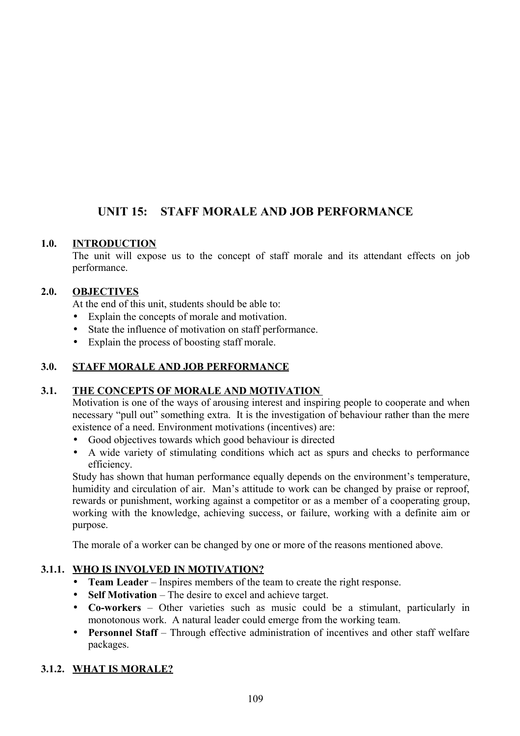# **UNIT 15: STAFF MORALE AND JOB PERFORMANCE**

## **1.0. INTRODUCTION**

The unit will expose us to the concept of staff morale and its attendant effects on job performance.

### **2.0. OBJECTIVES**

At the end of this unit, students should be able to:

- Explain the concepts of morale and motivation.
- State the influence of motivation on staff performance.
- Explain the process of boosting staff morale.

## **3.0. STAFF MORALE AND JOB PERFORMANCE**

#### **3.1. THE CONCEPTS OF MORALE AND MOTIVATION**

Motivation is one of the ways of arousing interest and inspiring people to cooperate and when necessary "pull out" something extra. It is the investigation of behaviour rather than the mere existence of a need. Environment motivations (incentives) are:

- Good objectives towards which good behaviour is directed
- A wide variety of stimulating conditions which act as spurs and checks to performance efficiency.

Study has shown that human performance equally depends on the environment's temperature, humidity and circulation of air. Man's attitude to work can be changed by praise or reproof, rewards or punishment, working against a competitor or as a member of a cooperating group, working with the knowledge, achieving success, or failure, working with a definite aim or purpose.

The morale of a worker can be changed by one or more of the reasons mentioned above.

## **3.1.1. WHO IS INVOLVED IN MOTIVATION?**

- **Team Leader** Inspires members of the team to create the right response.
- **Self Motivation** The desire to excel and achieve target.
- **Co-workers**  Other varieties such as music could be a stimulant, particularly in monotonous work. A natural leader could emerge from the working team.
- **Personnel Staff** Through effective administration of incentives and other staff welfare packages.

## **3.1.2. WHAT IS MORALE?**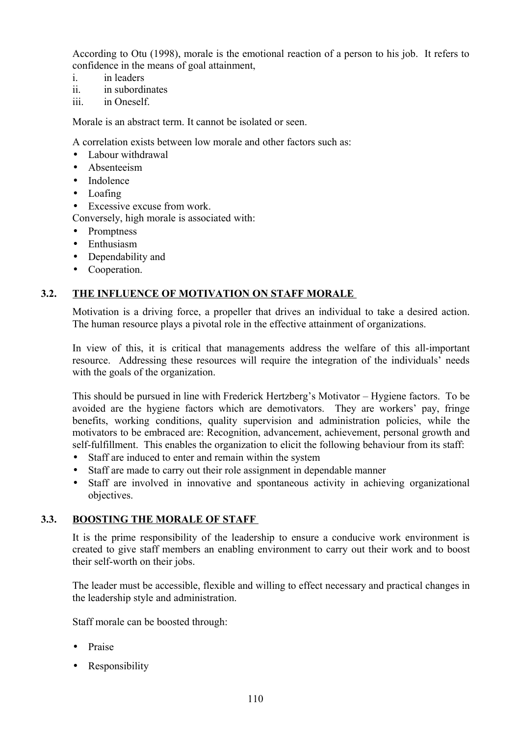According to Otu (1998), morale is the emotional reaction of a person to his job. It refers to confidence in the means of goal attainment,

- i. in leaders
- ii. in subordinates
- iii. in Oneself.

Morale is an abstract term. It cannot be isolated or seen.

A correlation exists between low morale and other factors such as:

- Labour withdrawal
- Absenteeism
- Indolence
- Loafing
- Excessive excuse from work.

Conversely, high morale is associated with:

- Promptness
- Enthusiasm
- Dependability and
- Cooperation.

## **3.2. THE INFLUENCE OF MOTIVATION ON STAFF MORALE**

Motivation is a driving force, a propeller that drives an individual to take a desired action. The human resource plays a pivotal role in the effective attainment of organizations.

In view of this, it is critical that managements address the welfare of this all-important resource. Addressing these resources will require the integration of the individuals' needs with the goals of the organization.

This should be pursued in line with Frederick Hertzberg's Motivator – Hygiene factors. To be avoided are the hygiene factors which are demotivators. They are workers' pay, fringe benefits, working conditions, quality supervision and administration policies, while the motivators to be embraced are: Recognition, advancement, achievement, personal growth and self-fulfillment. This enables the organization to elicit the following behaviour from its staff:

- Staff are induced to enter and remain within the system
- Staff are made to carry out their role assignment in dependable manner
- Staff are involved in innovative and spontaneous activity in achieving organizational objectives.

#### **3.3. BOOSTING THE MORALE OF STAFF**

It is the prime responsibility of the leadership to ensure a conducive work environment is created to give staff members an enabling environment to carry out their work and to boost their self-worth on their jobs.

The leader must be accessible, flexible and willing to effect necessary and practical changes in the leadership style and administration.

Staff morale can be boosted through:

- Praise
- Responsibility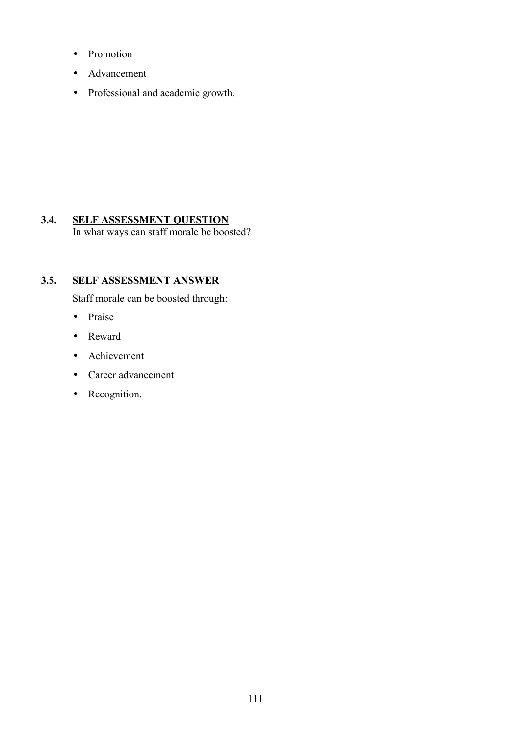- Promotion
- Advancement
- Professional and academic growth.

### **3.4. SELF ASSESSMENT QUESTION** In what ways can staff morale be boosted?

## **3.5. SELF ASSESSMENT ANSWER**

Staff morale can be boosted through:

- Praise
- Reward
- Achievement
- Career advancement
- Recognition.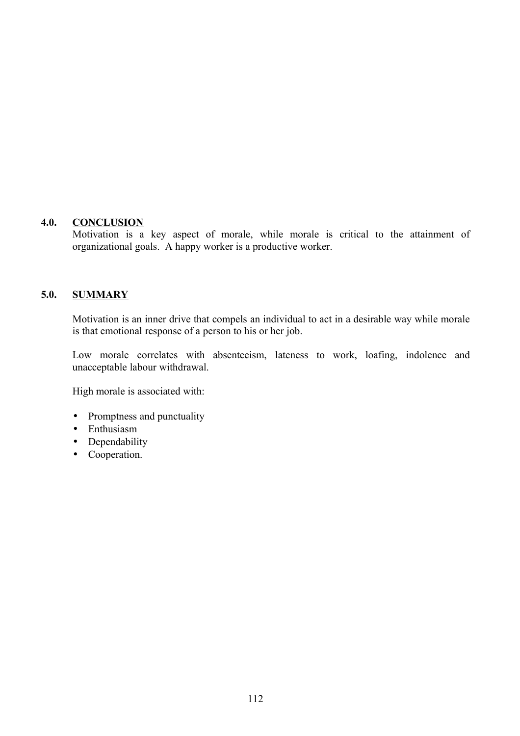#### **4.0. CONCLUSION**

Motivation is a key aspect of morale, while morale is critical to the attainment of organizational goals. A happy worker is a productive worker.

#### **5.0. SUMMARY**

Motivation is an inner drive that compels an individual to act in a desirable way while morale is that emotional response of a person to his or her job.

Low morale correlates with absenteeism, lateness to work, loafing, indolence and unacceptable labour withdrawal.

High morale is associated with:

- Promptness and punctuality
- Enthusiasm
- Dependability
- Cooperation.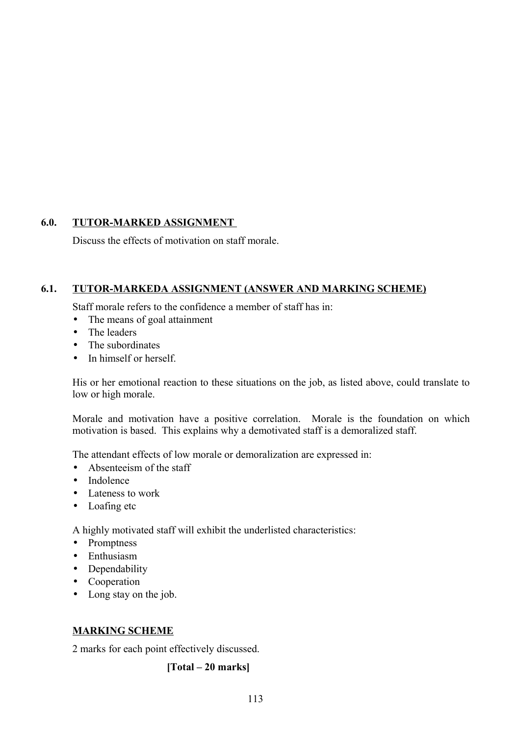### **6.0. TUTOR-MARKED ASSIGNMENT**

Discuss the effects of motivation on staff morale.

### **6.1. TUTOR-MARKEDA ASSIGNMENT (ANSWER AND MARKING SCHEME)**

Staff morale refers to the confidence a member of staff has in:

- The means of goal attainment
- The leaders
- The subordinates
- In himself or herself.

His or her emotional reaction to these situations on the job, as listed above, could translate to low or high morale.

Morale and motivation have a positive correlation. Morale is the foundation on which motivation is based. This explains why a demotivated staff is a demoralized staff.

The attendant effects of low morale or demoralization are expressed in:

- Absenteeism of the staff
- Indolence
- Lateness to work
- Loafing etc

A highly motivated staff will exhibit the underlisted characteristics:

- Promptness
- Enthusiasm
- Dependability
- Cooperation
- Long stay on the job.

#### **MARKING SCHEME**

2 marks for each point effectively discussed.

#### **[Total – 20 marks]**